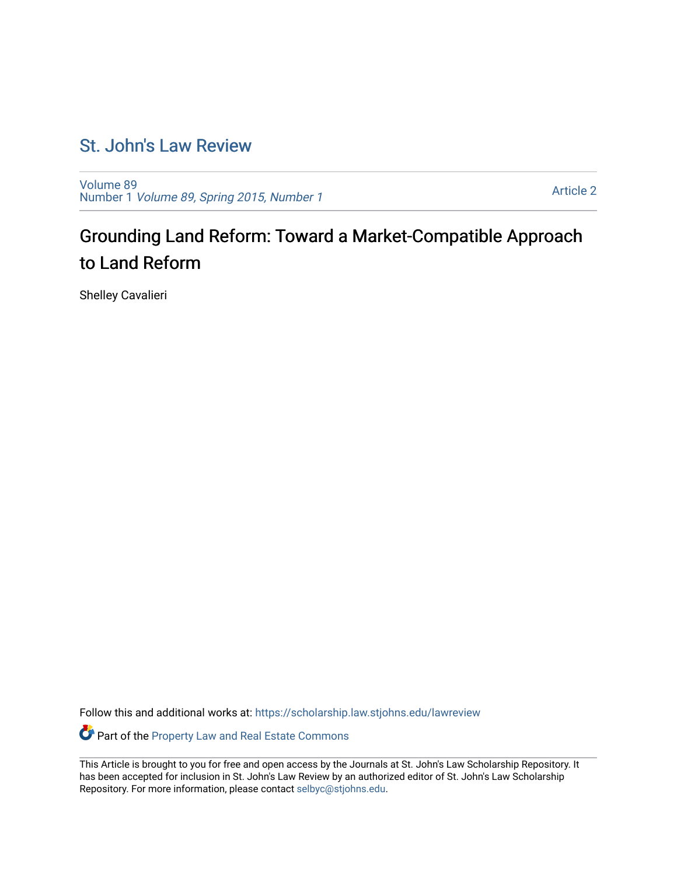# [St. John's Law Review](https://scholarship.law.stjohns.edu/lawreview)

[Volume 89](https://scholarship.law.stjohns.edu/lawreview/vol89) Number 1 [Volume 89, Spring 2015, Number 1](https://scholarship.law.stjohns.edu/lawreview/vol89/iss1) 

[Article 2](https://scholarship.law.stjohns.edu/lawreview/vol89/iss1/2) 

# Grounding Land Reform: Toward a Market-Compatible Approach to Land Reform

Shelley Cavalieri

Follow this and additional works at: [https://scholarship.law.stjohns.edu/lawreview](https://scholarship.law.stjohns.edu/lawreview?utm_source=scholarship.law.stjohns.edu%2Flawreview%2Fvol89%2Fiss1%2F2&utm_medium=PDF&utm_campaign=PDFCoverPages) 

Part of the [Property Law and Real Estate Commons](http://network.bepress.com/hgg/discipline/897?utm_source=scholarship.law.stjohns.edu%2Flawreview%2Fvol89%2Fiss1%2F2&utm_medium=PDF&utm_campaign=PDFCoverPages) 

This Article is brought to you for free and open access by the Journals at St. John's Law Scholarship Repository. It has been accepted for inclusion in St. John's Law Review by an authorized editor of St. John's Law Scholarship Repository. For more information, please contact [selbyc@stjohns.edu.](mailto:selbyc@stjohns.edu)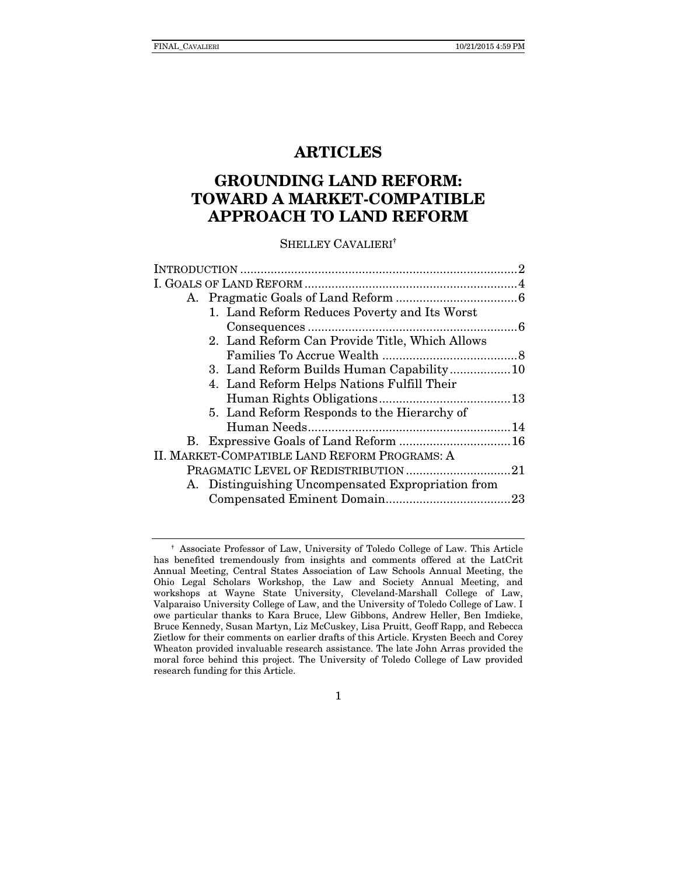# ARTICLES

# GROUNDING LAND REFORM: TOWARD A MARKET-COMPATIBLE APPROACH TO LAND REFORM

#### SHELLEY CAVALIERI†

| 1. Land Reform Reduces Poverty and Its Worst       |  |
|----------------------------------------------------|--|
|                                                    |  |
| 2. Land Reform Can Provide Title, Which Allows     |  |
|                                                    |  |
|                                                    |  |
| 4. Land Reform Helps Nations Fulfill Their         |  |
|                                                    |  |
| 5. Land Reform Responds to the Hierarchy of        |  |
|                                                    |  |
|                                                    |  |
| II. MARKET-COMPATIBLE LAND REFORM PROGRAMS: A      |  |
|                                                    |  |
| A. Distinguishing Uncompensated Expropriation from |  |
|                                                    |  |
|                                                    |  |

<sup>†</sup> Associate Professor of Law, University of Toledo College of Law. This Article has benefited tremendously from insights and comments offered at the LatCrit Annual Meeting, Central States Association of Law Schools Annual Meeting, the Ohio Legal Scholars Workshop, the Law and Society Annual Meeting, and workshops at Wayne State University, Cleveland-Marshall College of Law, Valparaiso University College of Law, and the University of Toledo College of Law. I owe particular thanks to Kara Bruce, Llew Gibbons, Andrew Heller, Ben Imdieke, Bruce Kennedy, Susan Martyn, Liz McCuskey, Lisa Pruitt, Geoff Rapp, and Rebecca Zietlow for their comments on earlier drafts of this Article. Krysten Beech and Corey Wheaton provided invaluable research assistance. The late John Arras provided the moral force behind this project. The University of Toledo College of Law provided research funding for this Article.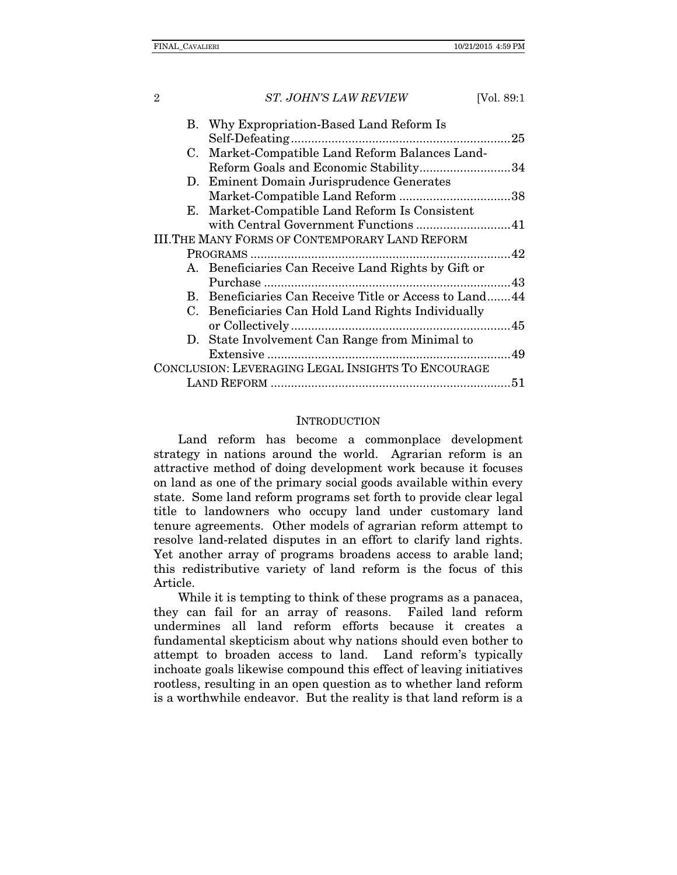|                                                    | B. Why Expropriation-Based Land Reform Is              |    |
|----------------------------------------------------|--------------------------------------------------------|----|
|                                                    |                                                        | 25 |
|                                                    | C. Market-Compatible Land Reform Balances Land-        |    |
|                                                    | Reform Goals and Economic Stability34                  |    |
|                                                    | D. Eminent Domain Jurisprudence Generates              |    |
|                                                    |                                                        |    |
|                                                    | E. Market-Compatible Land Reform Is Consistent         |    |
|                                                    | with Central Government Functions 41                   |    |
|                                                    | <b>III.THE MANY FORMS OF CONTEMPORARY LAND REFORM</b>  |    |
|                                                    |                                                        |    |
|                                                    | A. Beneficiaries Can Receive Land Rights by Gift or    |    |
|                                                    |                                                        |    |
|                                                    | B. Beneficiaries Can Receive Title or Access to Land44 |    |
|                                                    | C. Beneficiaries Can Hold Land Rights Individually     |    |
|                                                    |                                                        |    |
|                                                    | D. State Involvement Can Range from Minimal to         |    |
|                                                    |                                                        |    |
| CONCLUSION: LEVERAGING LEGAL INSIGHTS TO ENCOURAGE |                                                        |    |
|                                                    |                                                        |    |
|                                                    |                                                        |    |

#### **INTRODUCTION**

Land reform has become a commonplace development strategy in nations around the world. Agrarian reform is an attractive method of doing development work because it focuses on land as one of the primary social goods available within every state. Some land reform programs set forth to provide clear legal title to landowners who occupy land under customary land tenure agreements. Other models of agrarian reform attempt to resolve land-related disputes in an effort to clarify land rights. Yet another array of programs broadens access to arable land; this redistributive variety of land reform is the focus of this Article.

While it is tempting to think of these programs as a panacea, they can fail for an array of reasons. Failed land reform undermines all land reform efforts because it creates a fundamental skepticism about why nations should even bother to attempt to broaden access to land. Land reform's typically inchoate goals likewise compound this effect of leaving initiatives rootless, resulting in an open question as to whether land reform is a worthwhile endeavor. But the reality is that land reform is a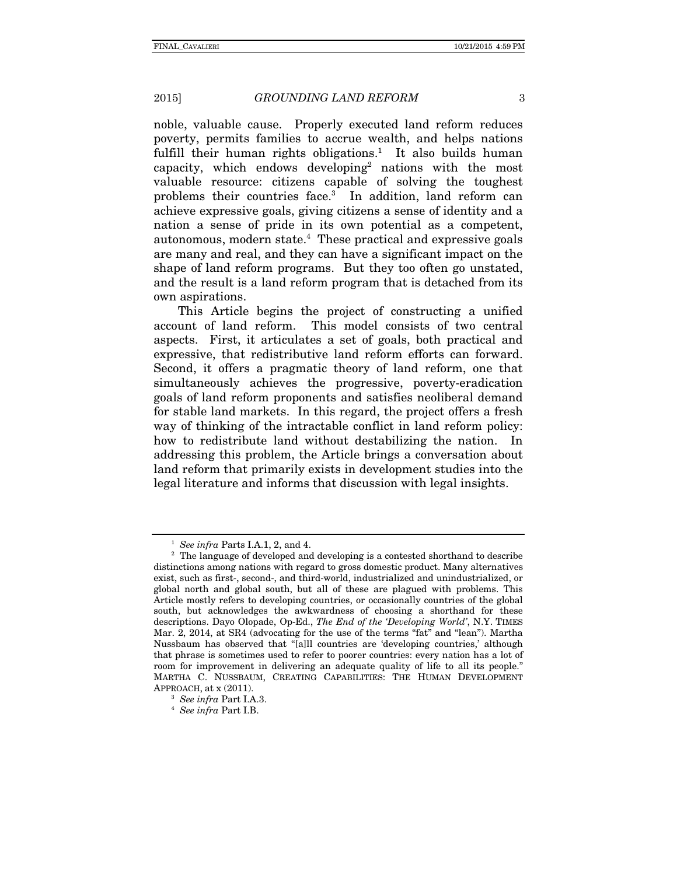noble, valuable cause. Properly executed land reform reduces poverty, permits families to accrue wealth, and helps nations fulfill their human rights obligations.<sup>1</sup> It also builds human capacity, which endows developing<sup>2</sup> nations with the most valuable resource: citizens capable of solving the toughest problems their countries face.3 In addition, land reform can achieve expressive goals, giving citizens a sense of identity and a nation a sense of pride in its own potential as a competent, autonomous, modern state.4 These practical and expressive goals are many and real, and they can have a significant impact on the shape of land reform programs. But they too often go unstated, and the result is a land reform program that is detached from its own aspirations.

This Article begins the project of constructing a unified account of land reform. This model consists of two central aspects. First, it articulates a set of goals, both practical and expressive, that redistributive land reform efforts can forward. Second, it offers a pragmatic theory of land reform, one that simultaneously achieves the progressive, poverty-eradication goals of land reform proponents and satisfies neoliberal demand for stable land markets. In this regard, the project offers a fresh way of thinking of the intractable conflict in land reform policy: how to redistribute land without destabilizing the nation. In addressing this problem, the Article brings a conversation about land reform that primarily exists in development studies into the legal literature and informs that discussion with legal insights.

<sup>&</sup>lt;sup>1</sup> *See infra* Parts I.A.1, 2, and 4. 2  $\frac{1}{2}$  The language of developed and developing is a contested shorthand to describe distinctions among nations with regard to gross domestic product. Many alternatives exist, such as first-, second-, and third-world, industrialized and unindustrialized, or global north and global south, but all of these are plagued with problems. This Article mostly refers to developing countries, or occasionally countries of the global south, but acknowledges the awkwardness of choosing a shorthand for these descriptions. Dayo Olopade, Op-Ed., *The End of the 'Developing World'*, N.Y. TIMES Mar. 2, 2014, at SR4 (advocating for the use of the terms "fat" and "lean"). Martha Nussbaum has observed that "[a]ll countries are 'developing countries,' although that phrase is sometimes used to refer to poorer countries: every nation has a lot of room for improvement in delivering an adequate quality of life to all its people." MARTHA C. NUSSBAUM, CREATING CAPABILITIES: THE HUMAN DEVELOPMENT APPROACH, at x (2011).

<sup>3</sup> *See infra* Part I.A.3. 4 *See infra* Part I.B.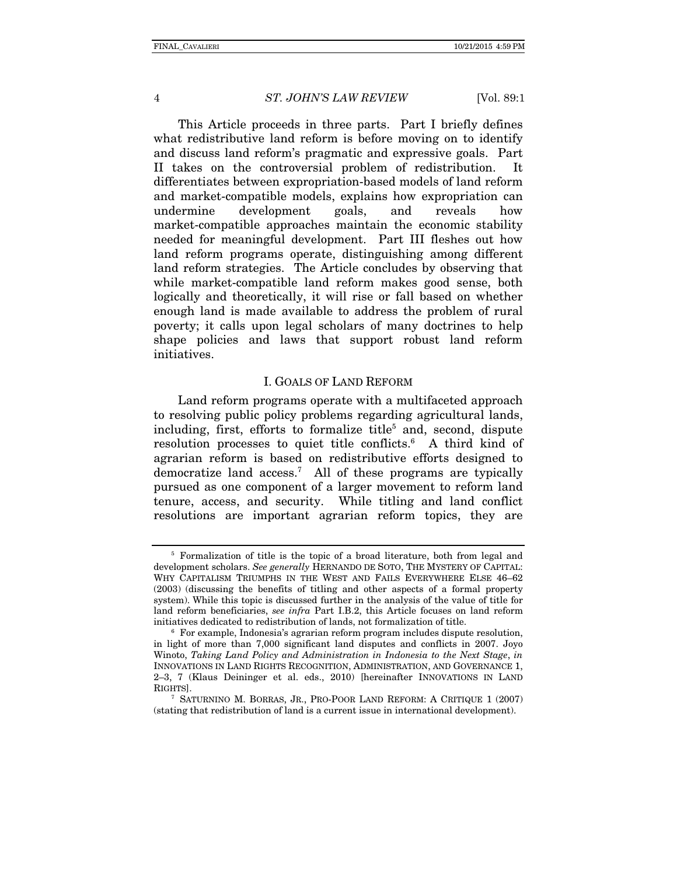This Article proceeds in three parts. Part I briefly defines what redistributive land reform is before moving on to identify and discuss land reform's pragmatic and expressive goals. Part II takes on the controversial problem of redistribution. It differentiates between expropriation-based models of land reform and market-compatible models, explains how expropriation can undermine development goals, and reveals how market-compatible approaches maintain the economic stability needed for meaningful development. Part III fleshes out how land reform programs operate, distinguishing among different land reform strategies. The Article concludes by observing that while market-compatible land reform makes good sense, both logically and theoretically, it will rise or fall based on whether enough land is made available to address the problem of rural poverty; it calls upon legal scholars of many doctrines to help shape policies and laws that support robust land reform initiatives.

#### I. GOALS OF LAND REFORM

Land reform programs operate with a multifaceted approach to resolving public policy problems regarding agricultural lands, including, first, efforts to formalize title<sup>5</sup> and, second, dispute resolution processes to quiet title conflicts.<sup>6</sup> A third kind of agrarian reform is based on redistributive efforts designed to democratize land access.7 All of these programs are typically pursued as one component of a larger movement to reform land tenure, access, and security. While titling and land conflict resolutions are important agrarian reform topics, they are

<sup>5</sup> Formalization of title is the topic of a broad literature, both from legal and development scholars. *See generally* HERNANDO DE SOTO, THE MYSTERY OF CAPITAL: WHY CAPITALISM TRIUMPHS IN THE WEST AND FAILS EVERYWHERE ELSE 46–62 (2003) (discussing the benefits of titling and other aspects of a formal property system). While this topic is discussed further in the analysis of the value of title for land reform beneficiaries, *see infra* Part I.B.2, this Article focuses on land reform initiatives dedicated to redistribution of lands, not formalization of title. 6 For example, Indonesia's agrarian reform program includes dispute resolution,

in light of more than 7,000 significant land disputes and conflicts in 2007. Joyo Winoto, *Taking Land Policy and Administration in Indonesia to the Next Stage*, *in*  INNOVATIONS IN LAND RIGHTS RECOGNITION, ADMINISTRATION, AND GOVERNANCE 1, 2–3, 7 (Klaus Deininger et al. eds., 2010) [hereinafter INNOVATIONS IN LAND RIGHTS]. 7 SATURNINO M. BORRAS, JR., PRO-POOR LAND REFORM: <sup>A</sup> CRITIQUE 1 (2007)

<sup>(</sup>stating that redistribution of land is a current issue in international development).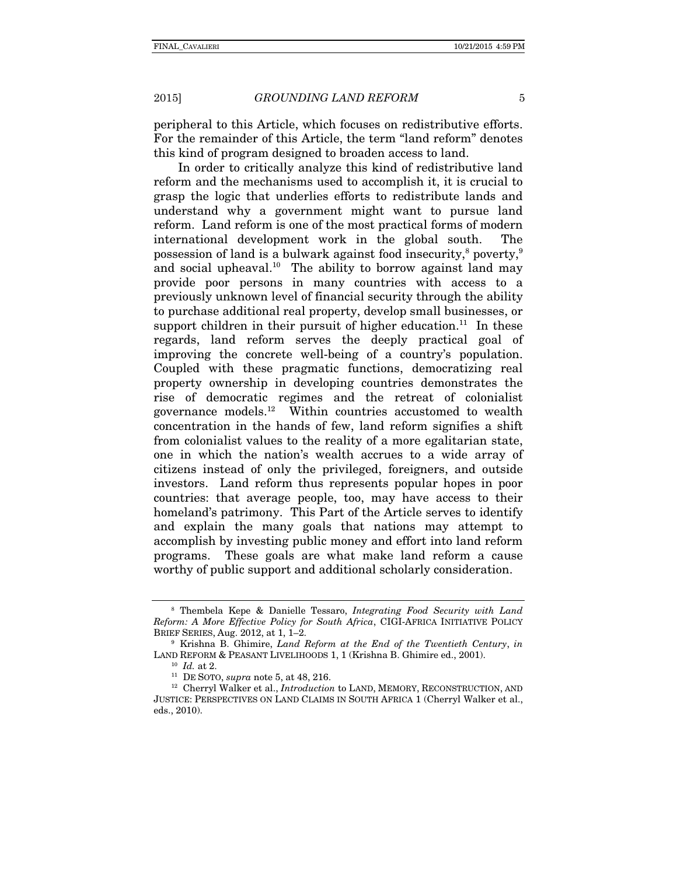peripheral to this Article, which focuses on redistributive efforts. For the remainder of this Article, the term "land reform" denotes this kind of program designed to broaden access to land.

In order to critically analyze this kind of redistributive land reform and the mechanisms used to accomplish it, it is crucial to grasp the logic that underlies efforts to redistribute lands and understand why a government might want to pursue land reform. Land reform is one of the most practical forms of modern international development work in the global south. The possession of land is a bulwark against food insecurity, $^{\rm 8}$  poverty, $^{\rm 9}$ and social upheaval.<sup>10</sup> The ability to borrow against land may provide poor persons in many countries with access to a previously unknown level of financial security through the ability to purchase additional real property, develop small businesses, or support children in their pursuit of higher education.<sup>11</sup> In these regards, land reform serves the deeply practical goal of improving the concrete well-being of a country's population. Coupled with these pragmatic functions, democratizing real property ownership in developing countries demonstrates the rise of democratic regimes and the retreat of colonialist governance models.12 Within countries accustomed to wealth concentration in the hands of few, land reform signifies a shift from colonialist values to the reality of a more egalitarian state, one in which the nation's wealth accrues to a wide array of citizens instead of only the privileged, foreigners, and outside investors. Land reform thus represents popular hopes in poor countries: that average people, too, may have access to their homeland's patrimony. This Part of the Article serves to identify and explain the many goals that nations may attempt to accomplish by investing public money and effort into land reform programs. These goals are what make land reform a cause worthy of public support and additional scholarly consideration.

<sup>8</sup> Thembela Kepe & Danielle Tessaro, *Integrating Food Security with Land Reform: A More Effective Policy for South Africa*, CIGI-AFRICA INITIATIVE POLICY

<sup>&</sup>lt;sup>9</sup> Krishna B. Ghimire, *Land Reform at the End of the Twentieth Century*, *in* LAND REFORM & PEASANT LIVELIHOODS 1, 1 (Krishna B. Ghimire ed., 2001).<br><sup>10</sup> *Id.* at 2. <sup>11</sup> DE SOTO, *supra* note 5, at 48, 216. <sup>12</sup> Cherryl Walker et al., *Introduction* to LAND, MEMORY, RECONSTRUCTION, AND

JUSTICE: PERSPECTIVES ON LAND CLAIMS IN SOUTH AFRICA 1 (Cherryl Walker et al., eds., 2010).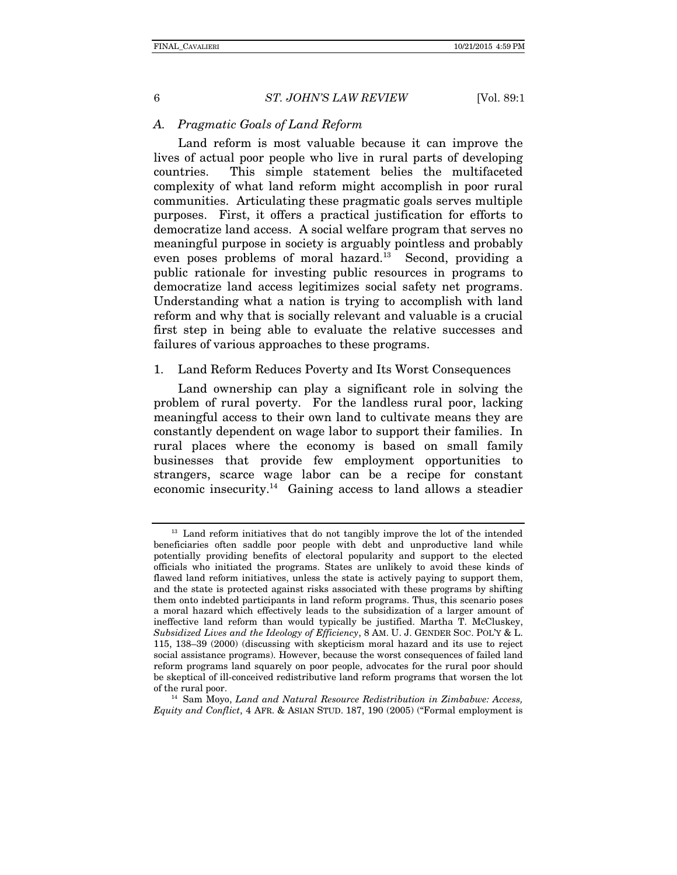#### *A. Pragmatic Goals of Land Reform*

Land reform is most valuable because it can improve the lives of actual poor people who live in rural parts of developing countries. This simple statement belies the multifaceted complexity of what land reform might accomplish in poor rural communities. Articulating these pragmatic goals serves multiple purposes. First, it offers a practical justification for efforts to democratize land access. A social welfare program that serves no meaningful purpose in society is arguably pointless and probably even poses problems of moral hazard.<sup>13</sup> Second, providing a public rationale for investing public resources in programs to democratize land access legitimizes social safety net programs. Understanding what a nation is trying to accomplish with land reform and why that is socially relevant and valuable is a crucial first step in being able to evaluate the relative successes and failures of various approaches to these programs.

## 1. Land Reform Reduces Poverty and Its Worst Consequences

Land ownership can play a significant role in solving the problem of rural poverty. For the landless rural poor, lacking meaningful access to their own land to cultivate means they are constantly dependent on wage labor to support their families. In rural places where the economy is based on small family businesses that provide few employment opportunities to strangers, scarce wage labor can be a recipe for constant economic insecurity.14 Gaining access to land allows a steadier

*Equity and Conflict*, 4 AFR. & ASIAN STUD. 187, 190 (2005) ("Formal employment is

<sup>&</sup>lt;sup>13</sup> Land reform initiatives that do not tangibly improve the lot of the intended beneficiaries often saddle poor people with debt and unproductive land while potentially providing benefits of electoral popularity and support to the elected officials who initiated the programs. States are unlikely to avoid these kinds of flawed land reform initiatives, unless the state is actively paying to support them, and the state is protected against risks associated with these programs by shifting them onto indebted participants in land reform programs. Thus, this scenario poses a moral hazard which effectively leads to the subsidization of a larger amount of ineffective land reform than would typically be justified. Martha T. McCluskey, *Subsidized Lives and the Ideology of Efficiency*, 8 AM. U. J. GENDER SOC. POL'Y & L. 115, 138–39 (2000) (discussing with skepticism moral hazard and its use to reject social assistance programs). However, because the worst consequences of failed land reform programs land squarely on poor people, advocates for the rural poor should be skeptical of ill-conceived redistributive land reform programs that worsen the lot of the rural poor. 14 Sam Moyo, *Land and Natural Resource Redistribution in Zimbabwe: Access,*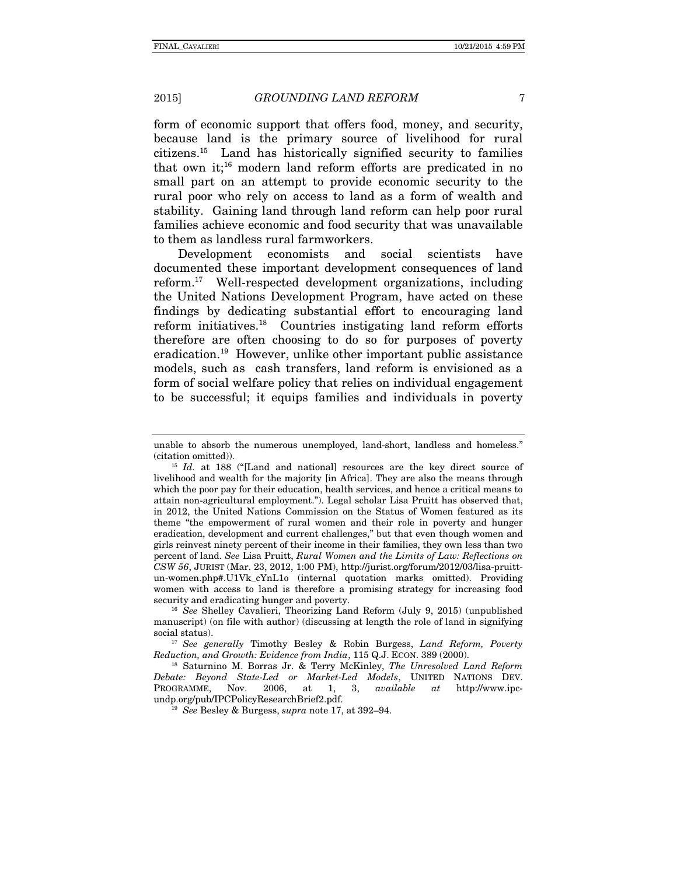form of economic support that offers food, money, and security, because land is the primary source of livelihood for rural citizens.15 Land has historically signified security to families that own it;<sup>16</sup> modern land reform efforts are predicated in no small part on an attempt to provide economic security to the rural poor who rely on access to land as a form of wealth and stability. Gaining land through land reform can help poor rural families achieve economic and food security that was unavailable to them as landless rural farmworkers.

Development economists and social scientists have documented these important development consequences of land reform.17 Well-respected development organizations, including the United Nations Development Program, have acted on these findings by dedicating substantial effort to encouraging land reform initiatives.18 Countries instigating land reform efforts therefore are often choosing to do so for purposes of poverty eradication.19 However, unlike other important public assistance models, such as cash transfers, land reform is envisioned as a form of social welfare policy that relies on individual engagement to be successful; it equips families and individuals in poverty

<sup>16</sup> See Shelley Cavalieri, Theorizing Land Reform (July 9, 2015) (unpublished manuscript) (on file with author) (discussing at length the role of land in signifying social status). 17 *See generally* Timothy Besley & Robin Burgess, *Land Reform, Poverty* 

unable to absorb the numerous unemployed, land-short, landless and homeless." (citation omitted)). <sup>15</sup> *Id.* at 188 ("[Land and national] resources are the key direct source of

livelihood and wealth for the majority [in Africa]. They are also the means through which the poor pay for their education, health services, and hence a critical means to attain non-agricultural employment."). Legal scholar Lisa Pruitt has observed that, in 2012, the United Nations Commission on the Status of Women featured as its theme "the empowerment of rural women and their role in poverty and hunger eradication, development and current challenges," but that even though women and girls reinvest ninety percent of their income in their families, they own less than two percent of land. *See* Lisa Pruitt, *Rural Women and the Limits of Law: Reflections on CSW 56*, JURIST (Mar. 23, 2012, 1:00 PM), http://jurist.org/forum/2012/03/lisa-pruittun-women.php#.U1Vk\_cYnL1o (internal quotation marks omitted). Providing women with access to land is therefore a promising strategy for increasing food

*Reduction, and Growth: Evidence from India*, 115 Q.J. ECON. 389 (2000). 18 Saturnino M. Borras Jr. & Terry McKinley, *The Unresolved Land Reform* 

*Debate: Beyond State-Led or Market-Led Models*, UNITED NATIONS DEV. PROGRAMME, Nov. 2006, at 1, 3, *available at* http://www.ipc-

<sup>&</sup>lt;sup>19</sup> See Besley & Burgess, *supra* note 17, at 392–94.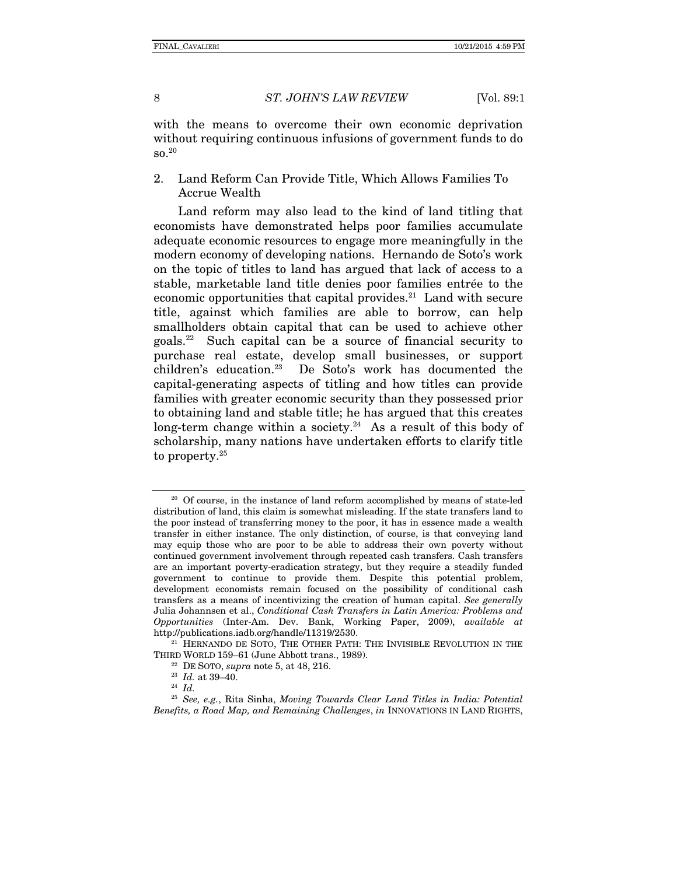with the means to overcome their own economic deprivation without requiring continuous infusions of government funds to do  $\mathrm{so.}^{20}$ 

2. Land Reform Can Provide Title, Which Allows Families To Accrue Wealth

Land reform may also lead to the kind of land titling that economists have demonstrated helps poor families accumulate adequate economic resources to engage more meaningfully in the modern economy of developing nations. Hernando de Soto's work on the topic of titles to land has argued that lack of access to a stable, marketable land title denies poor families entrée to the economic opportunities that capital provides. $21$  Land with secure title, against which families are able to borrow, can help smallholders obtain capital that can be used to achieve other goals.22 Such capital can be a source of financial security to purchase real estate, develop small businesses, or support children's education.23 De Soto's work has documented the capital-generating aspects of titling and how titles can provide families with greater economic security than they possessed prior to obtaining land and stable title; he has argued that this creates long-term change within a society.<sup>24</sup> As a result of this body of scholarship, many nations have undertaken efforts to clarify title to property.<sup>25</sup>

<sup>&</sup>lt;sup>20</sup> Of course, in the instance of land reform accomplished by means of state-led distribution of land, this claim is somewhat misleading. If the state transfers land to the poor instead of transferring money to the poor, it has in essence made a wealth transfer in either instance. The only distinction, of course, is that conveying land may equip those who are poor to be able to address their own poverty without continued government involvement through repeated cash transfers. Cash transfers are an important poverty-eradication strategy, but they require a steadily funded government to continue to provide them. Despite this potential problem, development economists remain focused on the possibility of conditional cash transfers as a means of incentivizing the creation of human capital. *See generally*  Julia Johannsen et al., *Conditional Cash Transfers in Latin America: Problems and Opportunities* (Inter-Am. Dev. Bank, Working Paper, 2009), *available at* 

 $121$  HERNANDO DE SOTO, THE OTHER PATH: THE INVISIBLE REVOLUTION IN THE THIRD WORLD 159–61 (June Abbott trans., 1989).<br><sup>22</sup> DE SOTO, *supra* note 5, at 48, 216.<br><sup>23</sup> *Id.* at 39–40.<br><sup>24</sup> *Id.* 

<sup>25</sup> *See, e.g.*, Rita Sinha, *Moving Towards Clear Land Titles in India: Potential Benefits, a Road Map, and Remaining Challenges*, *in* INNOVATIONS IN LAND RIGHTS,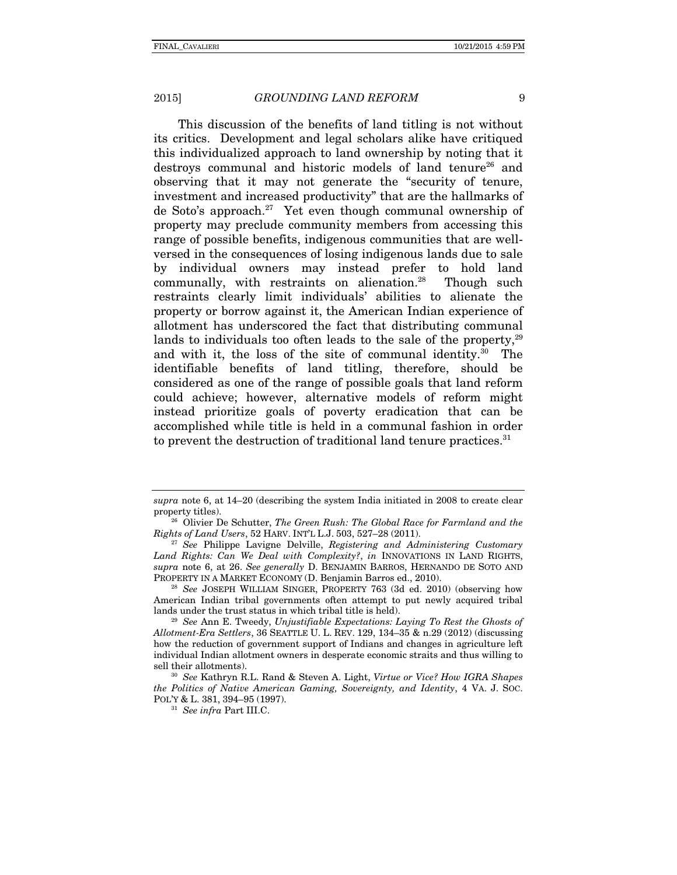This discussion of the benefits of land titling is not without its critics. Development and legal scholars alike have critiqued this individualized approach to land ownership by noting that it destroys communal and historic models of land tenure<sup>26</sup> and observing that it may not generate the "security of tenure, investment and increased productivity" that are the hallmarks of de Soto's approach.27 Yet even though communal ownership of property may preclude community members from accessing this range of possible benefits, indigenous communities that are wellversed in the consequences of losing indigenous lands due to sale by individual owners may instead prefer to hold land communally, with restraints on alienation.<sup>28</sup> Though such restraints clearly limit individuals' abilities to alienate the property or borrow against it, the American Indian experience of allotment has underscored the fact that distributing communal lands to individuals too often leads to the sale of the property. $29$ and with it, the loss of the site of communal identity.<sup>30</sup> The identifiable benefits of land titling, therefore, should be considered as one of the range of possible goals that land reform could achieve; however, alternative models of reform might instead prioritize goals of poverty eradication that can be accomplished while title is held in a communal fashion in order to prevent the destruction of traditional land tenure practices. $31$ 

*supra* note 6, at 14–20 (describing the system India initiated in 2008 to create clear property titles). 26 Olivier De Schutter, *The Green Rush: The Global Race for Farmland and the* 

*Rights of Land Users*, 52 HARV. INT'L L.J. 503, 527–28 (2011). 27 *See* Philippe Lavigne Delville, *Registering and Administering Customary* 

*Land Rights: Can We Deal with Complexity?*, *in* INNOVATIONS IN LAND RIGHTS, *supra* note 6, at 26. *See generally* D. BENJAMIN BARROS, HERNANDO DE SOTO AND PROPERTY IN A MARKET ECONOMY (D. Benjamin Barros ed., 2010). 28 *See* JOSEPH WILLIAM SINGER, PROPERTY 763 (3d ed. 2010) (observing how

American Indian tribal governments often attempt to put newly acquired tribal lands under the trust status in which tribal title is held).

<sup>&</sup>lt;sup>29</sup> See Ann E. Tweedy, *Unjustifiable Expectations: Laying To Rest the Ghosts of Allotment-Era Settlers*, 36 SEATTLE U. L. REV. 129, 134–35 & n.29 (2012) (discussing how the reduction of government support of Indians and changes in agriculture left individual Indian allotment owners in desperate economic straits and thus willing to sell their allotments). 30 *See* Kathryn R.L. Rand & Steven A. Light, *Virtue or Vice? How IGRA Shapes* 

*the Politics of Native American Gaming, Sovereignty, and Identity*, 4 VA. J. SOC. POL'Y & L. 381, 394–95 (1997). 31 *See infra* Part III.C.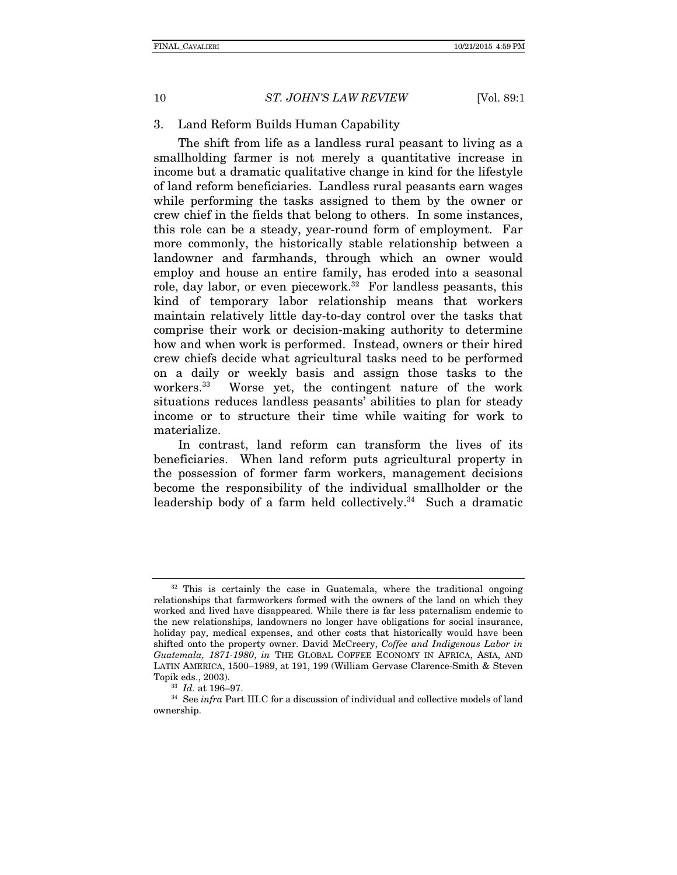#### 3. Land Reform Builds Human Capability

The shift from life as a landless rural peasant to living as a smallholding farmer is not merely a quantitative increase in income but a dramatic qualitative change in kind for the lifestyle of land reform beneficiaries. Landless rural peasants earn wages while performing the tasks assigned to them by the owner or crew chief in the fields that belong to others. In some instances, this role can be a steady, year-round form of employment. Far more commonly, the historically stable relationship between a landowner and farmhands, through which an owner would employ and house an entire family, has eroded into a seasonal role, day labor, or even piecework.<sup>32</sup> For landless peasants, this kind of temporary labor relationship means that workers maintain relatively little day-to-day control over the tasks that comprise their work or decision-making authority to determine how and when work is performed. Instead, owners or their hired crew chiefs decide what agricultural tasks need to be performed on a daily or weekly basis and assign those tasks to the workers.33 Worse yet, the contingent nature of the work situations reduces landless peasants' abilities to plan for steady income or to structure their time while waiting for work to materialize.

In contrast, land reform can transform the lives of its beneficiaries. When land reform puts agricultural property in the possession of former farm workers, management decisions become the responsibility of the individual smallholder or the leadership body of a farm held collectively.<sup>34</sup> Such a dramatic

<sup>&</sup>lt;sup>32</sup> This is certainly the case in Guatemala, where the traditional ongoing relationships that farmworkers formed with the owners of the land on which they worked and lived have disappeared. While there is far less paternalism endemic to the new relationships, landowners no longer have obligations for social insurance, holiday pay, medical expenses, and other costs that historically would have been shifted onto the property owner. David McCreery, *Coffee and Indigenous Labor in Guatemala, 1871-1980*, *in* THE GLOBAL COFFEE ECONOMY IN AFRICA, ASIA, AND LATIN AMERICA, 1500–1989, at 191, 199 (William Gervase Clarence-Smith & Steven Topik eds., 2003).<br><sup>33</sup> *Id.* at 196–97.<br><sup>34</sup> See *infra* Part III.C for a discussion of individual and collective models of land

ownership.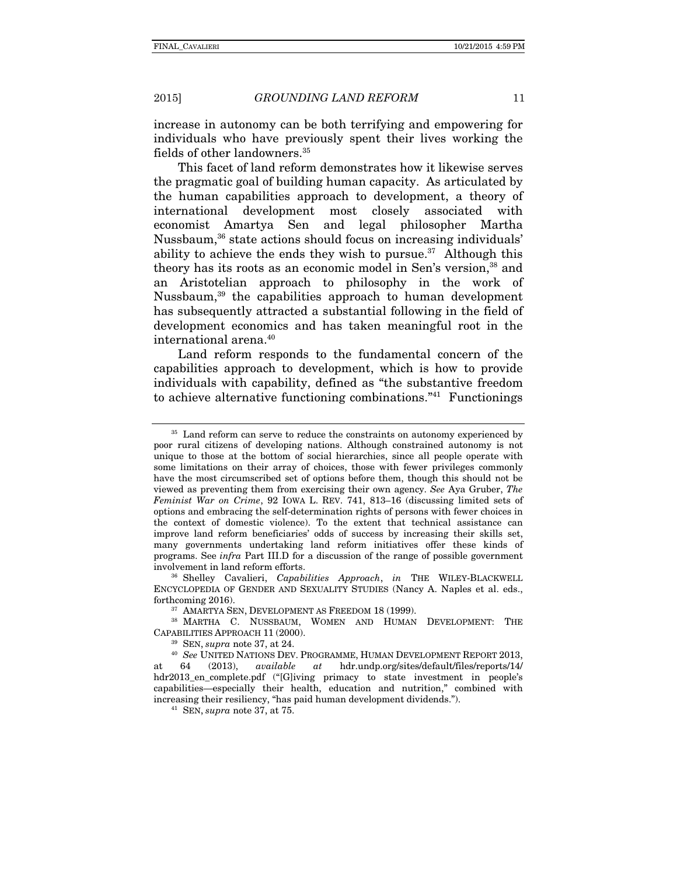increase in autonomy can be both terrifying and empowering for individuals who have previously spent their lives working the fields of other landowners.<sup>35</sup>

This facet of land reform demonstrates how it likewise serves the pragmatic goal of building human capacity. As articulated by the human capabilities approach to development, a theory of international development most closely associated with economist Amartya Sen and legal philosopher Martha Nussbaum,36 state actions should focus on increasing individuals' ability to achieve the ends they wish to pursue.<sup>37</sup> Although this theory has its roots as an economic model in Sen's version.<sup>38</sup> and an Aristotelian approach to philosophy in the work of Nussbaum,39 the capabilities approach to human development has subsequently attracted a substantial following in the field of development economics and has taken meaningful root in the international arena.40

Land reform responds to the fundamental concern of the capabilities approach to development, which is how to provide individuals with capability, defined as "the substantive freedom to achieve alternative functioning combinations."41 Functionings

<sup>&</sup>lt;sup>35</sup> Land reform can serve to reduce the constraints on autonomy experienced by poor rural citizens of developing nations. Although constrained autonomy is not unique to those at the bottom of social hierarchies, since all people operate with some limitations on their array of choices, those with fewer privileges commonly have the most circumscribed set of options before them, though this should not be viewed as preventing them from exercising their own agency. *See* Aya Gruber, *The Feminist War on Crime*, 92 IOWA L. REV. 741, 813–16 (discussing limited sets of options and embracing the self-determination rights of persons with fewer choices in the context of domestic violence). To the extent that technical assistance can improve land reform beneficiaries' odds of success by increasing their skills set, many governments undertaking land reform initiatives offer these kinds of programs. See *infra* Part III.D for a discussion of the range of possible government involvement in land reform efforts. 36 Shelley Cavalieri, *Capabilities Approach*, *in* THE WILEY-BLACKWELL

ENCYCLOPEDIA OF GENDER AND SEXUALITY STUDIES (Nancy A. Naples et al. eds., forthcoming 2016).<br><sup>37</sup> AMARTYA SEN, DEVELOPMENT AS FREEDOM 18 (1999).<br><sup>38</sup> MARTHA C. NUSSBAUM, WOMEN AND HUMAN DEVELOPMENT: THE

CAPABILITIES APPROACH 11 (2000). 39 SEN, *supra* note 37, at 24.

<sup>40</sup> *See* UNITED NATIONS DEV. PROGRAMME, HUMAN DEVELOPMENT REPORT 2013, at 64 (2013), *available at* hdr.undp.org/sites/default/files/reports/14/ hdr2013\_en\_complete.pdf ("[G]iving primacy to state investment in people's capabilities—especially their health, education and nutrition," combined with increasing their resiliency, "has paid human development dividends."). 41 SEN, *supra* note 37, at 75.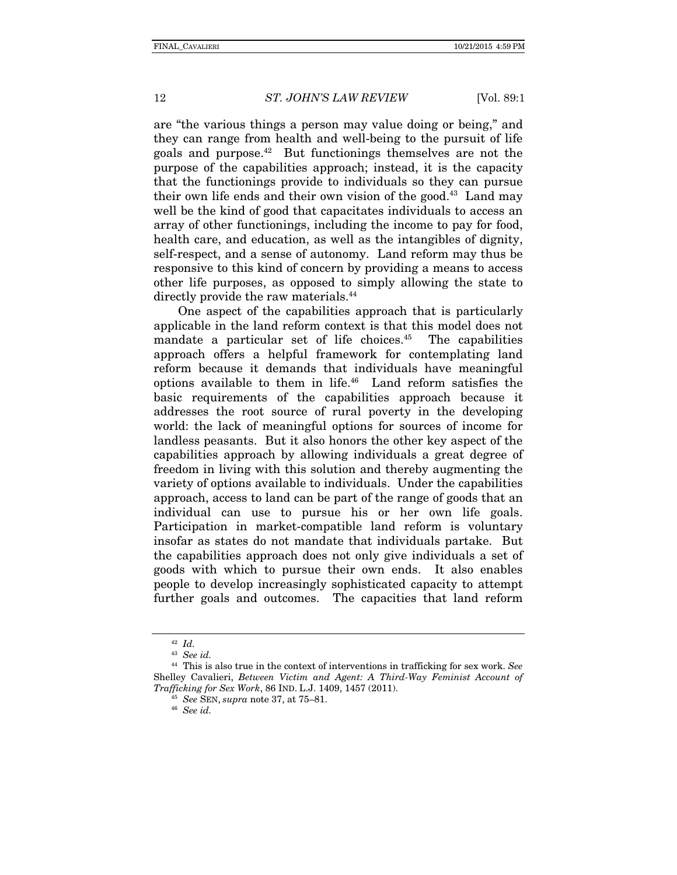are "the various things a person may value doing or being," and they can range from health and well-being to the pursuit of life goals and purpose.42 But functionings themselves are not the purpose of the capabilities approach; instead, it is the capacity that the functionings provide to individuals so they can pursue their own life ends and their own vision of the good.<sup>43</sup> Land may well be the kind of good that capacitates individuals to access an array of other functionings, including the income to pay for food, health care, and education, as well as the intangibles of dignity, self-respect, and a sense of autonomy. Land reform may thus be responsive to this kind of concern by providing a means to access other life purposes, as opposed to simply allowing the state to directly provide the raw materials.<sup>44</sup>

One aspect of the capabilities approach that is particularly applicable in the land reform context is that this model does not mandate a particular set of life choices. $45$  The capabilities approach offers a helpful framework for contemplating land reform because it demands that individuals have meaningful options available to them in life.46 Land reform satisfies the basic requirements of the capabilities approach because it addresses the root source of rural poverty in the developing world: the lack of meaningful options for sources of income for landless peasants. But it also honors the other key aspect of the capabilities approach by allowing individuals a great degree of freedom in living with this solution and thereby augmenting the variety of options available to individuals. Under the capabilities approach, access to land can be part of the range of goods that an individual can use to pursue his or her own life goals. Participation in market-compatible land reform is voluntary insofar as states do not mandate that individuals partake. But the capabilities approach does not only give individuals a set of goods with which to pursue their own ends. It also enables people to develop increasingly sophisticated capacity to attempt further goals and outcomes. The capacities that land reform

<sup>42</sup> *Id.*

<sup>43</sup> *See id.*

<sup>44</sup> This is also true in the context of interventions in trafficking for sex work. *See* Shelley Cavalieri, *Between Victim and Agent: A Third-Way Feminist Account of Trafficking for Sex Work*, 86 IND. L.J. 1409, 1457 (2011). 45 *See* SEN, *supra* note 37, at 75–81. 46 *See id.*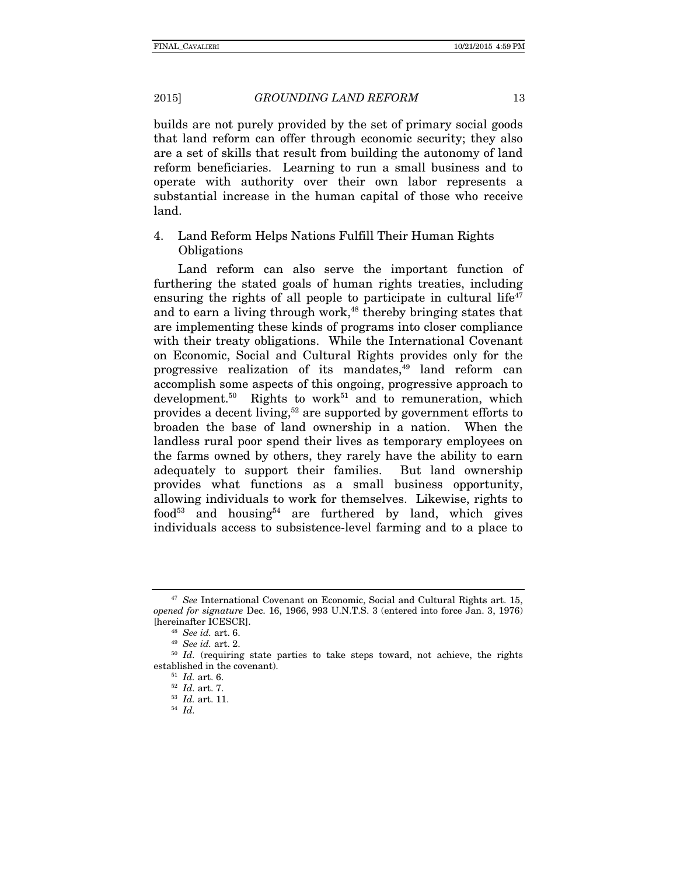builds are not purely provided by the set of primary social goods that land reform can offer through economic security; they also are a set of skills that result from building the autonomy of land reform beneficiaries. Learning to run a small business and to operate with authority over their own labor represents a substantial increase in the human capital of those who receive land.

4. Land Reform Helps Nations Fulfill Their Human Rights **Obligations** 

Land reform can also serve the important function of furthering the stated goals of human rights treaties, including ensuring the rights of all people to participate in cultural life<sup> $47$ </sup> and to earn a living through work,<sup>48</sup> thereby bringing states that are implementing these kinds of programs into closer compliance with their treaty obligations. While the International Covenant on Economic, Social and Cultural Rights provides only for the progressive realization of its mandates, $49$  land reform can accomplish some aspects of this ongoing, progressive approach to development.<sup>50</sup> Rights to work<sup>51</sup> and to remuneration, which provides a decent living,<sup>52</sup> are supported by government efforts to broaden the base of land ownership in a nation. When the landless rural poor spend their lives as temporary employees on the farms owned by others, they rarely have the ability to earn adequately to support their families. But land ownership provides what functions as a small business opportunity, allowing individuals to work for themselves. Likewise, rights to food<sup>53</sup> and housing<sup>54</sup> are furthered by land, which gives individuals access to subsistence-level farming and to a place to

<sup>47</sup> *See* International Covenant on Economic, Social and Cultural Rights art. 15, *opened for signature* Dec. 16, 1966, 993 U.N.T.S. 3 (entered into force Jan. 3, 1976) [hereinafter ICESCR]. 48 *See id.* art. 6. 49 *See id.* art. 2. 50 *Id.* (requiring state parties to take steps toward, not achieve, the rights

established in the covenant).<br>
<sup>51</sup> *Id.* art. 6.<br>
<sup>52</sup> *Id.* art. 7.<br>
<sup>53</sup> *Id.* art. 11.<br>
<sup>54</sup> *Id.*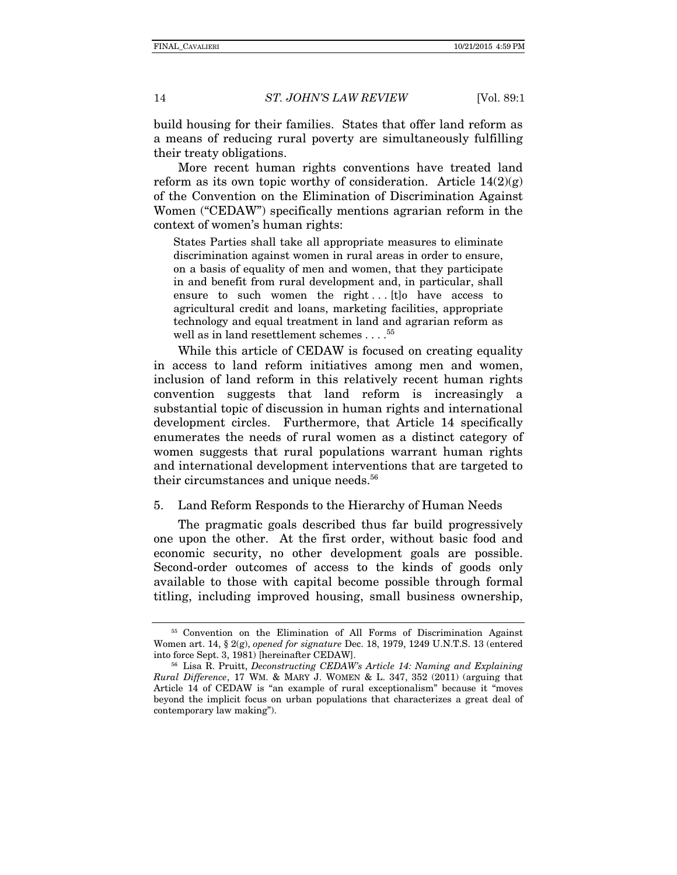build housing for their families. States that offer land reform as a means of reducing rural poverty are simultaneously fulfilling their treaty obligations.

More recent human rights conventions have treated land reform as its own topic worthy of consideration. Article  $14(2)(g)$ of the Convention on the Elimination of Discrimination Against Women ("CEDAW") specifically mentions agrarian reform in the context of women's human rights:

States Parties shall take all appropriate measures to eliminate discrimination against women in rural areas in order to ensure, on a basis of equality of men and women, that they participate in and benefit from rural development and, in particular, shall ensure to such women the right... $[t]$ o have access to agricultural credit and loans, marketing facilities, appropriate technology and equal treatment in land and agrarian reform as well as in land resettlement schemes . . . . <sup>55</sup>

While this article of CEDAW is focused on creating equality in access to land reform initiatives among men and women, inclusion of land reform in this relatively recent human rights convention suggests that land reform is increasingly a substantial topic of discussion in human rights and international development circles. Furthermore, that Article 14 specifically enumerates the needs of rural women as a distinct category of women suggests that rural populations warrant human rights and international development interventions that are targeted to their circumstances and unique needs.<sup>56</sup>

5. Land Reform Responds to the Hierarchy of Human Needs

The pragmatic goals described thus far build progressively one upon the other. At the first order, without basic food and economic security, no other development goals are possible. Second-order outcomes of access to the kinds of goods only available to those with capital become possible through formal titling, including improved housing, small business ownership,

<sup>55</sup> Convention on the Elimination of All Forms of Discrimination Against Women art. 14, § 2(g), *opened for signature* Dec. 18, 1979, 1249 U.N.T.S. 13 (entered into force Sept. 3, 1981) [hereinafter CEDAW].<br><sup>56</sup> Lisa R. Pruitt, *Deconstructing CEDAW's Article 14: Naming and Explaining* 

*Rural Difference*, 17 WM. & MARY J. WOMEN & L. 347, 352 (2011) (arguing that Article 14 of CEDAW is "an example of rural exceptionalism" because it "moves beyond the implicit focus on urban populations that characterizes a great deal of contemporary law making").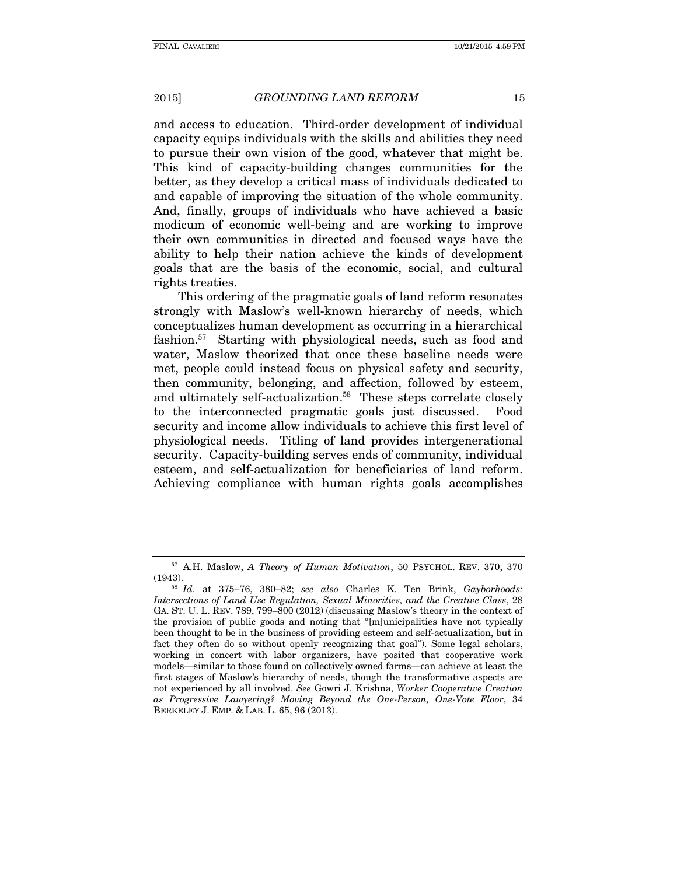and access to education. Third-order development of individual capacity equips individuals with the skills and abilities they need to pursue their own vision of the good, whatever that might be. This kind of capacity-building changes communities for the better, as they develop a critical mass of individuals dedicated to and capable of improving the situation of the whole community. And, finally, groups of individuals who have achieved a basic modicum of economic well-being and are working to improve their own communities in directed and focused ways have the ability to help their nation achieve the kinds of development goals that are the basis of the economic, social, and cultural rights treaties.

This ordering of the pragmatic goals of land reform resonates strongly with Maslow's well-known hierarchy of needs, which conceptualizes human development as occurring in a hierarchical fashion.57 Starting with physiological needs, such as food and water, Maslow theorized that once these baseline needs were met, people could instead focus on physical safety and security, then community, belonging, and affection, followed by esteem, and ultimately self-actualization.<sup>58</sup> These steps correlate closely to the interconnected pragmatic goals just discussed. Food security and income allow individuals to achieve this first level of physiological needs. Titling of land provides intergenerational security. Capacity-building serves ends of community, individual esteem, and self-actualization for beneficiaries of land reform. Achieving compliance with human rights goals accomplishes

<sup>57</sup> A.H. Maslow, *A Theory of Human Motivation*, 50 PSYCHOL. REV. 370, 370 (1943). 58 *Id.* at 375–76, 380–82; *see also* Charles K. Ten Brink, *Gayborhoods:* 

*Intersections of Land Use Regulation, Sexual Minorities, and the Creative Class*, 28 GA. ST. U. L. REV. 789, 799–800 (2012) (discussing Maslow's theory in the context of the provision of public goods and noting that "[m]unicipalities have not typically been thought to be in the business of providing esteem and self-actualization, but in fact they often do so without openly recognizing that goal"). Some legal scholars, working in concert with labor organizers, have posited that cooperative work models—similar to those found on collectively owned farms—can achieve at least the first stages of Maslow's hierarchy of needs, though the transformative aspects are not experienced by all involved. *See* Gowri J. Krishna, *Worker Cooperative Creation as Progressive Lawyering? Moving Beyond the One-Person, One-Vote Floor*, 34 BERKELEY J. EMP. & LAB. L. 65, 96 (2013).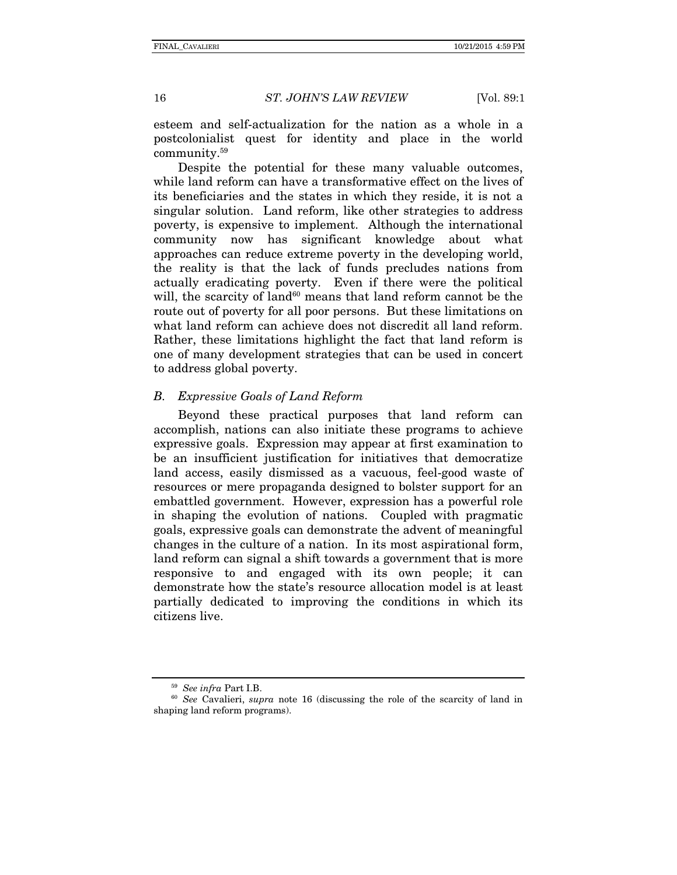esteem and self-actualization for the nation as a whole in a postcolonialist quest for identity and place in the world community.59

Despite the potential for these many valuable outcomes, while land reform can have a transformative effect on the lives of its beneficiaries and the states in which they reside, it is not a singular solution. Land reform, like other strategies to address poverty, is expensive to implement. Although the international community now has significant knowledge about what approaches can reduce extreme poverty in the developing world, the reality is that the lack of funds precludes nations from actually eradicating poverty. Even if there were the political will, the scarcity of land $60$  means that land reform cannot be the route out of poverty for all poor persons. But these limitations on what land reform can achieve does not discredit all land reform. Rather, these limitations highlight the fact that land reform is one of many development strategies that can be used in concert to address global poverty.

#### *B. Expressive Goals of Land Reform*

Beyond these practical purposes that land reform can accomplish, nations can also initiate these programs to achieve expressive goals. Expression may appear at first examination to be an insufficient justification for initiatives that democratize land access, easily dismissed as a vacuous, feel-good waste of resources or mere propaganda designed to bolster support for an embattled government. However, expression has a powerful role in shaping the evolution of nations. Coupled with pragmatic goals, expressive goals can demonstrate the advent of meaningful changes in the culture of a nation. In its most aspirational form, land reform can signal a shift towards a government that is more responsive to and engaged with its own people; it can demonstrate how the state's resource allocation model is at least partially dedicated to improving the conditions in which its citizens live.

<sup>&</sup>lt;sup>59</sup> *See infra* Part I.B.<br><sup>60</sup> *See* Cavalieri, *supra* note 16 (discussing the role of the scarcity of land in shaping land reform programs).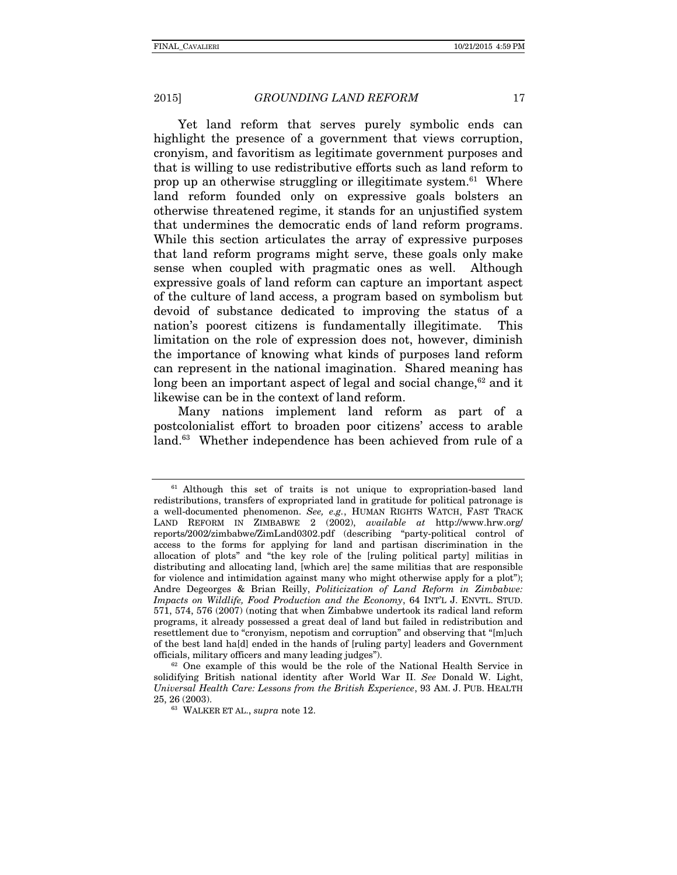Yet land reform that serves purely symbolic ends can highlight the presence of a government that views corruption, cronyism, and favoritism as legitimate government purposes and that is willing to use redistributive efforts such as land reform to prop up an otherwise struggling or illegitimate system.<sup>61</sup> Where land reform founded only on expressive goals bolsters an otherwise threatened regime, it stands for an unjustified system that undermines the democratic ends of land reform programs. While this section articulates the array of expressive purposes that land reform programs might serve, these goals only make sense when coupled with pragmatic ones as well. Although expressive goals of land reform can capture an important aspect of the culture of land access, a program based on symbolism but devoid of substance dedicated to improving the status of a nation's poorest citizens is fundamentally illegitimate. This limitation on the role of expression does not, however, diminish the importance of knowing what kinds of purposes land reform can represent in the national imagination. Shared meaning has long been an important aspect of legal and social change, $62$  and it likewise can be in the context of land reform.

Many nations implement land reform as part of a postcolonialist effort to broaden poor citizens' access to arable land.<sup>63</sup> Whether independence has been achieved from rule of a

<sup>&</sup>lt;sup>61</sup> Although this set of traits is not unique to expropriation-based land redistributions, transfers of expropriated land in gratitude for political patronage is a well-documented phenomenon. *See, e.g.*, HUMAN RIGHTS WATCH, FAST TRACK LAND REFORM IN ZIMBABWE 2 (2002), *available at* http://www.hrw.org/ reports/2002/zimbabwe/ZimLand0302.pdf (describing "party-political control of access to the forms for applying for land and partisan discrimination in the allocation of plots" and "the key role of the [ruling political party] militias in distributing and allocating land, [which are] the same militias that are responsible for violence and intimidation against many who might otherwise apply for a plot"); Andre Degeorges & Brian Reilly, *Politicization of Land Reform in Zimbabwe: Impacts on Wildlife, Food Production and the Economy*, 64 INT'L J. ENVTL. STUD. 571, 574, 576 (2007) (noting that when Zimbabwe undertook its radical land reform programs, it already possessed a great deal of land but failed in redistribution and resettlement due to "cronyism, nepotism and corruption" and observing that "[m]uch of the best land ha[d] ended in the hands of [ruling party] leaders and Government officials, military officers and many leading judges").

 $62$  One example of this would be the role of the National Health Service in solidifying British national identity after World War II. *See* Donald W. Light, *Universal Health Care: Lessons from the British Experience*, 93 AM. J. PUB. HEALTH 25, 26 (2003). 63 WALKER ET AL., *supra* note 12.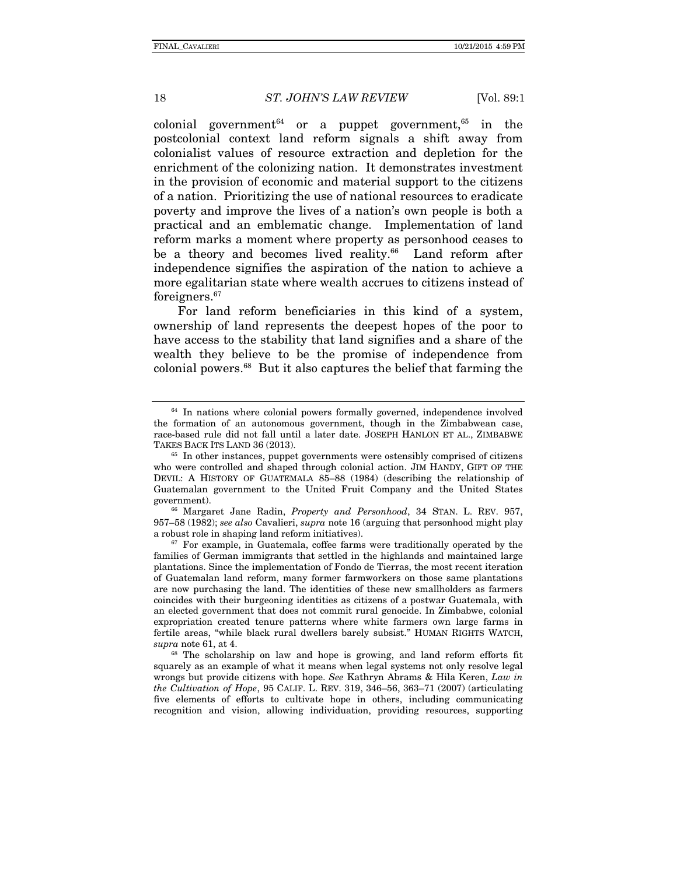colonial government<sup>64</sup> or a puppet government.<sup>65</sup> in the postcolonial context land reform signals a shift away from colonialist values of resource extraction and depletion for the enrichment of the colonizing nation. It demonstrates investment in the provision of economic and material support to the citizens of a nation. Prioritizing the use of national resources to eradicate poverty and improve the lives of a nation's own people is both a practical and an emblematic change. Implementation of land reform marks a moment where property as personhood ceases to be a theory and becomes lived reality.<sup>66</sup> Land reform after independence signifies the aspiration of the nation to achieve a more egalitarian state where wealth accrues to citizens instead of foreigners.67

For land reform beneficiaries in this kind of a system, ownership of land represents the deepest hopes of the poor to have access to the stability that land signifies and a share of the wealth they believe to be the promise of independence from colonial powers.68 But it also captures the belief that farming the

957–58 (1982); *see also* Cavalieri, *supra* note 16 (arguing that personhood might play a robust role in shaping land reform initiatives).<br><sup>67</sup> For example, in Guatemala, coffee farms were traditionally operated by the

families of German immigrants that settled in the highlands and maintained large plantations. Since the implementation of Fondo de Tierras, the most recent iteration of Guatemalan land reform, many former farmworkers on those same plantations are now purchasing the land. The identities of these new smallholders as farmers coincides with their burgeoning identities as citizens of a postwar Guatemala, with an elected government that does not commit rural genocide. In Zimbabwe, colonial expropriation created tenure patterns where white farmers own large farms in fertile areas, "while black rural dwellers barely subsist." HUMAN RIGHTS WATCH, *supra* note 61, at 4.

<sup>68</sup> The scholarship on law and hope is growing, and land reform efforts fit squarely as an example of what it means when legal systems not only resolve legal wrongs but provide citizens with hope. *See* Kathryn Abrams & Hila Keren, *Law in the Cultivation of Hope*, 95 CALIF. L. REV. 319, 346–56, 363–71 (2007) (articulating five elements of efforts to cultivate hope in others, including communicating recognition and vision, allowing individuation, providing resources, supporting

 $64$  In nations where colonial powers formally governed, independence involved the formation of an autonomous government, though in the Zimbabwean case, race-based rule did not fall until a later date. JOSEPH HANLON ET AL., ZIMBABWE TAKES BACK ITS LAND 36 (2013).

 $65$  In other instances, puppet governments were ostensibly comprised of citizens who were controlled and shaped through colonial action. JIM HANDY, GIFT OF THE DEVIL: A HISTORY OF GUATEMALA 85–88 (1984) (describing the relationship of Guatemalan government to the United Fruit Company and the United States government). 66 Margaret Jane Radin, *Property and Personhood*, 34 STAN. L. REV. 957,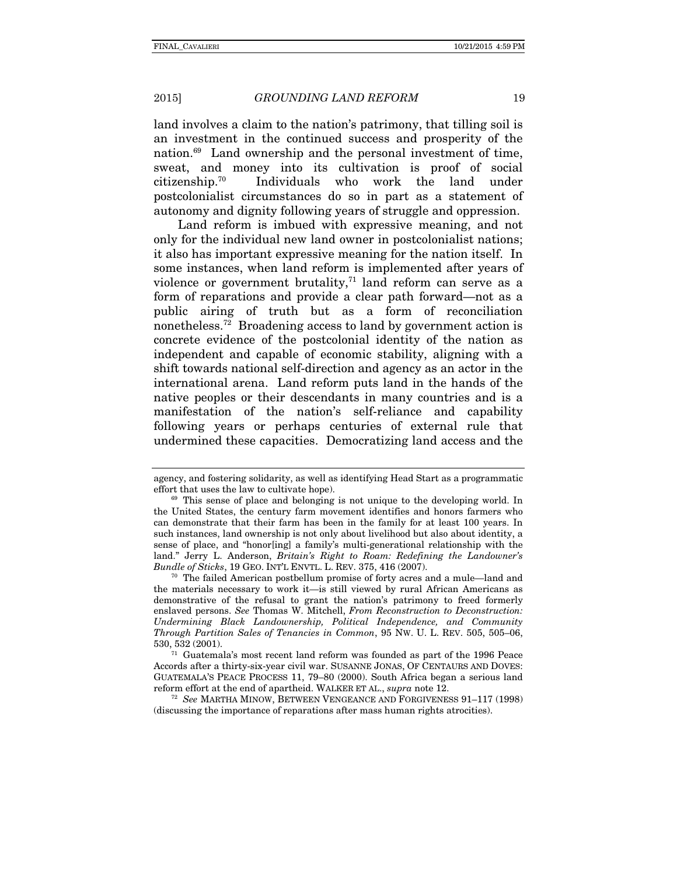land involves a claim to the nation's patrimony, that tilling soil is an investment in the continued success and prosperity of the nation.69 Land ownership and the personal investment of time, sweat, and money into its cultivation is proof of social citizenship.70 Individuals who work the land under postcolonialist circumstances do so in part as a statement of autonomy and dignity following years of struggle and oppression.

Land reform is imbued with expressive meaning, and not only for the individual new land owner in postcolonialist nations; it also has important expressive meaning for the nation itself. In some instances, when land reform is implemented after years of violence or government brutality,<sup>71</sup> land reform can serve as a form of reparations and provide a clear path forward—not as a public airing of truth but as a form of reconciliation nonetheless.72 Broadening access to land by government action is concrete evidence of the postcolonial identity of the nation as independent and capable of economic stability, aligning with a shift towards national self-direction and agency as an actor in the international arena. Land reform puts land in the hands of the native peoples or their descendants in many countries and is a manifestation of the nation's self-reliance and capability following years or perhaps centuries of external rule that undermined these capacities. Democratizing land access and the

<sup>70</sup> The failed American postbellum promise of forty acres and a mule—land and the materials necessary to work it—is still viewed by rural African Americans as demonstrative of the refusal to grant the nation's patrimony to freed formerly enslaved persons. *See* Thomas W. Mitchell, *From Reconstruction to Deconstruction: Undermining Black Landownership, Political Independence, and Community Through Partition Sales of Tenancies in Common*, 95 NW. U. L. REV. 505, 505–06, 530, 532 (2001).  $71$  Guatemala's most recent land reform was founded as part of the 1996 Peace

Accords after a thirty-six-year civil war. SUSANNE JONAS, OF CENTAURS AND DOVES: GUATEMALA'S PEACE PROCESS 11, 79–80 (2000). South Africa began a serious land reform effort at the end of apartheid. WALKER ET AL., *supra* note 12.

<sup>72</sup> *See* MARTHA MINOW, BETWEEN VENGEANCE AND FORGIVENESS 91–117 (1998) (discussing the importance of reparations after mass human rights atrocities).

agency, and fostering solidarity, as well as identifying Head Start as a programmatic

 $e^{69}$  This sense of place and belonging is not unique to the developing world. In the United States, the century farm movement identifies and honors farmers who can demonstrate that their farm has been in the family for at least 100 years. In such instances, land ownership is not only about livelihood but also about identity, a sense of place, and "honor[ing] a family's multi-generational relationship with the land." Jerry L. Anderson, *Britain's Right to Roam: Redefining the Landowner's*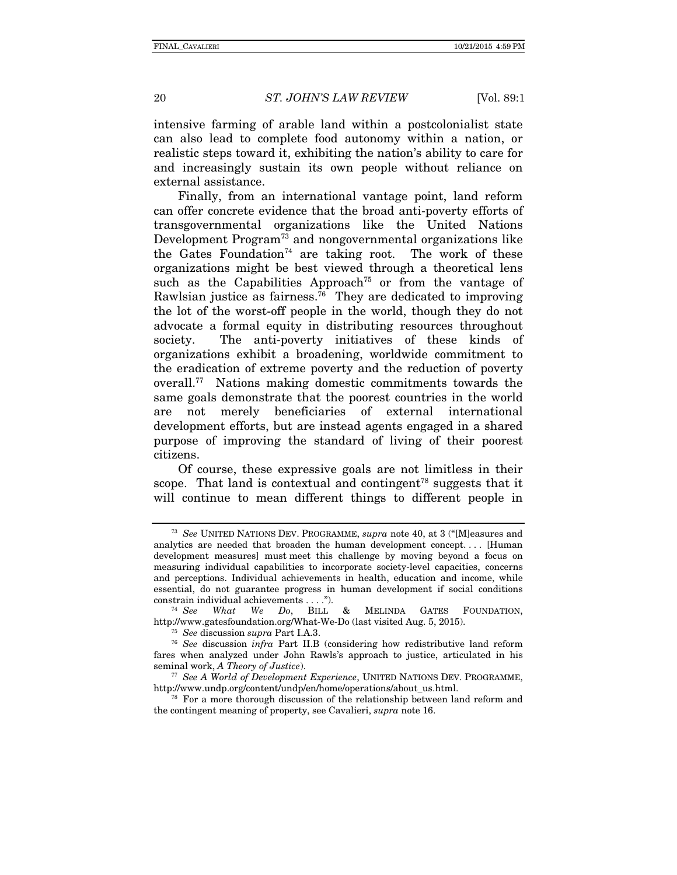intensive farming of arable land within a postcolonialist state can also lead to complete food autonomy within a nation, or realistic steps toward it, exhibiting the nation's ability to care for and increasingly sustain its own people without reliance on external assistance.

Finally, from an international vantage point, land reform can offer concrete evidence that the broad anti-poverty efforts of transgovernmental organizations like the United Nations Development Program<sup>73</sup> and nongovernmental organizations like the Gates Foundation<sup>74</sup> are taking root. The work of these organizations might be best viewed through a theoretical lens such as the Capabilities Approach<sup> $75$ </sup> or from the vantage of Rawlsian justice as fairness.<sup>76</sup> They are dedicated to improving the lot of the worst-off people in the world, though they do not advocate a formal equity in distributing resources throughout society. The anti-poverty initiatives of these kinds of organizations exhibit a broadening, worldwide commitment to the eradication of extreme poverty and the reduction of poverty overall.77 Nations making domestic commitments towards the same goals demonstrate that the poorest countries in the world are not merely beneficiaries of external international development efforts, but are instead agents engaged in a shared purpose of improving the standard of living of their poorest citizens.

Of course, these expressive goals are not limitless in their scope. That land is contextual and contingent<sup>78</sup> suggests that it will continue to mean different things to different people in

<sup>73</sup> *See* UNITED NATIONS DEV. PROGRAMME, *supra* note 40, at 3 ("[M]easures and analytics are needed that broaden the human development concept. . . . [Human development measures] must meet this challenge by moving beyond a focus on measuring individual capabilities to incorporate society-level capacities, concerns and perceptions. Individual achievements in health, education and income, while essential, do not guarantee progress in human development if social conditions constrain individual achievements . . . ."). 74 *See What We Do*, BILL & MELINDA GATES FOUNDATION,

http://www.gatesfoundation.org/What-We-Do (last visited Aug. 5, 2015). 75 *See* discussion *supra* Part I.A.3. 76 *See* discussion *infra* Part II.B (considering how redistributive land reform

fares when analyzed under John Rawls's approach to justice, articulated in his seminal work, A Theory of Justice).

<sup>&</sup>lt;sup>77</sup> *See A World of Development Experience*, UNITED NATIONS DEV. PROGRAMME, http://www.undp.org/content/undp/en/home/operations/about\_us.html. 78 For a more thorough discussion of the relationship between land reform and

the contingent meaning of property, see Cavalieri, *supra* note 16.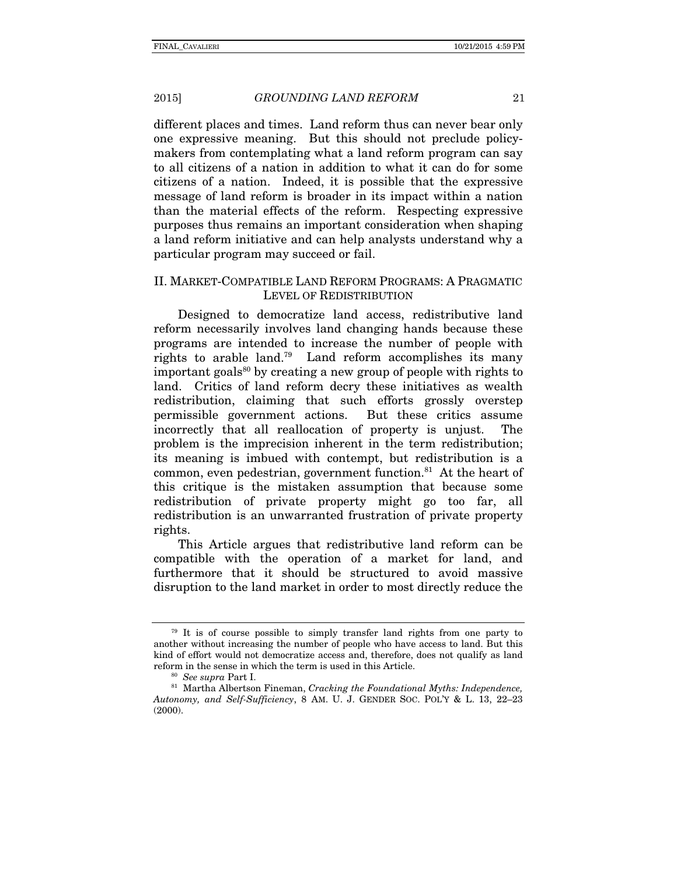different places and times. Land reform thus can never bear only one expressive meaning. But this should not preclude policymakers from contemplating what a land reform program can say to all citizens of a nation in addition to what it can do for some citizens of a nation. Indeed, it is possible that the expressive message of land reform is broader in its impact within a nation than the material effects of the reform. Respecting expressive purposes thus remains an important consideration when shaping a land reform initiative and can help analysts understand why a particular program may succeed or fail.

## II. MARKET-COMPATIBLE LAND REFORM PROGRAMS: A PRAGMATIC LEVEL OF REDISTRIBUTION

Designed to democratize land access, redistributive land reform necessarily involves land changing hands because these programs are intended to increase the number of people with rights to arable land.79 Land reform accomplishes its many important goals<sup>80</sup> by creating a new group of people with rights to land. Critics of land reform decry these initiatives as wealth redistribution, claiming that such efforts grossly overstep permissible government actions. But these critics assume incorrectly that all reallocation of property is unjust. The problem is the imprecision inherent in the term redistribution; its meaning is imbued with contempt, but redistribution is a common, even pedestrian, government function. $81$  At the heart of this critique is the mistaken assumption that because some redistribution of private property might go too far, all redistribution is an unwarranted frustration of private property rights.

This Article argues that redistributive land reform can be compatible with the operation of a market for land, and furthermore that it should be structured to avoid massive disruption to the land market in order to most directly reduce the

<sup>79</sup> It is of course possible to simply transfer land rights from one party to another without increasing the number of people who have access to land. But this kind of effort would not democratize access and, therefore, does not qualify as land reform in the sense in which the term is used in this Article.

reform in the sense in which the term is used in this Article. 80 *See supra* Part I. 81 Martha Albertson Fineman, *Cracking the Foundational Myths: Independence, Autonomy, and Self-Sufficiency*, 8 AM. U. J. GENDER SOC. POL'Y & L. 13, 22–23 (2000).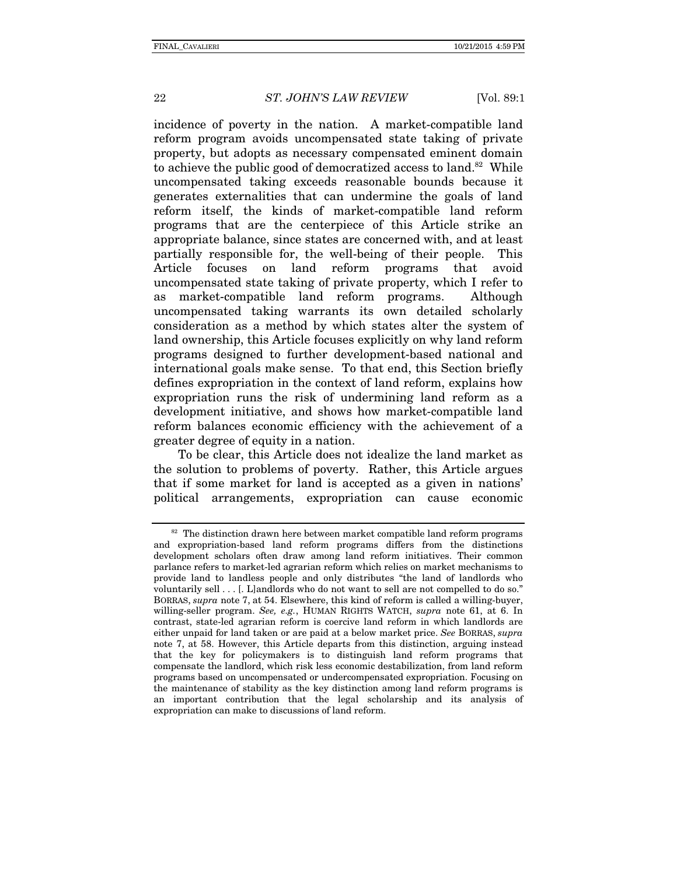incidence of poverty in the nation. A market-compatible land reform program avoids uncompensated state taking of private property, but adopts as necessary compensated eminent domain to achieve the public good of democratized access to land.<sup>82</sup> While uncompensated taking exceeds reasonable bounds because it generates externalities that can undermine the goals of land reform itself, the kinds of market-compatible land reform programs that are the centerpiece of this Article strike an appropriate balance, since states are concerned with, and at least partially responsible for, the well-being of their people. This Article focuses on land reform programs that avoid uncompensated state taking of private property, which I refer to as market-compatible land reform programs. Although uncompensated taking warrants its own detailed scholarly consideration as a method by which states alter the system of land ownership, this Article focuses explicitly on why land reform programs designed to further development-based national and international goals make sense. To that end, this Section briefly defines expropriation in the context of land reform, explains how expropriation runs the risk of undermining land reform as a development initiative, and shows how market-compatible land reform balances economic efficiency with the achievement of a greater degree of equity in a nation.

To be clear, this Article does not idealize the land market as the solution to problems of poverty. Rather, this Article argues that if some market for land is accepted as a given in nations' political arrangements, expropriation can cause economic

 $82$  The distinction drawn here between market compatible land reform programs and expropriation-based land reform programs differs from the distinctions development scholars often draw among land reform initiatives. Their common parlance refers to market-led agrarian reform which relies on market mechanisms to provide land to landless people and only distributes "the land of landlords who voluntarily sell . . . [. L]andlords who do not want to sell are not compelled to do so." BORRAS, *supra* note 7, at 54. Elsewhere, this kind of reform is called a willing-buyer, willing-seller program. *See, e.g.*, HUMAN RIGHTS WATCH, *supra* note 61, at 6. In contrast, state-led agrarian reform is coercive land reform in which landlords are either unpaid for land taken or are paid at a below market price. *See* BORRAS, *supra*  note 7, at 58. However, this Article departs from this distinction, arguing instead that the key for policymakers is to distinguish land reform programs that compensate the landlord, which risk less economic destabilization, from land reform programs based on uncompensated or undercompensated expropriation. Focusing on the maintenance of stability as the key distinction among land reform programs is an important contribution that the legal scholarship and its analysis of expropriation can make to discussions of land reform.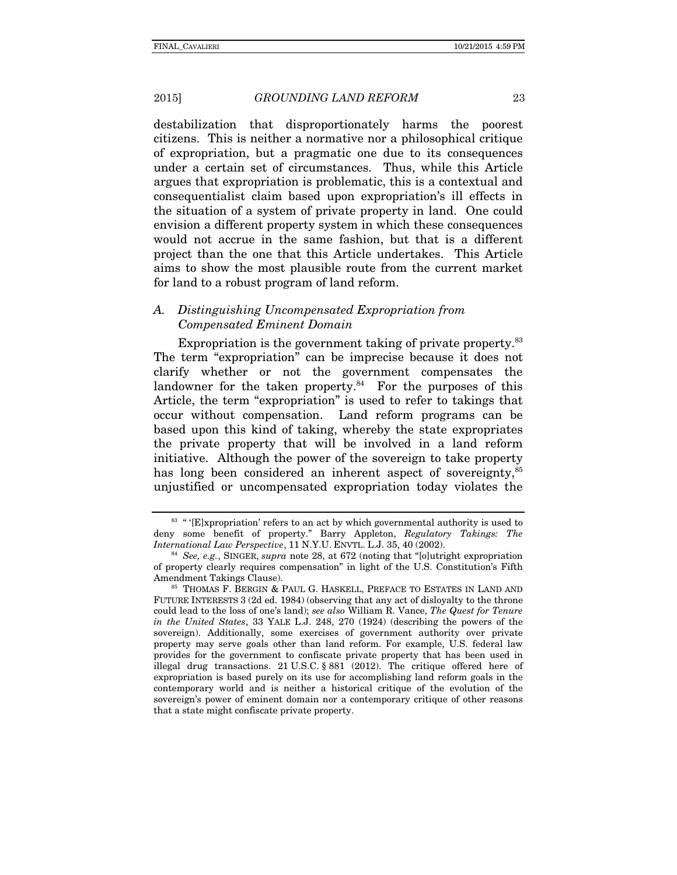destabilization that disproportionately harms the poorest citizens. This is neither a normative nor a philosophical critique of expropriation, but a pragmatic one due to its consequences under a certain set of circumstances. Thus, while this Article argues that expropriation is problematic, this is a contextual and consequentialist claim based upon expropriation's ill effects in the situation of a system of private property in land. One could envision a different property system in which these consequences would not accrue in the same fashion, but that is a different project than the one that this Article undertakes. This Article aims to show the most plausible route from the current market for land to a robust program of land reform.

#### *A. Distinguishing Uncompensated Expropriation from Compensated Eminent Domain*

Expropriation is the government taking of private property.<sup>83</sup> The term "expropriation" can be imprecise because it does not clarify whether or not the government compensates the landowner for the taken property. $84$  For the purposes of this Article, the term "expropriation" is used to refer to takings that occur without compensation. Land reform programs can be based upon this kind of taking, whereby the state expropriates the private property that will be involved in a land reform initiative. Although the power of the sovereign to take property has long been considered an inherent aspect of sovereignty,<sup>85</sup> unjustified or uncompensated expropriation today violates the

<sup>&</sup>lt;sup>83</sup> " '[E]xpropriation' refers to an act by which governmental authority is used to deny some benefit of property." Barry Appleton, *Regulatory Takings: The* 

<sup>&</sup>lt;sup>84</sup> *See, e.g.*, SINGER, *supra* note 28, at 672 (noting that "[o]utright expropriation of property clearly requires compensation" in light of the U.S. Constitution's Fifth Amendment Takings Clause). 85 THOMAS F. BERGIN & PAUL G. HASKELL, PREFACE TO ESTATES IN LAND AND

FUTURE INTERESTS 3 (2d ed. 1984) (observing that any act of disloyalty to the throne could lead to the loss of one's land); *see also* William R. Vance, *The Quest for Tenure in the United States*, 33 YALE L.J. 248, 270 (1924) (describing the powers of the sovereign). Additionally, some exercises of government authority over private property may serve goals other than land reform. For example, U.S. federal law provides for the government to confiscate private property that has been used in illegal drug transactions. 21 U.S.C. § 881 (2012). The critique offered here of expropriation is based purely on its use for accomplishing land reform goals in the contemporary world and is neither a historical critique of the evolution of the sovereign's power of eminent domain nor a contemporary critique of other reasons that a state might confiscate private property.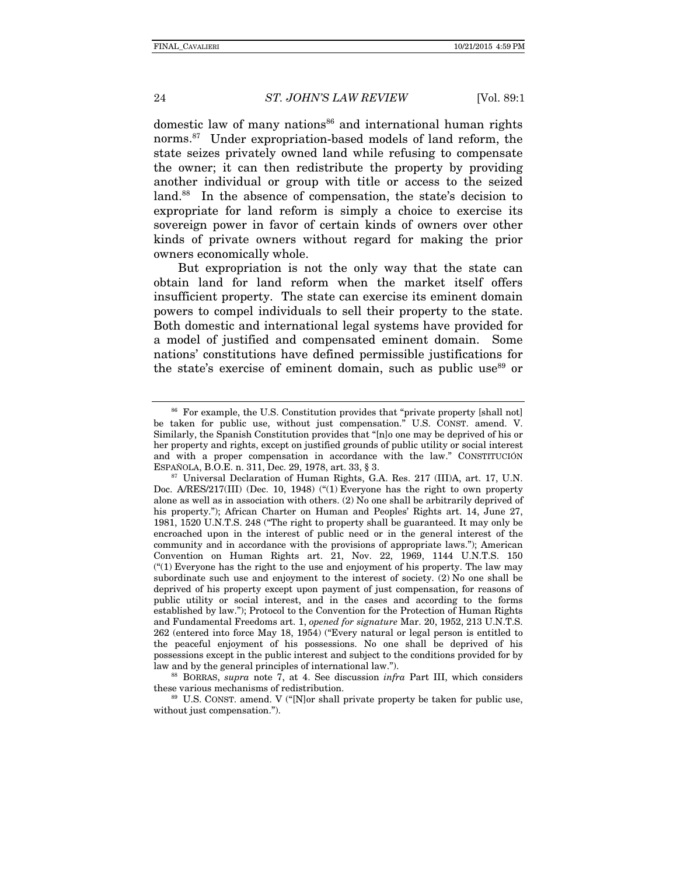domestic law of many nations<sup>86</sup> and international human rights norms.87 Under expropriation-based models of land reform, the state seizes privately owned land while refusing to compensate the owner; it can then redistribute the property by providing another individual or group with title or access to the seized land.<sup>88</sup> In the absence of compensation, the state's decision to expropriate for land reform is simply a choice to exercise its sovereign power in favor of certain kinds of owners over other kinds of private owners without regard for making the prior owners economically whole.

But expropriation is not the only way that the state can obtain land for land reform when the market itself offers insufficient property. The state can exercise its eminent domain powers to compel individuals to sell their property to the state. Both domestic and international legal systems have provided for a model of justified and compensated eminent domain. Some nations' constitutions have defined permissible justifications for the state's exercise of eminent domain, such as public use<sup>89</sup> or

these various mechanisms of redistribution.<br><sup>89</sup> U.S. CONST. amend. V ("[N]or shall private property be taken for public use,

without just compensation.").

<sup>&</sup>lt;sup>86</sup> For example, the U.S. Constitution provides that "private property [shall not] be taken for public use, without just compensation." U.S. CONST. amend. V. Similarly, the Spanish Constitution provides that "[n]o one may be deprived of his or her property and rights, except on justified grounds of public utility or social interest and with a proper compensation in accordance with the law." CONSTITUCIÓN ESPAÑOLA, B.O.E. n. 311, Dec. 29, 1978, art. 33,  $\S 3$ .

<sup>&</sup>lt;sup>87</sup> Universal Declaration of Human Rights, G.A. Res. 217 (III)A, art. 17, U.N. Doc. A/RES/217(III) (Dec. 10, 1948) ("(1) Everyone has the right to own property alone as well as in association with others. (2) No one shall be arbitrarily deprived of his property."); African Charter on Human and Peoples' Rights art. 14, June 27, 1981, 1520 U.N.T.S. 248 ("The right to property shall be guaranteed. It may only be encroached upon in the interest of public need or in the general interest of the community and in accordance with the provisions of appropriate laws."); American Convention on Human Rights art. 21, Nov. 22, 1969, 1144 U.N.T.S. 150  $($ "(1) Everyone has the right to the use and enjoyment of his property. The law may subordinate such use and enjoyment to the interest of society. (2) No one shall be deprived of his property except upon payment of just compensation, for reasons of public utility or social interest, and in the cases and according to the forms established by law."); Protocol to the Convention for the Protection of Human Rights and Fundamental Freedoms art. 1, *opened for signature* Mar. 20, 1952, 213 U.N.T.S. 262 (entered into force May 18, 1954) ("Every natural or legal person is entitled to the peaceful enjoyment of his possessions. No one shall be deprived of his possessions except in the public interest and subject to the conditions provided for by law and by the general principles of international law."). 88 BORRAS, *supra* note 7, at 4. See discussion *infra* Part III, which considers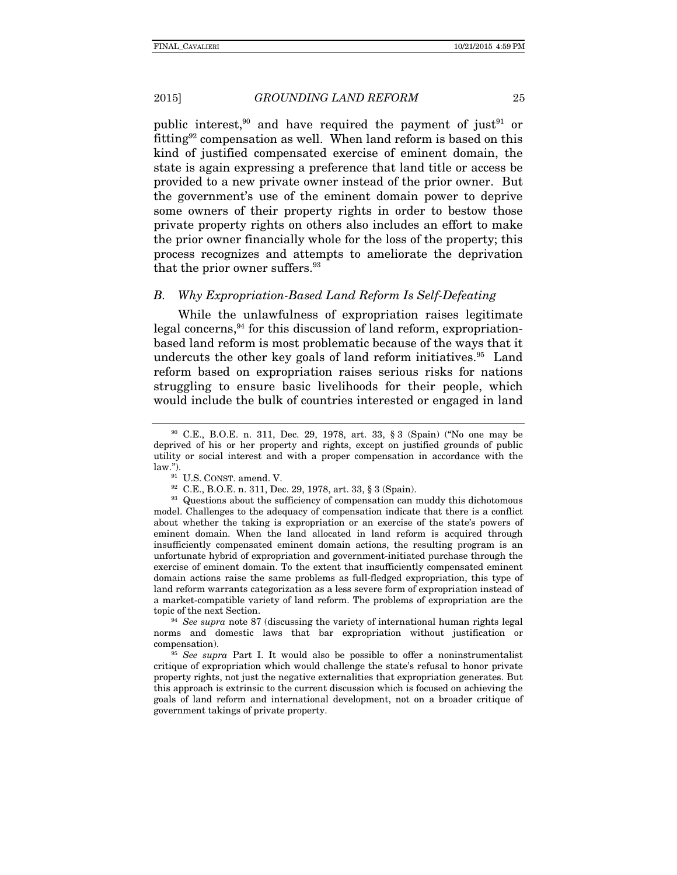public interest,<sup>90</sup> and have required the payment of just<sup>91</sup> or fitting92 compensation as well. When land reform is based on this kind of justified compensated exercise of eminent domain, the state is again expressing a preference that land title or access be provided to a new private owner instead of the prior owner. But the government's use of the eminent domain power to deprive some owners of their property rights in order to bestow those private property rights on others also includes an effort to make the prior owner financially whole for the loss of the property; this process recognizes and attempts to ameliorate the deprivation that the prior owner suffers.<sup>93</sup>

# *B. Why Expropriation-Based Land Reform Is Self-Defeating*

While the unlawfulness of expropriation raises legitimate  $\log$ al concerns,  $94$  for this discussion of land reform, expropriationbased land reform is most problematic because of the ways that it undercuts the other key goals of land reform initiatives.<sup>95</sup> Land reform based on expropriation raises serious risks for nations struggling to ensure basic livelihoods for their people, which would include the bulk of countries interested or engaged in land

model. Challenges to the adequacy of compensation indicate that there is a conflict about whether the taking is expropriation or an exercise of the state's powers of eminent domain. When the land allocated in land reform is acquired through insufficiently compensated eminent domain actions, the resulting program is an unfortunate hybrid of expropriation and government-initiated purchase through the exercise of eminent domain. To the extent that insufficiently compensated eminent domain actions raise the same problems as full-fledged expropriation, this type of land reform warrants categorization as a less severe form of expropriation instead of a market-compatible variety of land reform. The problems of expropriation are the topic of the next Section. 94 *See supra* note 87 (discussing the variety of international human rights legal

norms and domestic laws that bar expropriation without justification or compensation).

<sup>95</sup> *See supra* Part I. It would also be possible to offer a noninstrumentalist critique of expropriation which would challenge the state's refusal to honor private property rights, not just the negative externalities that expropriation generates. But this approach is extrinsic to the current discussion which is focused on achieving the goals of land reform and international development, not on a broader critique of government takings of private property.

<sup>90</sup> C.E., B.O.E. n. 311, Dec. 29, 1978, art. 33, § 3 (Spain) ("No one may be deprived of his or her property and rights, except on justified grounds of public utility or social interest and with a proper compensation in accordance with the law.").<br><sup>91</sup> U.S. CONST. amend. V.<br><sup>92</sup> C.E., B.O.E. n. 311, Dec. 29, 1978, art. 33, § 3 (Spain).<br><sup>93</sup> Questions about the sufficiency of compensation can muddy this dichotomous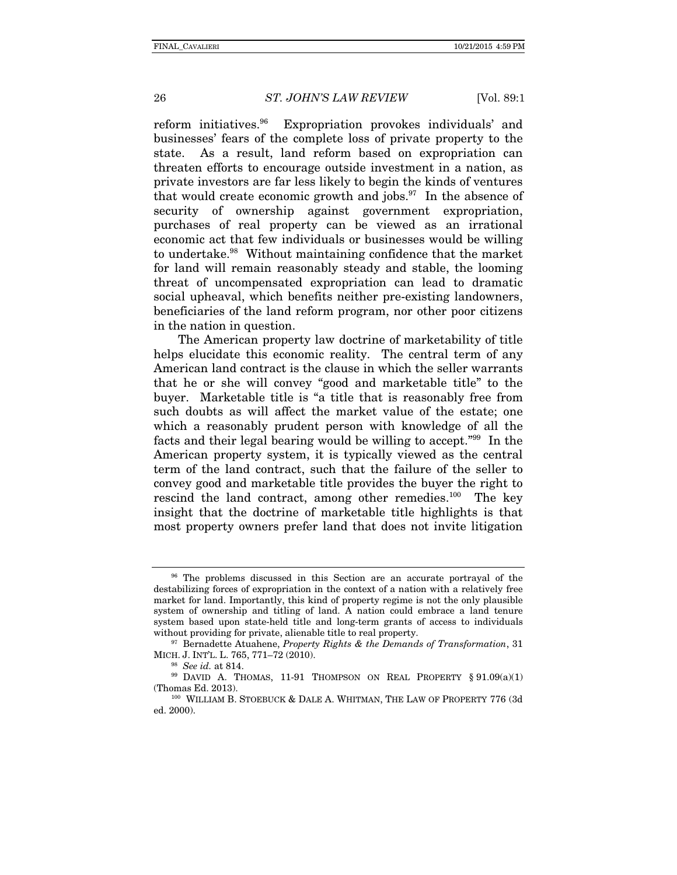reform initiatives.96 Expropriation provokes individuals' and businesses' fears of the complete loss of private property to the state. As a result, land reform based on expropriation can threaten efforts to encourage outside investment in a nation, as private investors are far less likely to begin the kinds of ventures that would create economic growth and jobs. $97$  In the absence of security of ownership against government expropriation, purchases of real property can be viewed as an irrational economic act that few individuals or businesses would be willing to undertake.98 Without maintaining confidence that the market for land will remain reasonably steady and stable, the looming threat of uncompensated expropriation can lead to dramatic social upheaval, which benefits neither pre-existing landowners, beneficiaries of the land reform program, nor other poor citizens in the nation in question.

The American property law doctrine of marketability of title helps elucidate this economic reality. The central term of any American land contract is the clause in which the seller warrants that he or she will convey "good and marketable title" to the buyer. Marketable title is "a title that is reasonably free from such doubts as will affect the market value of the estate; one which a reasonably prudent person with knowledge of all the facts and their legal bearing would be willing to accept."99 In the American property system, it is typically viewed as the central term of the land contract, such that the failure of the seller to convey good and marketable title provides the buyer the right to rescind the land contract, among other remedies.<sup>100</sup> The key insight that the doctrine of marketable title highlights is that most property owners prefer land that does not invite litigation

<sup>&</sup>lt;sup>96</sup> The problems discussed in this Section are an accurate portrayal of the destabilizing forces of expropriation in the context of a nation with a relatively free market for land. Importantly, this kind of property regime is not the only plausible system of ownership and titling of land. A nation could embrace a land tenure system based upon state-held title and long-term grants of access to individuals without providing for private, alienable title to real property.

<sup>&</sup>lt;sup>97</sup> Bernadette Atuahene, *Property Rights & the Demands of Transformation*, 31 MICH. J. INT'L. L. 765, 771–72 (2010).<br><sup>98</sup> *See id.* at 814.<br><sup>99</sup> DAVID A. THOMAS, 11-91 THOMPSON ON REAL PROPERTY § 91.09(a)(1)

<sup>(</sup>Thomas Ed. 2013). 100 WILLIAM B. STOEBUCK & DALE A. WHITMAN, THE LAW OF PROPERTY 776 (3d)

ed. 2000).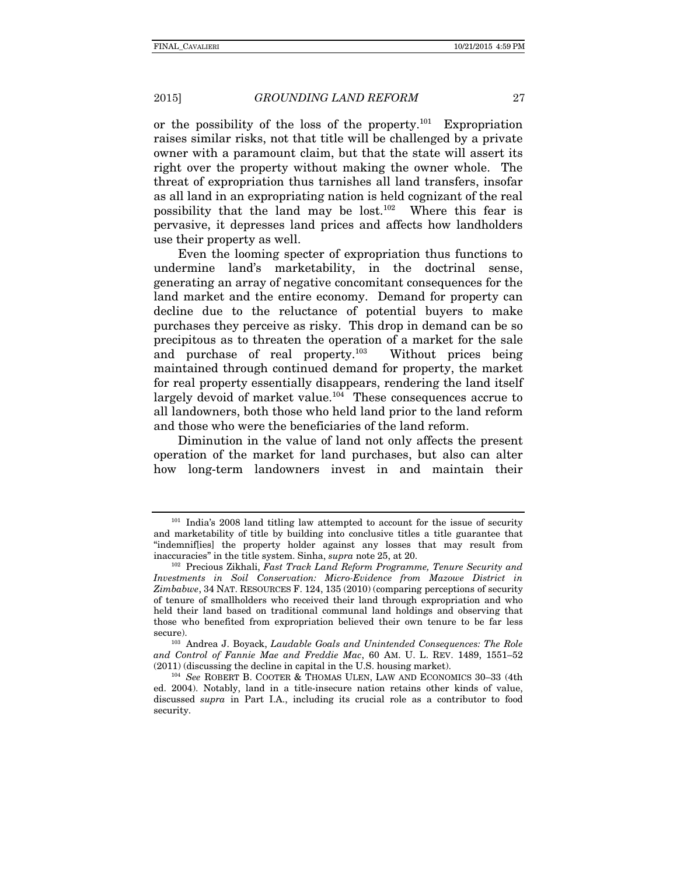or the possibility of the loss of the property.<sup>101</sup> Expropriation raises similar risks, not that title will be challenged by a private owner with a paramount claim, but that the state will assert its right over the property without making the owner whole. The threat of expropriation thus tarnishes all land transfers, insofar as all land in an expropriating nation is held cognizant of the real possibility that the land may be lost.<sup>102</sup> Where this fear is pervasive, it depresses land prices and affects how landholders use their property as well.

Even the looming specter of expropriation thus functions to undermine land's marketability, in the doctrinal sense, generating an array of negative concomitant consequences for the land market and the entire economy. Demand for property can decline due to the reluctance of potential buyers to make purchases they perceive as risky. This drop in demand can be so precipitous as to threaten the operation of a market for the sale and purchase of real property.103 Without prices being maintained through continued demand for property, the market for real property essentially disappears, rendering the land itself largely devoid of market value.<sup>104</sup> These consequences accrue to all landowners, both those who held land prior to the land reform and those who were the beneficiaries of the land reform.

Diminution in the value of land not only affects the present operation of the market for land purchases, but also can alter how long-term landowners invest in and maintain their

<sup>&</sup>lt;sup>101</sup> India's 2008 land titling law attempted to account for the issue of security and marketability of title by building into conclusive titles a title guarantee that "indemnif[ies] the property holder against any losses that may result from

inaccuracies" in the title system. Sinha, *supra* note 25, at 20.<br><sup>102</sup> Precious Zikhali, *Fast Track Land Reform Programme, Tenure Security and Investments in Soil Conservation: Micro-Evidence from Mazowe District in Zimbabwe*, 34 NAT. RESOURCES F. 124, 135 (2010) (comparing perceptions of security of tenure of smallholders who received their land through expropriation and who held their land based on traditional communal land holdings and observing that those who benefited from expropriation believed their own tenure to be far less secure).<br><sup>103</sup> Andrea J. Boyack, *Laudable Goals and Unintended Consequences: The Role* 

*and Control of Fannie Mae and Freddie Mac*, 60 AM. U. L. REV. 1489, 1551–52

<sup>&</sup>lt;sup>104</sup> See ROBERT B. COOTER & THOMAS ULEN, LAW AND ECONOMICS 30-33 (4th ed. 2004). Notably, land in a title-insecure nation retains other kinds of value, discussed *supra* in Part I.A., including its crucial role as a contributor to food security.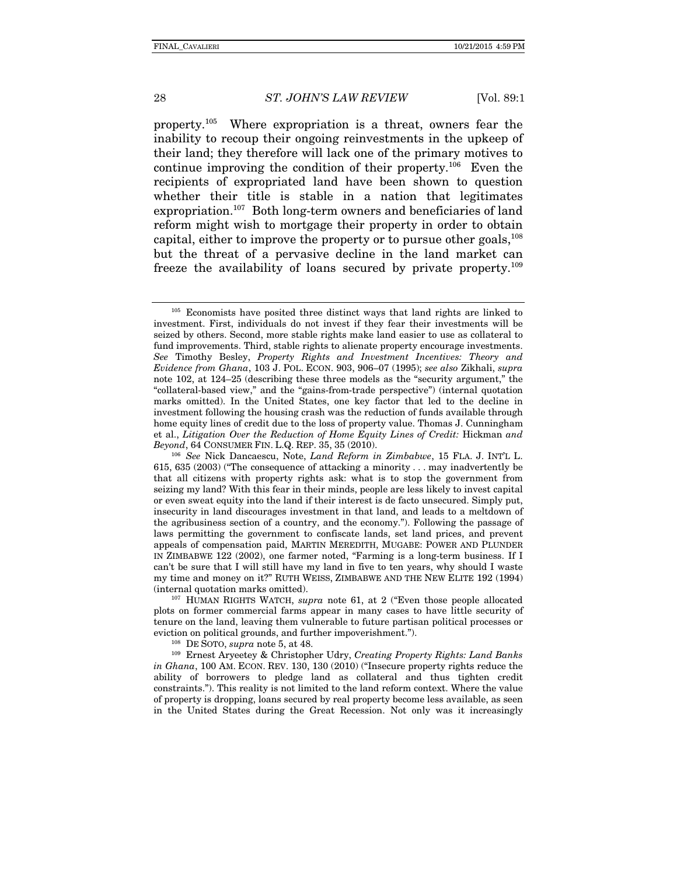property.105 Where expropriation is a threat, owners fear the inability to recoup their ongoing reinvestments in the upkeep of their land; they therefore will lack one of the primary motives to continue improving the condition of their property.<sup>106</sup> Even the recipients of expropriated land have been shown to question whether their title is stable in a nation that legitimates expropriation.<sup>107</sup> Both long-term owners and beneficiaries of land reform might wish to mortgage their property in order to obtain capital, either to improve the property or to pursue other goals,<sup>108</sup> but the threat of a pervasive decline in the land market can freeze the availability of loans secured by private property.109

<sup>107</sup> HUMAN RIGHTS WATCH, *supra* note 61, at 2 ("Even those people allocated plots on former commercial farms appear in many cases to have little security of tenure on the land, leaving them vulnerable to future partisan political processes or eviction on political grounds, and further impoverishment."). 108 DE SOTO, *supra* note 5, at 48. 109 Ernest Aryeetey & Christopher Udry, *Creating Property Rights: Land Banks* 

*in Ghana*, 100 AM. ECON. REV. 130, 130 (2010) ("Insecure property rights reduce the ability of borrowers to pledge land as collateral and thus tighten credit constraints."). This reality is not limited to the land reform context. Where the value of property is dropping, loans secured by real property become less available, as seen in the United States during the Great Recession. Not only was it increasingly

<sup>105</sup> Economists have posited three distinct ways that land rights are linked to investment. First, individuals do not invest if they fear their investments will be seized by others. Second, more stable rights make land easier to use as collateral to fund improvements. Third, stable rights to alienate property encourage investments. *See* Timothy Besley, *Property Rights and Investment Incentives: Theory and Evidence from Ghana*, 103 J. POL. ECON. 903, 906–07 (1995); *see also* Zikhali, *supra*  note 102, at 124–25 (describing these three models as the "security argument," the "collateral-based view," and the "gains-from-trade perspective") (internal quotation marks omitted). In the United States, one key factor that led to the decline in investment following the housing crash was the reduction of funds available through home equity lines of credit due to the loss of property value. Thomas J. Cunningham et al., *Litigation Over the Reduction of Home Equity Lines of Credit: Hickman and Beyond*, 64 CONSUMER FIN. L.Q. REP. 35, 35 (2010).

<sup>&</sup>lt;sup>106</sup> See Nick Dancaescu, Note, *Land Reform in Zimbabwe*, 15 FLA. J. INT'L L. 615, 635 (2003) ("The consequence of attacking a minority . . . may inadvertently be that all citizens with property rights ask: what is to stop the government from seizing my land? With this fear in their minds, people are less likely to invest capital or even sweat equity into the land if their interest is de facto unsecured. Simply put, insecurity in land discourages investment in that land, and leads to a meltdown of the agribusiness section of a country, and the economy."). Following the passage of laws permitting the government to confiscate lands, set land prices, and prevent appeals of compensation paid, MARTIN MEREDITH, MUGABE: POWER AND PLUNDER IN ZIMBABWE 122 (2002), one farmer noted, "Farming is a long-term business. If I can't be sure that I will still have my land in five to ten years, why should I waste my time and money on it?" RUTH WEISS, ZIMBABWE AND THE NEW ELITE 192 (1994)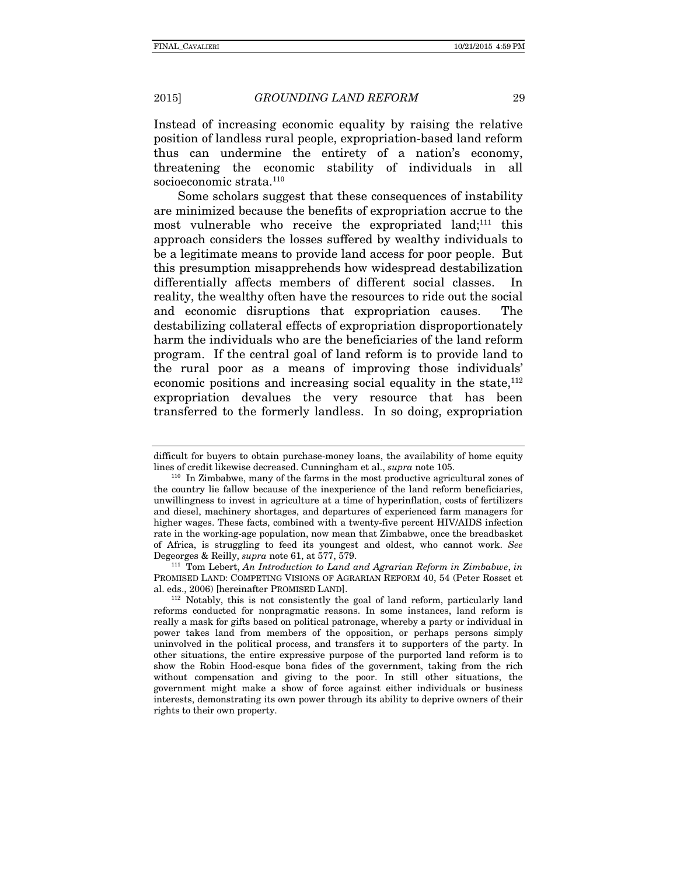Instead of increasing economic equality by raising the relative position of landless rural people, expropriation-based land reform thus can undermine the entirety of a nation's economy, threatening the economic stability of individuals in all socioeconomic strata.<sup>110</sup>

Some scholars suggest that these consequences of instability are minimized because the benefits of expropriation accrue to the most vulnerable who receive the expropriated land; $^{111}$  this approach considers the losses suffered by wealthy individuals to be a legitimate means to provide land access for poor people. But this presumption misapprehends how widespread destabilization differentially affects members of different social classes. In reality, the wealthy often have the resources to ride out the social and economic disruptions that expropriation causes. The destabilizing collateral effects of expropriation disproportionately harm the individuals who are the beneficiaries of the land reform program. If the central goal of land reform is to provide land to the rural poor as a means of improving those individuals' economic positions and increasing social equality in the state, $112$ expropriation devalues the very resource that has been transferred to the formerly landless. In so doing, expropriation

difficult for buyers to obtain purchase-money loans, the availability of home equity

lines of credit likewise decreased. Cunningham et al., *supra* note 105.<br><sup>110</sup> In Zimbabwe, many of the farms in the most productive agricultural zones of the country lie fallow because of the inexperience of the land reform beneficiaries, unwillingness to invest in agriculture at a time of hyperinflation, costs of fertilizers and diesel, machinery shortages, and departures of experienced farm managers for higher wages. These facts, combined with a twenty-five percent HIV/AIDS infection rate in the working-age population, now mean that Zimbabwe, once the breadbasket of Africa, is struggling to feed its youngest and oldest, who cannot work. *See* Degeorges & Reilly, *supra* note 61, at 577, 579.<br><sup>111</sup> Tom Lebert, *An Introduction to Land and Agrarian Reform in Zimbabwe*, *in* 

PROMISED LAND: COMPETING VISIONS OF AGRARIAN REFORM 40, 54 (Peter Rosset et al. eds., 2006) [hereinafter PROMISED LAND].

 $112$  Notably, this is not consistently the goal of land reform, particularly land reforms conducted for nonpragmatic reasons. In some instances, land reform is really a mask for gifts based on political patronage, whereby a party or individual in power takes land from members of the opposition, or perhaps persons simply uninvolved in the political process, and transfers it to supporters of the party. In other situations, the entire expressive purpose of the purported land reform is to show the Robin Hood-esque bona fides of the government, taking from the rich without compensation and giving to the poor. In still other situations, the government might make a show of force against either individuals or business interests, demonstrating its own power through its ability to deprive owners of their rights to their own property.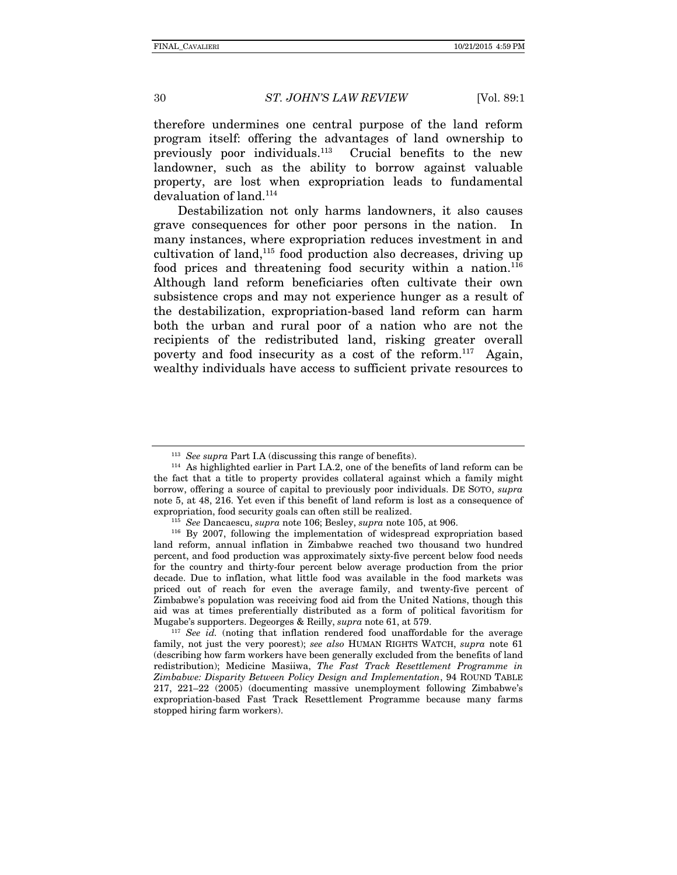therefore undermines one central purpose of the land reform program itself: offering the advantages of land ownership to previously poor individuals.<sup>113</sup> Crucial benefits to the new landowner, such as the ability to borrow against valuable property, are lost when expropriation leads to fundamental devaluation of land.114

Destabilization not only harms landowners, it also causes grave consequences for other poor persons in the nation. In many instances, where expropriation reduces investment in and cultivation of land, $115$  food production also decreases, driving up food prices and threatening food security within a nation.<sup>116</sup> Although land reform beneficiaries often cultivate their own subsistence crops and may not experience hunger as a result of the destabilization, expropriation-based land reform can harm both the urban and rural poor of a nation who are not the recipients of the redistributed land, risking greater overall poverty and food insecurity as a cost of the reform.<sup>117</sup> Again, wealthy individuals have access to sufficient private resources to

<sup>&</sup>lt;sup>113</sup> *See supra* Part I.A (discussing this range of benefits).<br><sup>114</sup> As highlighted earlier in Part I.A.2, one of the benefits of land reform can be the fact that a title to property provides collateral against which a family might borrow, offering a source of capital to previously poor individuals. DE SOTO, *supra*  note 5, at 48, 216. Yet even if this benefit of land reform is lost as a consequence of expropriation, food security goals can often still be realized.<br><sup>115</sup> See Dancaescu, *supra* note 106; Besley, *supra* note 105, at 906.<br><sup>116</sup> By 2007, following the implementation of widespread expropriation based

land reform, annual inflation in Zimbabwe reached two thousand two hundred percent, and food production was approximately sixty-five percent below food needs for the country and thirty-four percent below average production from the prior decade. Due to inflation, what little food was available in the food markets was priced out of reach for even the average family, and twenty-five percent of Zimbabwe's population was receiving food aid from the United Nations, though this aid was at times preferentially distributed as a form of political favoritism for Mugabe's supporters. Degeorges & Reilly, *supra* note 61, at 579.<br><sup>117</sup> *See id.* (noting that inflation rendered food unaffordable for the average

family, not just the very poorest); *see also* HUMAN RIGHTS WATCH, *supra* note 61 (describing how farm workers have been generally excluded from the benefits of land redistribution); Medicine Masiiwa, *The Fast Track Resettlement Programme in Zimbabwe: Disparity Between Policy Design and Implementation*, 94 ROUND TABLE 217, 221–22 (2005) (documenting massive unemployment following Zimbabwe's expropriation-based Fast Track Resettlement Programme because many farms stopped hiring farm workers).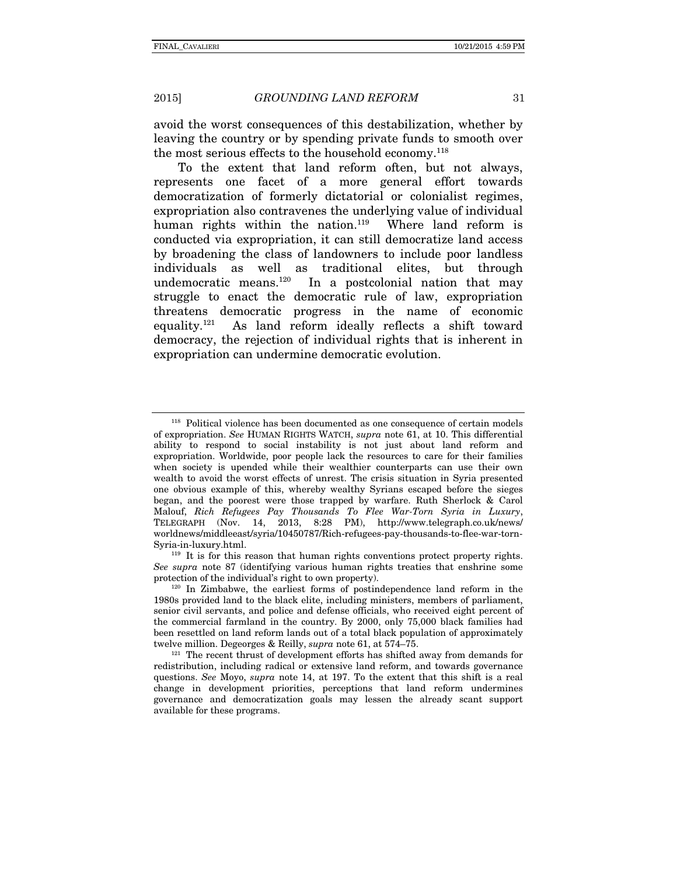avoid the worst consequences of this destabilization, whether by leaving the country or by spending private funds to smooth over the most serious effects to the household economy.<sup>118</sup>

To the extent that land reform often, but not always, represents one facet of a more general effort towards democratization of formerly dictatorial or colonialist regimes, expropriation also contravenes the underlying value of individual human rights within the nation.<sup>119</sup> Where land reform is conducted via expropriation, it can still democratize land access by broadening the class of landowners to include poor landless individuals as well as traditional elites, but through<br>undemocratic means.<sup>120</sup> In a postcolonial nation that may In a postcolonial nation that may struggle to enact the democratic rule of law, expropriation threatens democratic progress in the name of economic equality.<sup>121</sup> As land reform ideally reflects a shift toward As land reform ideally reflects a shift toward democracy, the rejection of individual rights that is inherent in expropriation can undermine democratic evolution.

<sup>118</sup> Political violence has been documented as one consequence of certain models of expropriation. *See* HUMAN RIGHTS WATCH, *supra* note 61, at 10. This differential ability to respond to social instability is not just about land reform and expropriation. Worldwide, poor people lack the resources to care for their families when society is upended while their wealthier counterparts can use their own wealth to avoid the worst effects of unrest. The crisis situation in Syria presented one obvious example of this, whereby wealthy Syrians escaped before the sieges began, and the poorest were those trapped by warfare. Ruth Sherlock & Carol Malouf, *Rich Refugees Pay Thousands To Flee War-Torn Syria in Luxury*, TELEGRAPH (Nov. 14, 2013, 8:28 PM), http://www.telegraph.co.uk/news/ worldnews/middleeast/syria/10450787/Rich-refugees-pay-thousands-to-flee-war-torn-

 $119$  It is for this reason that human rights conventions protect property rights. *See supra* note 87 (identifying various human rights treaties that enshrine some protection of the individual's right to own property).<br><sup>120</sup> In Zimbabwe, the earliest forms of postindependence land reform in the

<sup>1980</sup>s provided land to the black elite, including ministers, members of parliament, senior civil servants, and police and defense officials, who received eight percent of the commercial farmland in the country. By 2000, only 75,000 black families had been resettled on land reform lands out of a total black population of approximately twelve million. Degeorges & Reilly, *supra* note 61, at 574–75.<br><sup>121</sup> The recent thrust of development efforts has shifted away from demands for

redistribution, including radical or extensive land reform, and towards governance questions. *See* Moyo, *supra* note 14, at 197. To the extent that this shift is a real change in development priorities, perceptions that land reform undermines governance and democratization goals may lessen the already scant support available for these programs.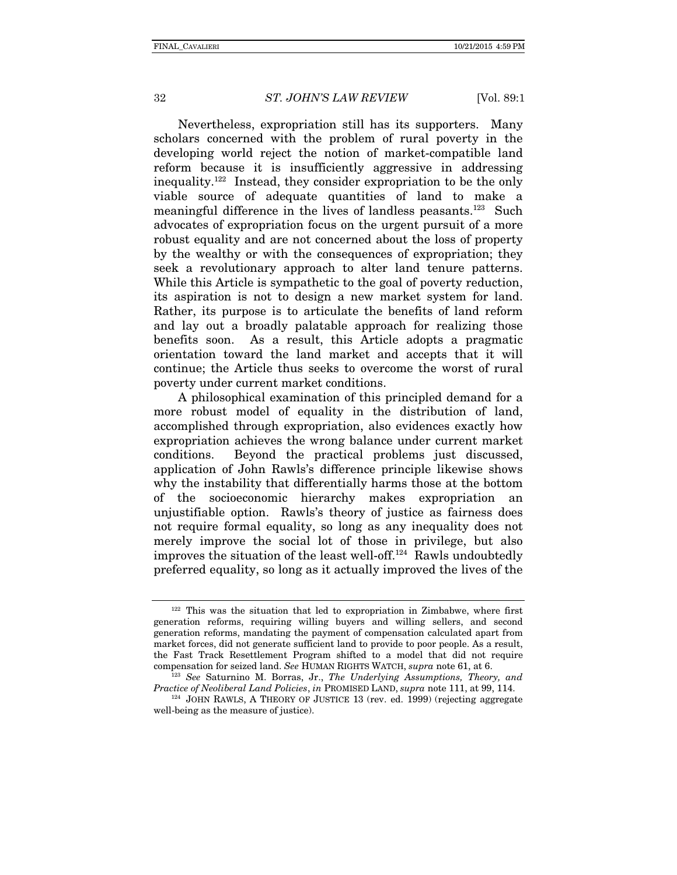Nevertheless, expropriation still has its supporters. Many scholars concerned with the problem of rural poverty in the developing world reject the notion of market-compatible land reform because it is insufficiently aggressive in addressing inequality.122 Instead, they consider expropriation to be the only viable source of adequate quantities of land to make a meaningful difference in the lives of landless peasants.<sup>123</sup> Such advocates of expropriation focus on the urgent pursuit of a more robust equality and are not concerned about the loss of property by the wealthy or with the consequences of expropriation; they seek a revolutionary approach to alter land tenure patterns. While this Article is sympathetic to the goal of poverty reduction, its aspiration is not to design a new market system for land. Rather, its purpose is to articulate the benefits of land reform and lay out a broadly palatable approach for realizing those benefits soon. As a result, this Article adopts a pragmatic orientation toward the land market and accepts that it will continue; the Article thus seeks to overcome the worst of rural poverty under current market conditions.

A philosophical examination of this principled demand for a more robust model of equality in the distribution of land, accomplished through expropriation, also evidences exactly how expropriation achieves the wrong balance under current market conditions. Beyond the practical problems just discussed, application of John Rawls's difference principle likewise shows why the instability that differentially harms those at the bottom of the socioeconomic hierarchy makes expropriation an unjustifiable option. Rawls's theory of justice as fairness does not require formal equality, so long as any inequality does not merely improve the social lot of those in privilege, but also improves the situation of the least well-off.124 Rawls undoubtedly preferred equality, so long as it actually improved the lives of the

 $122$  This was the situation that led to expropriation in Zimbabwe, where first generation reforms, requiring willing buyers and willing sellers, and second generation reforms, mandating the payment of compensation calculated apart from market forces, did not generate sufficient land to provide to poor people. As a result, the Fast Track Resettlement Program shifted to a model that did not require compensation for seized land. See HUMAN RIGHTS WATCH, supra note 61, at 6.

<sup>&</sup>lt;sup>123</sup> See Saturnino M. Borras, Jr., *The Underlying Assumptions, Theory, and Practice of Neoliberal Land Policies*, *in* PROMISED LAND, *supra* note 111, at 99, 114.<br><sup>124</sup> JOHN RAWLS, A THEORY OF JUSTICE 13 (rev. ed. 1999) (rejecting aggregate

well-being as the measure of justice).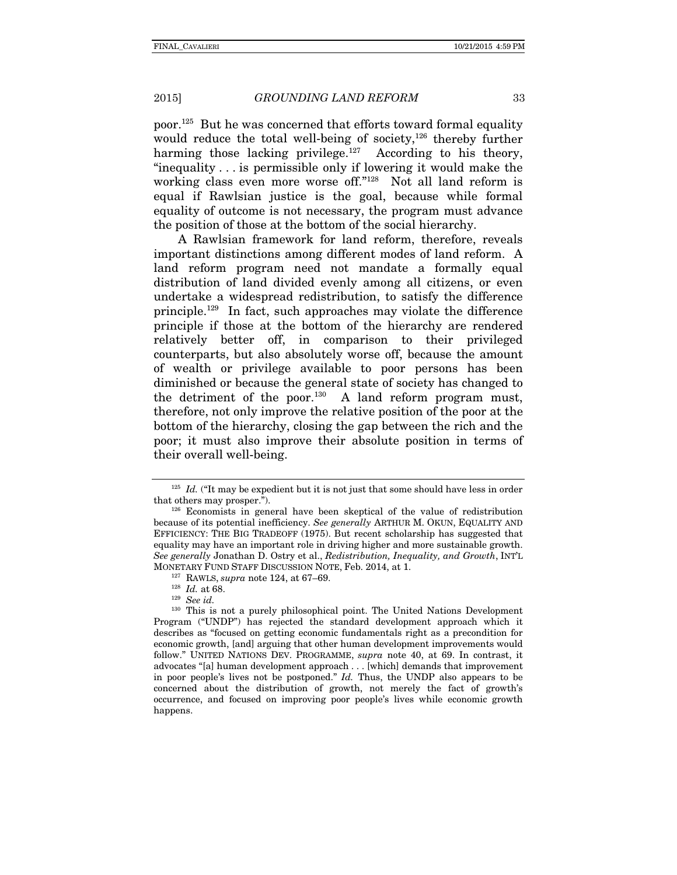poor.125 But he was concerned that efforts toward formal equality would reduce the total well-being of society,<sup>126</sup> thereby further harming those lacking privilege.<sup>127</sup> According to his theory, "inequality . . . is permissible only if lowering it would make the working class even more worse off."<sup>128</sup> Not all land reform is equal if Rawlsian justice is the goal, because while formal equality of outcome is not necessary, the program must advance the position of those at the bottom of the social hierarchy.

A Rawlsian framework for land reform, therefore, reveals important distinctions among different modes of land reform. A land reform program need not mandate a formally equal distribution of land divided evenly among all citizens, or even undertake a widespread redistribution, to satisfy the difference principle.129 In fact, such approaches may violate the difference principle if those at the bottom of the hierarchy are rendered relatively better off, in comparison to their privileged counterparts, but also absolutely worse off, because the amount of wealth or privilege available to poor persons has been diminished or because the general state of society has changed to the detriment of the poor.<sup>130</sup> A land reform program must, therefore, not only improve the relative position of the poor at the bottom of the hierarchy, closing the gap between the rich and the poor; it must also improve their absolute position in terms of their overall well-being.

 $125$  *Id.* ("It may be expedient but it is not just that some should have less in order that others may prosper.").  $126$  Economists in general have been skeptical of the value of redistribution

because of its potential inefficiency. *See generally* ARTHUR M. OKUN, EQUALITY AND EFFICIENCY: THE BIG TRADEOFF (1975). But recent scholarship has suggested that equality may have an important role in driving higher and more sustainable growth. *See generally* Jonathan D. Ostry et al., *Redistribution, Inequality, and Growth*, INT'L MONETARY FUND STAFF DISCUSSION NOTE, Feb. 2014, at 1.<br><sup>127</sup> RAWLS, *supra* note 124, at 67–69.<br><sup>128</sup> *Id.* at 68.<br><sup>129</sup> *See id.* 

<sup>130</sup> This is not a purely philosophical point. The United Nations Development Program ("UNDP") has rejected the standard development approach which it describes as "focused on getting economic fundamentals right as a precondition for economic growth, [and] arguing that other human development improvements would follow." UNITED NATIONS DEV. PROGRAMME, *supra* note 40, at 69. In contrast, it advocates "[a] human development approach . . . [which] demands that improvement in poor people's lives not be postponed." *Id.* Thus, the UNDP also appears to be concerned about the distribution of growth, not merely the fact of growth's occurrence, and focused on improving poor people's lives while economic growth happens.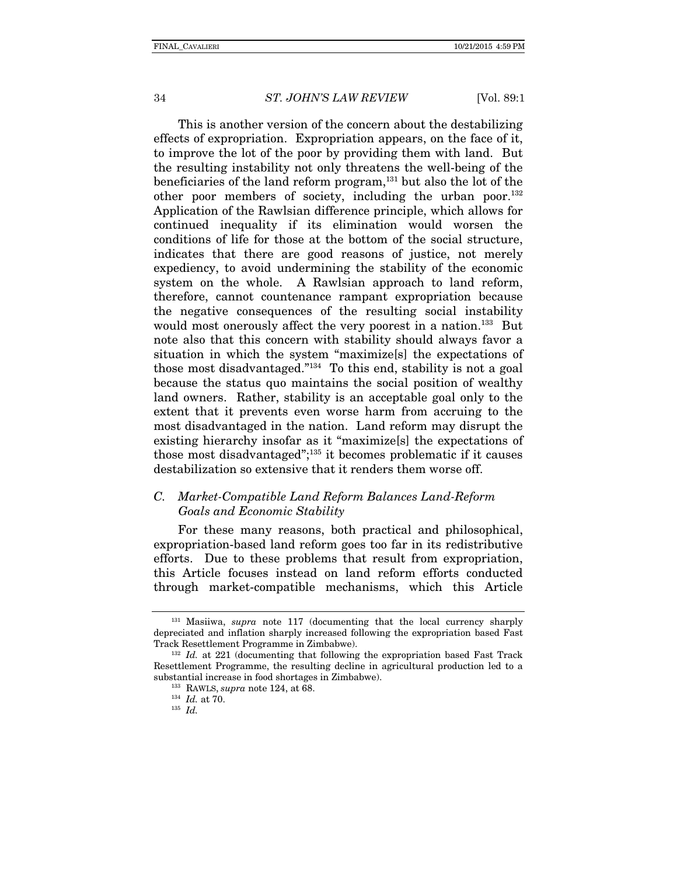This is another version of the concern about the destabilizing effects of expropriation. Expropriation appears, on the face of it, to improve the lot of the poor by providing them with land. But the resulting instability not only threatens the well-being of the beneficiaries of the land reform program,131 but also the lot of the other poor members of society, including the urban poor.<sup>132</sup> Application of the Rawlsian difference principle, which allows for continued inequality if its elimination would worsen the conditions of life for those at the bottom of the social structure, indicates that there are good reasons of justice, not merely expediency, to avoid undermining the stability of the economic system on the whole. A Rawlsian approach to land reform, therefore, cannot countenance rampant expropriation because the negative consequences of the resulting social instability would most onerously affect the very poorest in a nation.<sup>133</sup> But note also that this concern with stability should always favor a situation in which the system "maximize[s] the expectations of those most disadvantaged."134 To this end, stability is not a goal because the status quo maintains the social position of wealthy land owners. Rather, stability is an acceptable goal only to the extent that it prevents even worse harm from accruing to the most disadvantaged in the nation. Land reform may disrupt the existing hierarchy insofar as it "maximize[s] the expectations of those most disadvantaged";135 it becomes problematic if it causes destabilization so extensive that it renders them worse off.

#### *C. Market-Compatible Land Reform Balances Land-Reform Goals and Economic Stability*

For these many reasons, both practical and philosophical, expropriation-based land reform goes too far in its redistributive efforts. Due to these problems that result from expropriation, this Article focuses instead on land reform efforts conducted through market-compatible mechanisms, which this Article

<sup>131</sup> Masiiwa, *supra* note 117 (documenting that the local currency sharply depreciated and inflation sharply increased following the expropriation based Fast Track Resettlement Programme in Zimbabwe). 132 *Id.* at 221 (documenting that following the expropriation based Fast Track

Resettlement Programme, the resulting decline in agricultural production led to a substantial increase in food shortages in Zimbabwe). 133 RAWLS, *supra* note 124, at 68.

<sup>134</sup> *Id.* at 70. 135 *Id.*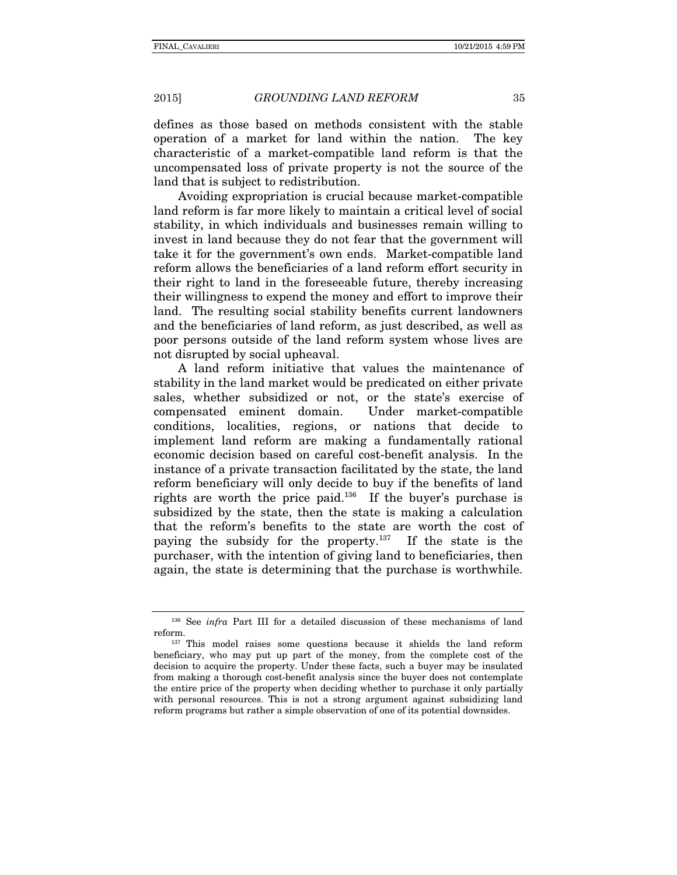defines as those based on methods consistent with the stable operation of a market for land within the nation. The key characteristic of a market-compatible land reform is that the uncompensated loss of private property is not the source of the land that is subject to redistribution.

Avoiding expropriation is crucial because market-compatible land reform is far more likely to maintain a critical level of social stability, in which individuals and businesses remain willing to invest in land because they do not fear that the government will take it for the government's own ends. Market-compatible land reform allows the beneficiaries of a land reform effort security in their right to land in the foreseeable future, thereby increasing their willingness to expend the money and effort to improve their land. The resulting social stability benefits current landowners and the beneficiaries of land reform, as just described, as well as poor persons outside of the land reform system whose lives are not disrupted by social upheaval.

A land reform initiative that values the maintenance of stability in the land market would be predicated on either private sales, whether subsidized or not, or the state's exercise of compensated eminent domain. Under market-compatible conditions, localities, regions, or nations that decide to implement land reform are making a fundamentally rational economic decision based on careful cost-benefit analysis. In the instance of a private transaction facilitated by the state, the land reform beneficiary will only decide to buy if the benefits of land rights are worth the price paid.136 If the buyer's purchase is subsidized by the state, then the state is making a calculation that the reform's benefits to the state are worth the cost of paying the subsidy for the property.137 If the state is the purchaser, with the intention of giving land to beneficiaries, then again, the state is determining that the purchase is worthwhile.

<sup>&</sup>lt;sup>136</sup> See *infra* Part III for a detailed discussion of these mechanisms of land reform.

 $137$  This model raises some questions because it shields the land reform beneficiary, who may put up part of the money, from the complete cost of the decision to acquire the property. Under these facts, such a buyer may be insulated from making a thorough cost-benefit analysis since the buyer does not contemplate the entire price of the property when deciding whether to purchase it only partially with personal resources. This is not a strong argument against subsidizing land reform programs but rather a simple observation of one of its potential downsides.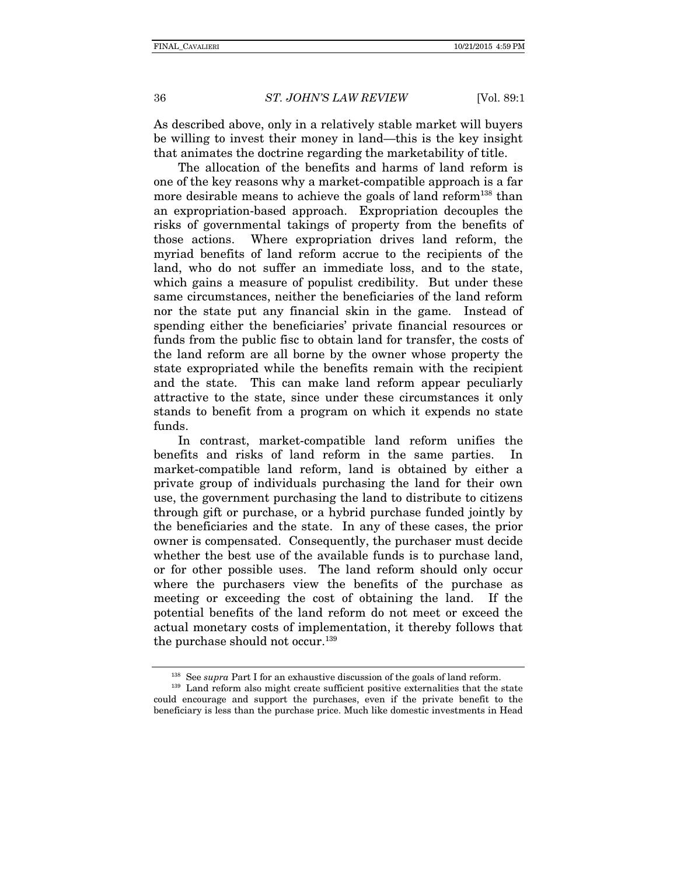As described above, only in a relatively stable market will buyers be willing to invest their money in land—this is the key insight that animates the doctrine regarding the marketability of title.

The allocation of the benefits and harms of land reform is one of the key reasons why a market-compatible approach is a far more desirable means to achieve the goals of land reform<sup>138</sup> than an expropriation-based approach. Expropriation decouples the risks of governmental takings of property from the benefits of those actions. Where expropriation drives land reform, the myriad benefits of land reform accrue to the recipients of the land, who do not suffer an immediate loss, and to the state, which gains a measure of populist credibility. But under these same circumstances, neither the beneficiaries of the land reform nor the state put any financial skin in the game. Instead of spending either the beneficiaries' private financial resources or funds from the public fisc to obtain land for transfer, the costs of the land reform are all borne by the owner whose property the state expropriated while the benefits remain with the recipient and the state. This can make land reform appear peculiarly attractive to the state, since under these circumstances it only stands to benefit from a program on which it expends no state funds.

In contrast, market-compatible land reform unifies the benefits and risks of land reform in the same parties. In market-compatible land reform, land is obtained by either a private group of individuals purchasing the land for their own use, the government purchasing the land to distribute to citizens through gift or purchase, or a hybrid purchase funded jointly by the beneficiaries and the state. In any of these cases, the prior owner is compensated. Consequently, the purchaser must decide whether the best use of the available funds is to purchase land, or for other possible uses. The land reform should only occur where the purchasers view the benefits of the purchase as meeting or exceeding the cost of obtaining the land. If the potential benefits of the land reform do not meet or exceed the actual monetary costs of implementation, it thereby follows that the purchase should not occur.<sup>139</sup>

<sup>&</sup>lt;sup>138</sup> See *supra* Part I for an exhaustive discussion of the goals of land reform.<br><sup>139</sup> Land reform also might create sufficient positive externalities that the state

could encourage and support the purchases, even if the private benefit to the beneficiary is less than the purchase price. Much like domestic investments in Head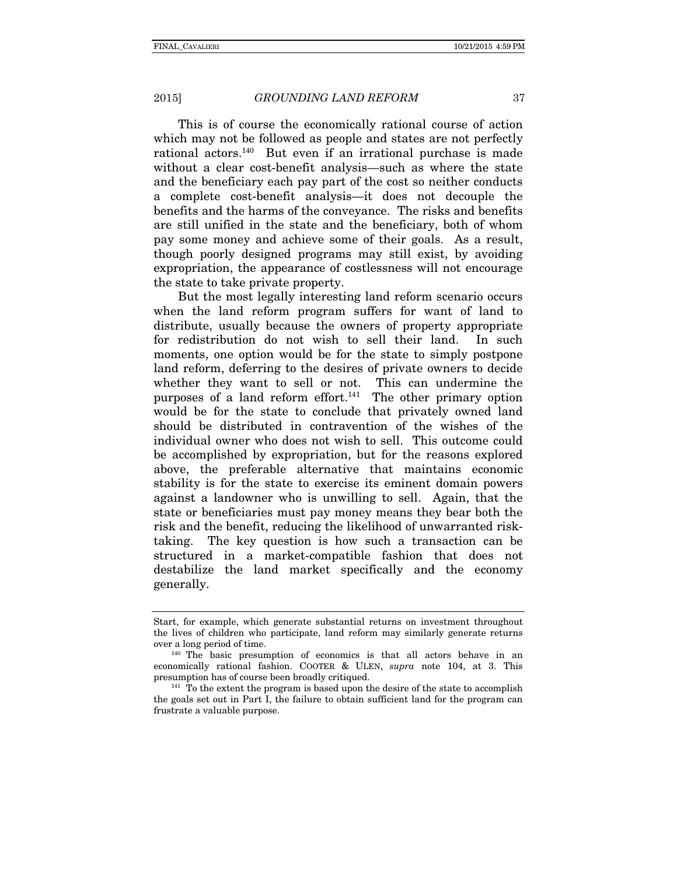This is of course the economically rational course of action which may not be followed as people and states are not perfectly rational actors.140 But even if an irrational purchase is made without a clear cost-benefit analysis—such as where the state and the beneficiary each pay part of the cost so neither conducts a complete cost-benefit analysis—it does not decouple the benefits and the harms of the conveyance. The risks and benefits are still unified in the state and the beneficiary, both of whom pay some money and achieve some of their goals. As a result, though poorly designed programs may still exist, by avoiding expropriation, the appearance of costlessness will not encourage the state to take private property.

But the most legally interesting land reform scenario occurs when the land reform program suffers for want of land to distribute, usually because the owners of property appropriate for redistribution do not wish to sell their land. In such moments, one option would be for the state to simply postpone land reform, deferring to the desires of private owners to decide whether they want to sell or not. This can undermine the purposes of a land reform effort.<sup>141</sup> The other primary option would be for the state to conclude that privately owned land should be distributed in contravention of the wishes of the individual owner who does not wish to sell. This outcome could be accomplished by expropriation, but for the reasons explored above, the preferable alternative that maintains economic stability is for the state to exercise its eminent domain powers against a landowner who is unwilling to sell. Again, that the state or beneficiaries must pay money means they bear both the risk and the benefit, reducing the likelihood of unwarranted risktaking. The key question is how such a transaction can be structured in a market-compatible fashion that does not destabilize the land market specifically and the economy generally.

Start, for example, which generate substantial returns on investment throughout the lives of children who participate, land reform may similarly generate returns over a long period of time.<br> $140$  The basic presumption of economics is that all actors behave in an

economically rational fashion. COOTER & ULEN, *supra* note 104, at 3. This presumption has of course been broadly critiqued.<br><sup>141</sup> To the extent the program is based upon the desire of the state to accomplish

the goals set out in Part I, the failure to obtain sufficient land for the program can frustrate a valuable purpose.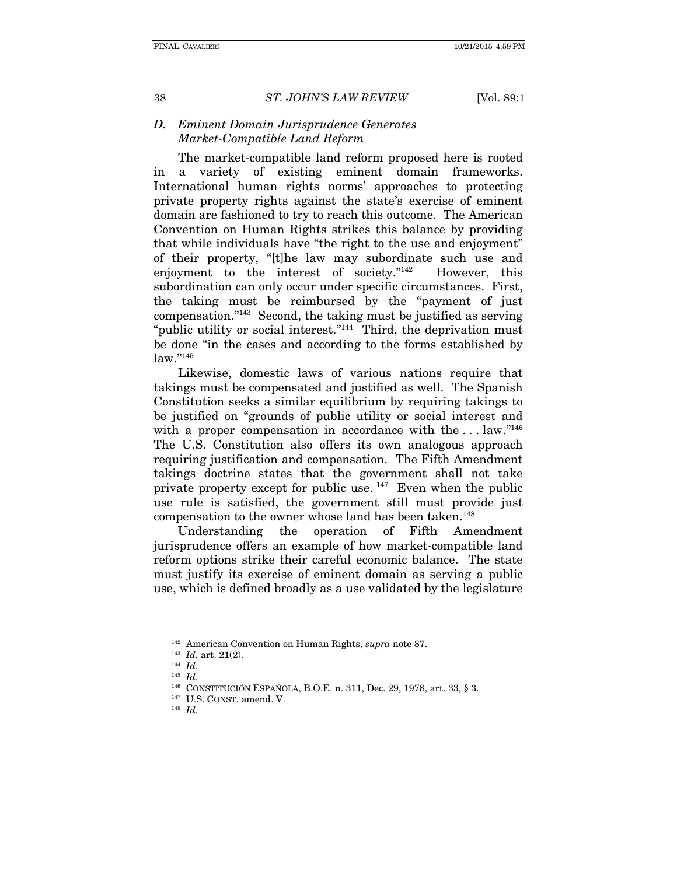#### *D. Eminent Domain Jurisprudence Generates Market-Compatible Land Reform*

The market-compatible land reform proposed here is rooted in a variety of existing eminent domain frameworks. International human rights norms' approaches to protecting private property rights against the state's exercise of eminent domain are fashioned to try to reach this outcome. The American Convention on Human Rights strikes this balance by providing that while individuals have "the right to the use and enjoyment" of their property, "[t]he law may subordinate such use and enjoyment to the interest of society."142 However, this subordination can only occur under specific circumstances. First, the taking must be reimbursed by the "payment of just compensation."143 Second, the taking must be justified as serving "public utility or social interest."<sup>144</sup> Third, the deprivation must be done "in the cases and according to the forms established by law."145

Likewise, domestic laws of various nations require that takings must be compensated and justified as well. The Spanish Constitution seeks a similar equilibrium by requiring takings to be justified on "grounds of public utility or social interest and with a proper compensation in accordance with the ... law."<sup>146</sup> The U.S. Constitution also offers its own analogous approach requiring justification and compensation. The Fifth Amendment takings doctrine states that the government shall not take private property except for public use.<sup>147</sup> Even when the public use rule is satisfied, the government still must provide just compensation to the owner whose land has been taken.<sup>148</sup>

Understanding the operation of Fifth Amendment jurisprudence offers an example of how market-compatible land reform options strike their careful economic balance. The state must justify its exercise of eminent domain as serving a public use, which is defined broadly as a use validated by the legislature

<sup>142</sup> American Convention on Human Rights, *supra* note 87. 143 *Id.* art. 21(2). 144 *Id.*

<sup>145</sup> *Id.*

<sup>&</sup>lt;sup>146</sup> CONSTITUCIÓN ESPAÑOLA, B.O.E. n. 311, Dec. 29, 1978, art. 33, § 3. <sup>147</sup> U.S. CONST. amend. V. <sup>148</sup> *Id.*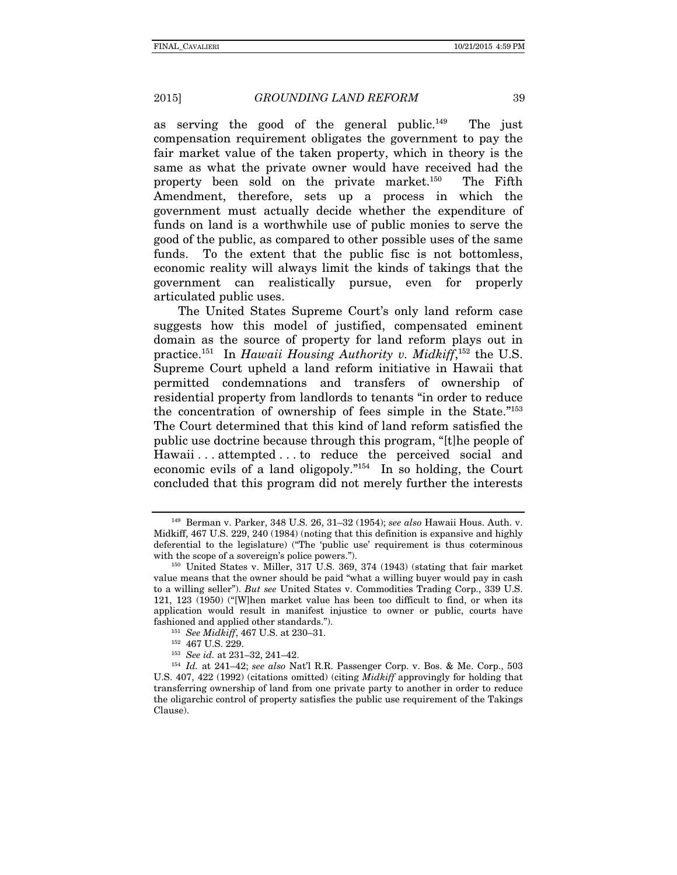as serving the good of the general public.<sup>149</sup> The just compensation requirement obligates the government to pay the fair market value of the taken property, which in theory is the same as what the private owner would have received had the property been sold on the private market.150 The Fifth Amendment, therefore, sets up a process in which the government must actually decide whether the expenditure of funds on land is a worthwhile use of public monies to serve the good of the public, as compared to other possible uses of the same funds. To the extent that the public fisc is not bottomless, economic reality will always limit the kinds of takings that the government can realistically pursue, even for properly articulated public uses.

The United States Supreme Court's only land reform case suggests how this model of justified, compensated eminent domain as the source of property for land reform plays out in practice.151 In *Hawaii Housing Authority v. Midkiff*, 152 the U.S. Supreme Court upheld a land reform initiative in Hawaii that permitted condemnations and transfers of ownership of residential property from landlords to tenants "in order to reduce the concentration of ownership of fees simple in the State."153 The Court determined that this kind of land reform satisfied the public use doctrine because through this program, "[t]he people of Hawaii . . . attempted . . . to reduce the perceived social and economic evils of a land oligopoly."<sup>154</sup> In so holding, the Court concluded that this program did not merely further the interests

<sup>149</sup> Berman v. Parker, 348 U.S. 26, 31–32 (1954); *see also* Hawaii Hous. Auth. v. Midkiff, 467 U.S. 229, 240 (1984) (noting that this definition is expansive and highly deferential to the legislature) ("The 'public use' requirement is thus coterminous with the scope of a sovereign's police powers.").<br><sup>150</sup> United States v. Miller, 317 U.S. 369, 374 (1943) (stating that fair market

value means that the owner should be paid "what a willing buyer would pay in cash to a willing seller"). *But see* United States v. Commodities Trading Corp., 339 U.S. 121, 123 (1950) ("[W]hen market value has been too difficult to find, or when its application would result in manifest injustice to owner or public, courts have fashioned and applied other standards.").<br>
<sup>151</sup> *See Midkiff*, 467 U.S. at 230–31.<br>
<sup>152</sup> 467 U.S. 229.<br>
<sup>153</sup> *See id.* at 231–32, 241–42.<br>
<sup>154</sup> *Id.* at 241–42; *see also* Nat'l R.R. Passenger Corp. v. Bos. & Me. Corp

U.S. 407, 422 (1992) (citations omitted) (citing *Midkiff* approvingly for holding that transferring ownership of land from one private party to another in order to reduce the oligarchic control of property satisfies the public use requirement of the Takings Clause).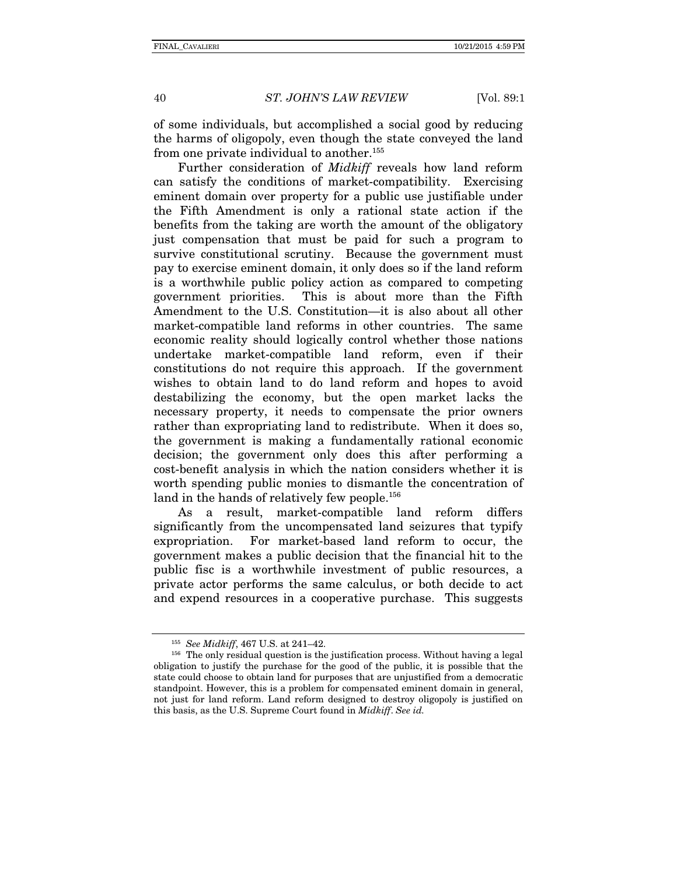of some individuals, but accomplished a social good by reducing the harms of oligopoly, even though the state conveyed the land from one private individual to another.<sup>155</sup>

Further consideration of *Midkiff* reveals how land reform can satisfy the conditions of market-compatibility. Exercising eminent domain over property for a public use justifiable under the Fifth Amendment is only a rational state action if the benefits from the taking are worth the amount of the obligatory just compensation that must be paid for such a program to survive constitutional scrutiny. Because the government must pay to exercise eminent domain, it only does so if the land reform is a worthwhile public policy action as compared to competing government priorities. This is about more than the Fifth Amendment to the U.S. Constitution—it is also about all other market-compatible land reforms in other countries. The same economic reality should logically control whether those nations undertake market-compatible land reform, even if their constitutions do not require this approach. If the government wishes to obtain land to do land reform and hopes to avoid destabilizing the economy, but the open market lacks the necessary property, it needs to compensate the prior owners rather than expropriating land to redistribute. When it does so, the government is making a fundamentally rational economic decision; the government only does this after performing a cost-benefit analysis in which the nation considers whether it is worth spending public monies to dismantle the concentration of land in the hands of relatively few people.<sup>156</sup>

As a result, market-compatible land reform differs significantly from the uncompensated land seizures that typify expropriation. For market-based land reform to occur, the government makes a public decision that the financial hit to the public fisc is a worthwhile investment of public resources, a private actor performs the same calculus, or both decide to act and expend resources in a cooperative purchase. This suggests

<sup>&</sup>lt;sup>155</sup> *See Midkiff*, 467 U.S. at 241–42.<br><sup>156</sup> The only residual question is the justification process. Without having a legal obligation to justify the purchase for the good of the public, it is possible that the state could choose to obtain land for purposes that are unjustified from a democratic standpoint. However, this is a problem for compensated eminent domain in general, not just for land reform. Land reform designed to destroy oligopoly is justified on this basis, as the U.S. Supreme Court found in *Midkiff*. *See id.*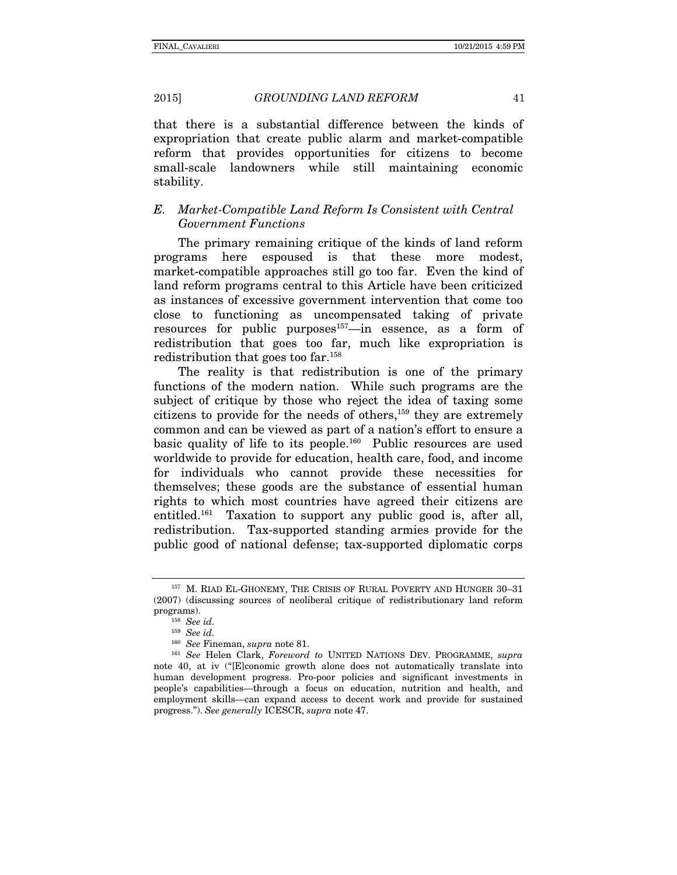that there is a substantial difference between the kinds of expropriation that create public alarm and market-compatible reform that provides opportunities for citizens to become small-scale landowners while still maintaining economic stability.

## *E. Market-Compatible Land Reform Is Consistent with Central Government Functions*

The primary remaining critique of the kinds of land reform programs here espoused is that these more modest, market-compatible approaches still go too far. Even the kind of land reform programs central to this Article have been criticized as instances of excessive government intervention that come too close to functioning as uncompensated taking of private resources for public purposes<sup>157</sup>—in essence, as a form of redistribution that goes too far, much like expropriation is redistribution that goes too far.158

The reality is that redistribution is one of the primary functions of the modern nation. While such programs are the subject of critique by those who reject the idea of taxing some citizens to provide for the needs of others,159 they are extremely common and can be viewed as part of a nation's effort to ensure a basic quality of life to its people.160 Public resources are used worldwide to provide for education, health care, food, and income for individuals who cannot provide these necessities for themselves; these goods are the substance of essential human rights to which most countries have agreed their citizens are entitled.<sup>161</sup> Taxation to support any public good is, after all, redistribution. Tax-supported standing armies provide for the public good of national defense; tax-supported diplomatic corps

<sup>&</sup>lt;sup>157</sup> M. RIAD EL-GHONEMY, THE CRISIS OF RURAL POVERTY AND HUNGER 30-31 (2007) (discussing sources of neoliberal critique of redistributionary land reform programs). 158 *See id.*

<sup>&</sup>lt;sup>159</sup> *See id. See Fineman, supra note* 81.

<sup>&</sup>lt;sup>161</sup> *See* Helen Clark, *Foreword to* UNITED NATIONS DEV. PROGRAMME, *supra* note 40, at iv ("[E]conomic growth alone does not automatically translate into human development progress. Pro-poor policies and significant investments in people's capabilities—through a focus on education, nutrition and health, and employment skills—can expand access to decent work and provide for sustained progress."). *See generally* ICESCR, *supra* note 47.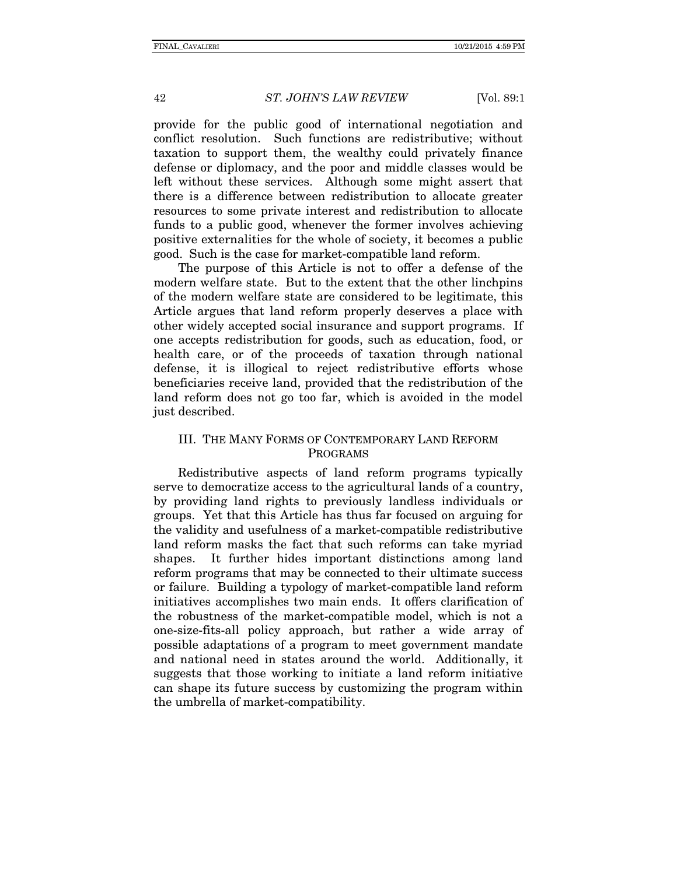provide for the public good of international negotiation and conflict resolution. Such functions are redistributive; without taxation to support them, the wealthy could privately finance defense or diplomacy, and the poor and middle classes would be left without these services. Although some might assert that there is a difference between redistribution to allocate greater resources to some private interest and redistribution to allocate funds to a public good, whenever the former involves achieving positive externalities for the whole of society, it becomes a public good. Such is the case for market-compatible land reform.

The purpose of this Article is not to offer a defense of the modern welfare state. But to the extent that the other linchpins of the modern welfare state are considered to be legitimate, this Article argues that land reform properly deserves a place with other widely accepted social insurance and support programs. If one accepts redistribution for goods, such as education, food, or health care, or of the proceeds of taxation through national defense, it is illogical to reject redistributive efforts whose beneficiaries receive land, provided that the redistribution of the land reform does not go too far, which is avoided in the model just described.

#### III. THE MANY FORMS OF CONTEMPORARY LAND REFORM PROGRAMS

Redistributive aspects of land reform programs typically serve to democratize access to the agricultural lands of a country, by providing land rights to previously landless individuals or groups. Yet that this Article has thus far focused on arguing for the validity and usefulness of a market-compatible redistributive land reform masks the fact that such reforms can take myriad shapes. It further hides important distinctions among land reform programs that may be connected to their ultimate success or failure. Building a typology of market-compatible land reform initiatives accomplishes two main ends. It offers clarification of the robustness of the market-compatible model, which is not a one-size-fits-all policy approach, but rather a wide array of possible adaptations of a program to meet government mandate and national need in states around the world. Additionally, it suggests that those working to initiate a land reform initiative can shape its future success by customizing the program within the umbrella of market-compatibility.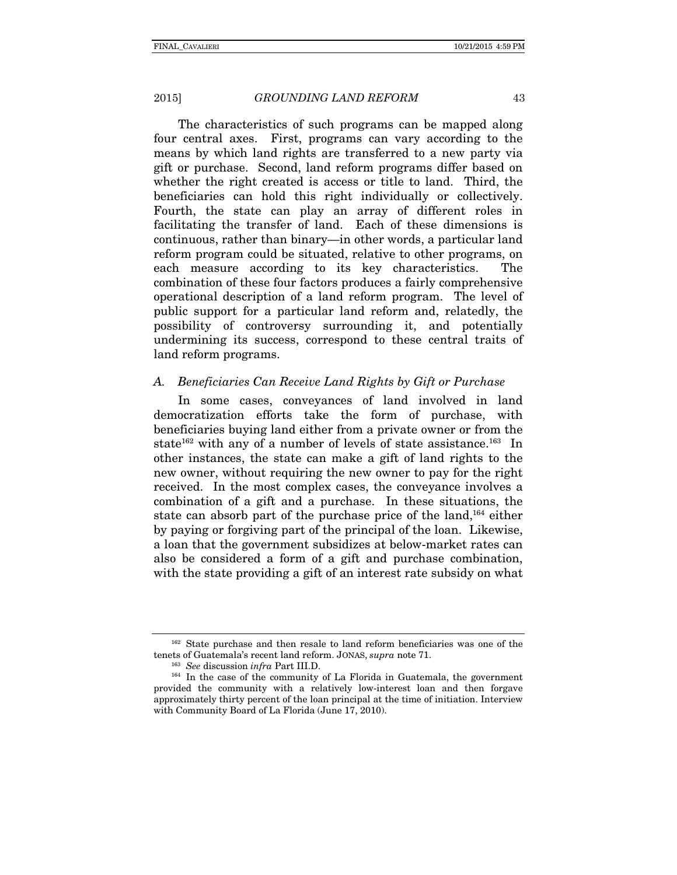The characteristics of such programs can be mapped along four central axes. First, programs can vary according to the means by which land rights are transferred to a new party via gift or purchase. Second, land reform programs differ based on whether the right created is access or title to land. Third, the beneficiaries can hold this right individually or collectively. Fourth, the state can play an array of different roles in facilitating the transfer of land. Each of these dimensions is continuous, rather than binary—in other words, a particular land reform program could be situated, relative to other programs, on each measure according to its key characteristics. The combination of these four factors produces a fairly comprehensive operational description of a land reform program. The level of public support for a particular land reform and, relatedly, the possibility of controversy surrounding it, and potentially undermining its success, correspond to these central traits of land reform programs.

# *A. Beneficiaries Can Receive Land Rights by Gift or Purchase*

In some cases, conveyances of land involved in land democratization efforts take the form of purchase, with beneficiaries buying land either from a private owner or from the state<sup>162</sup> with any of a number of levels of state assistance.<sup>163</sup> In other instances, the state can make a gift of land rights to the new owner, without requiring the new owner to pay for the right received. In the most complex cases, the conveyance involves a combination of a gift and a purchase. In these situations, the state can absorb part of the purchase price of the land,<sup>164</sup> either by paying or forgiving part of the principal of the loan. Likewise, a loan that the government subsidizes at below-market rates can also be considered a form of a gift and purchase combination, with the state providing a gift of an interest rate subsidy on what

<sup>162</sup> State purchase and then resale to land reform beneficiaries was one of the tenets of Guatemala's recent land reform. JONAS, *supra* note 71.<br><sup>163</sup> *See* discussion *infra* Part III.D.<br><sup>164</sup> In the case of the community of La Florida in Guatemala, the government

provided the community with a relatively low-interest loan and then forgave approximately thirty percent of the loan principal at the time of initiation. Interview with Community Board of La Florida (June 17, 2010).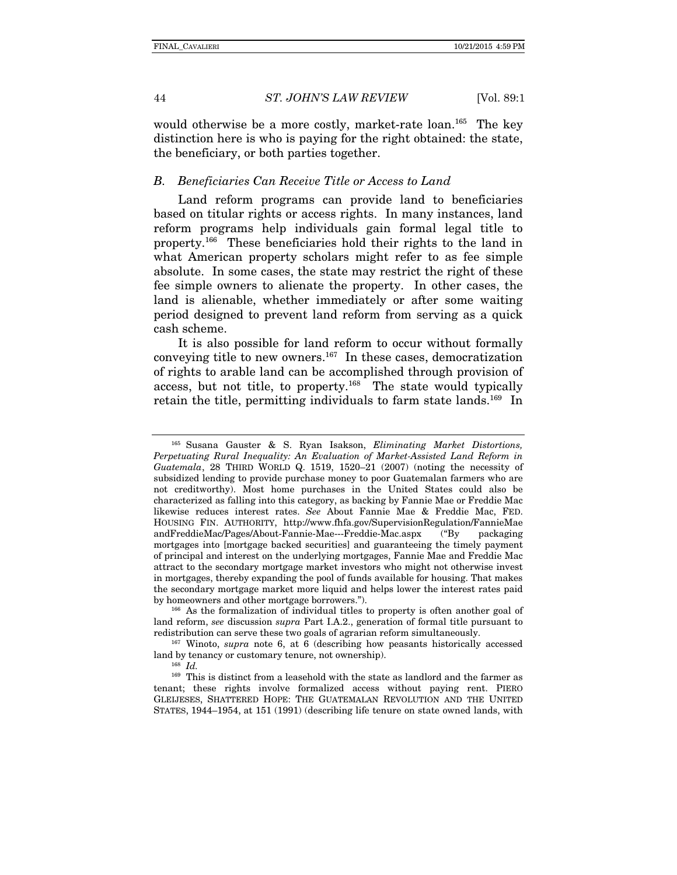would otherwise be a more costly, market-rate loan.<sup>165</sup> The key distinction here is who is paying for the right obtained: the state, the beneficiary, or both parties together.

## *B. Beneficiaries Can Receive Title or Access to Land*

Land reform programs can provide land to beneficiaries based on titular rights or access rights. In many instances, land reform programs help individuals gain formal legal title to property.166 These beneficiaries hold their rights to the land in what American property scholars might refer to as fee simple absolute. In some cases, the state may restrict the right of these fee simple owners to alienate the property. In other cases, the land is alienable, whether immediately or after some waiting period designed to prevent land reform from serving as a quick cash scheme.

It is also possible for land reform to occur without formally conveying title to new owners.<sup>167</sup> In these cases, democratization of rights to arable land can be accomplished through provision of access, but not title, to property.<sup>168</sup> The state would typically retain the title, permitting individuals to farm state lands.<sup>169</sup> In

land reform, *see* discussion *supra* Part I.A.2., generation of formal title pursuant to redistribution can serve these two goals of agrarian reform simultaneously. 167 Winoto, *supra* note 6, at 6 (describing how peasants historically accessed

land by tenancy or customary tenure, not ownership). 168 *Id.*

<sup>165</sup> Susana Gauster & S. Ryan Isakson, *Eliminating Market Distortions, Perpetuating Rural Inequality: An Evaluation of Market-Assisted Land Reform in Guatemala*, 28 THIRD WORLD Q. 1519, 1520–21 (2007) (noting the necessity of subsidized lending to provide purchase money to poor Guatemalan farmers who are not creditworthy). Most home purchases in the United States could also be characterized as falling into this category, as backing by Fannie Mae or Freddie Mac likewise reduces interest rates. *See* About Fannie Mae & Freddie Mac, FED. HOUSING FIN. AUTHORITY, http://www.fhfa.gov/SupervisionRegulation/FannieMae andFreddieMac/Pages/About-Fannie-Mae---Freddie-Mac.aspx ("By packaging mortgages into [mortgage backed securities] and guaranteeing the timely payment of principal and interest on the underlying mortgages, Fannie Mae and Freddie Mac attract to the secondary mortgage market investors who might not otherwise invest in mortgages, thereby expanding the pool of funds available for housing. That makes the secondary mortgage market more liquid and helps lower the interest rates paid by homeowners and other mortgage borrowers.").<br><sup>166</sup> As the formalization of individual titles to property is often another goal of

<sup>169</sup> This is distinct from a leasehold with the state as landlord and the farmer as tenant; these rights involve formalized access without paying rent. PIERO GLEIJESES, SHATTERED HOPE: THE GUATEMALAN REVOLUTION AND THE UNITED STATES, 1944–1954, at 151 (1991) (describing life tenure on state owned lands, with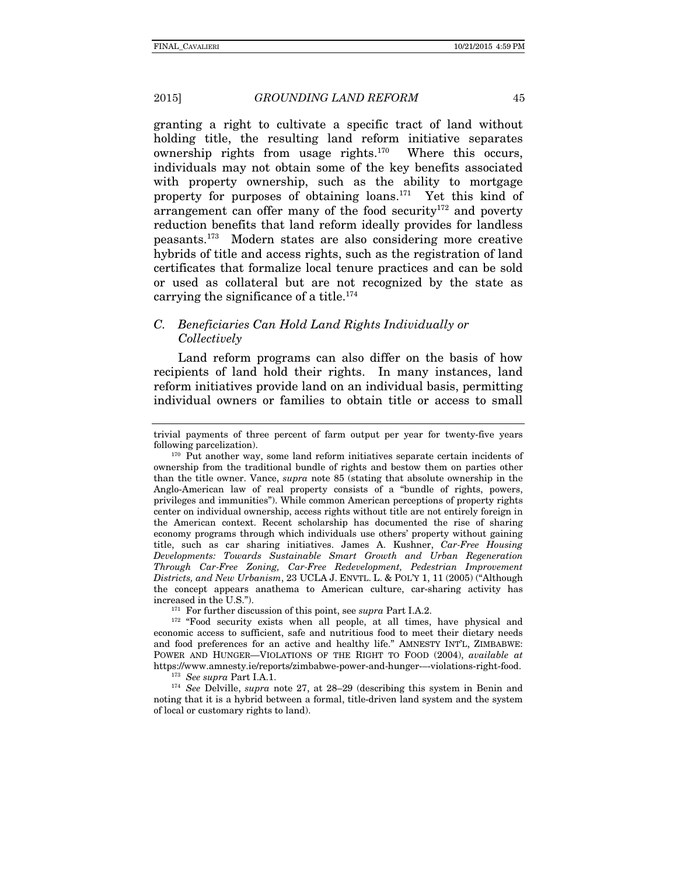granting a right to cultivate a specific tract of land without holding title, the resulting land reform initiative separates ownership rights from usage rights.170 Where this occurs, individuals may not obtain some of the key benefits associated with property ownership, such as the ability to mortgage property for purposes of obtaining loans.171 Yet this kind of arrangement can offer many of the food security<sup>172</sup> and poverty reduction benefits that land reform ideally provides for landless peasants.173 Modern states are also considering more creative hybrids of title and access rights, such as the registration of land certificates that formalize local tenure practices and can be sold or used as collateral but are not recognized by the state as carrying the significance of a title.<sup>174</sup>

# *C. Beneficiaries Can Hold Land Rights Individually or Collectively*

Land reform programs can also differ on the basis of how recipients of land hold their rights. In many instances, land reform initiatives provide land on an individual basis, permitting individual owners or families to obtain title or access to small

economic access to sufficient, safe and nutritious food to meet their dietary needs and food preferences for an active and healthy life." AMNESTY INT'L, ZIMBABWE: POWER AND HUNGER—VIOLATIONS OF THE RIGHT TO FOOD (2004), *available at* 

<sup>173</sup> See *supra* Part I.A.1.<br><sup>174</sup> *See* Delville, *supra* note 27, at 28–29 (describing this system in Benin and noting that it is a hybrid between a formal, title-driven land system and the system of local or customary rights to land).

trivial payments of three percent of farm output per year for twenty-five years following parcelization).<br><sup>170</sup> Put another way, some land reform initiatives separate certain incidents of

ownership from the traditional bundle of rights and bestow them on parties other than the title owner. Vance, *supra* note 85 (stating that absolute ownership in the Anglo-American law of real property consists of a "bundle of rights, powers, privileges and immunities"). While common American perceptions of property rights center on individual ownership, access rights without title are not entirely foreign in the American context. Recent scholarship has documented the rise of sharing economy programs through which individuals use others' property without gaining title, such as car sharing initiatives. James A. Kushner, *Car-Free Housing Developments: Towards Sustainable Smart Growth and Urban Regeneration Through Car-Free Zoning, Car-Free Redevelopment, Pedestrian Improvement Districts, and New Urbanism*, 23 UCLA J. ENVTL. L. & POL'Y 1, 11 (2005) ("Although the concept appears anathema to American culture, car-sharing activity has increased in the U.S.").<br><sup>171</sup> For further discussion of this point, see *supra* Part I.A.2.<br><sup>172</sup> "Food security exists when all people, at all times, have physical and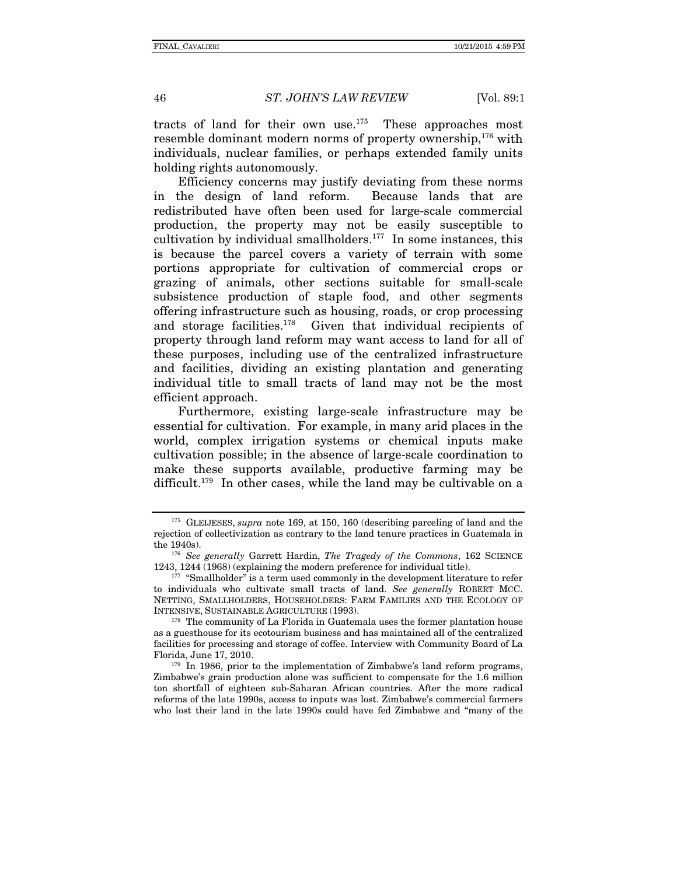tracts of land for their own use.<sup>175</sup> These approaches most resemble dominant modern norms of property ownership,<sup>176</sup> with individuals, nuclear families, or perhaps extended family units holding rights autonomously.

Efficiency concerns may justify deviating from these norms in the design of land reform. Because lands that are redistributed have often been used for large-scale commercial production, the property may not be easily susceptible to cultivation by individual smallholders.<sup>177</sup> In some instances, this is because the parcel covers a variety of terrain with some portions appropriate for cultivation of commercial crops or grazing of animals, other sections suitable for small-scale subsistence production of staple food, and other segments offering infrastructure such as housing, roads, or crop processing and storage facilities.178 Given that individual recipients of property through land reform may want access to land for all of these purposes, including use of the centralized infrastructure and facilities, dividing an existing plantation and generating individual title to small tracts of land may not be the most efficient approach.

Furthermore, existing large-scale infrastructure may be essential for cultivation. For example, in many arid places in the world, complex irrigation systems or chemical inputs make cultivation possible; in the absence of large-scale coordination to make these supports available, productive farming may be difficult.<sup>179</sup> In other cases, while the land may be cultivable on a

<sup>175</sup> GLEIJESES, *supra* note 169, at 150, 160 (describing parceling of land and the rejection of collectivization as contrary to the land tenure practices in Guatemala in

the 1940s).<br><sup>176</sup> *See generally* Garrett Hardin, *The Tragedy of the Commons*, 162 SCIENCE<br>1243, 1244 (1968) (explaining the modern preference for individual title).

 $177$  "Smallholder" is a term used commonly in the development literature to refer to individuals who cultivate small tracts of land. *See generally* ROBERT MCC. NETTING, SMALLHOLDERS, HOUSEHOLDERS: FARM FAMILIES AND THE ECOLOGY OF

 $178$  The community of La Florida in Guatemala uses the former plantation house as a guesthouse for its ecotourism business and has maintained all of the centralized facilities for processing and storage of coffee. Interview with Community Board of La Florida, June 17, 2010.<br><sup>179</sup> In 1986, prior to the implementation of Zimbabwe's land reform programs,

Zimbabwe's grain production alone was sufficient to compensate for the 1.6 million ton shortfall of eighteen sub-Saharan African countries. After the more radical reforms of the late 1990s, access to inputs was lost. Zimbabwe's commercial farmers who lost their land in the late 1990s could have fed Zimbabwe and "many of the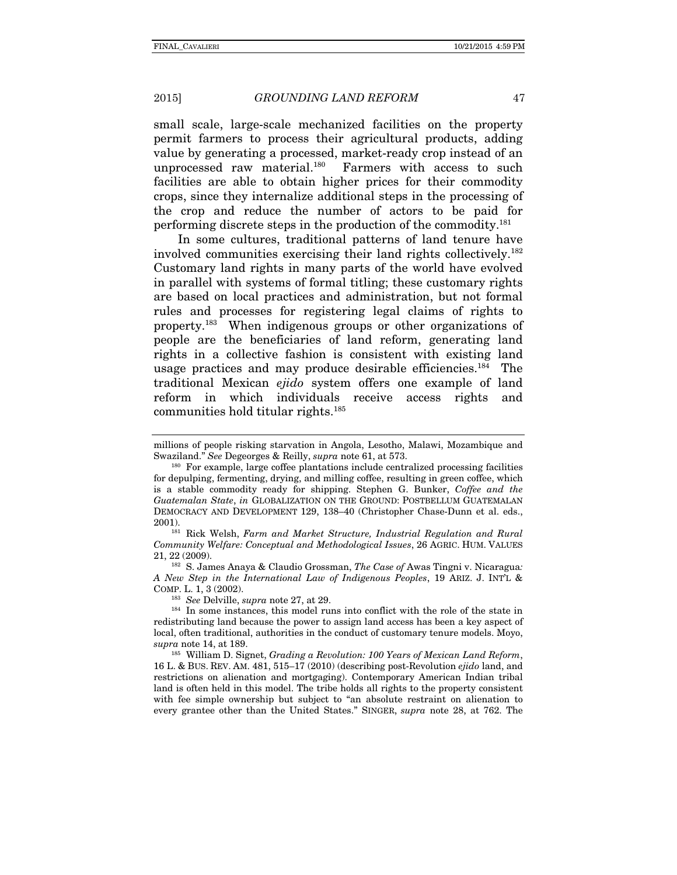small scale, large-scale mechanized facilities on the property permit farmers to process their agricultural products, adding value by generating a processed, market-ready crop instead of an unprocessed raw material. $180$  Farmers with access to such facilities are able to obtain higher prices for their commodity crops, since they internalize additional steps in the processing of the crop and reduce the number of actors to be paid for performing discrete steps in the production of the commodity.181

In some cultures, traditional patterns of land tenure have involved communities exercising their land rights collectively.182 Customary land rights in many parts of the world have evolved in parallel with systems of formal titling; these customary rights are based on local practices and administration, but not formal rules and processes for registering legal claims of rights to property.183 When indigenous groups or other organizations of people are the beneficiaries of land reform, generating land rights in a collective fashion is consistent with existing land usage practices and may produce desirable efficiencies.<sup>184</sup> The traditional Mexican *ejido* system offers one example of land reform in which individuals receive access rights and communities hold titular rights.185

millions of people risking starvation in Angola, Lesotho, Malawi, Mozambique and Swaziland." *See* Degeorges & Reilly, *supra* note 61, at 573.<br><sup>180</sup> For example, large coffee plantations include centralized processing facilities

for depulping, fermenting, drying, and milling coffee, resulting in green coffee, which is a stable commodity ready for shipping. Stephen G. Bunker, *Coffee and the Guatemalan State*, *in* GLOBALIZATION ON THE GROUND: POSTBELLUM GUATEMALAN DEMOCRACY AND DEVELOPMENT 129, 138–40 (Christopher Chase-Dunn et al. eds., 2001). 181 Rick Welsh, *Farm and Market Structure, Industrial Regulation and Rural* 

*Community Welfare: Conceptual and Methodological Issues*, 26 AGRIC. HUM. VALUES 21, 22 (2009). 182 S. James Anaya & Claudio Grossman, *The Case of* Awas Tingni v. Nicaragua*:* 

*A New Step in the International Law of Indigenous Peoples*, 19 ARIZ. J. INT'L & COMP. L. 1, 3 (2002).<br><sup>183</sup> See Delville, *supra* note 27, at 29.

<sup>&</sup>lt;sup>184</sup> In some instances, this model runs into conflict with the role of the state in redistributing land because the power to assign land access has been a key aspect of local, often traditional, authorities in the conduct of customary tenure models. Moyo, *supra* note 14, at 189.<br><sup>185</sup> William D. Signet, *Grading a Revolution: 100 Years of Mexican Land Reform*,

<sup>16</sup> L. & BUS. REV. AM. 481, 515–17 (2010) (describing post-Revolution *ejido* land, and restrictions on alienation and mortgaging). Contemporary American Indian tribal land is often held in this model. The tribe holds all rights to the property consistent with fee simple ownership but subject to "an absolute restraint on alienation to every grantee other than the United States." SINGER, *supra* note 28, at 762. The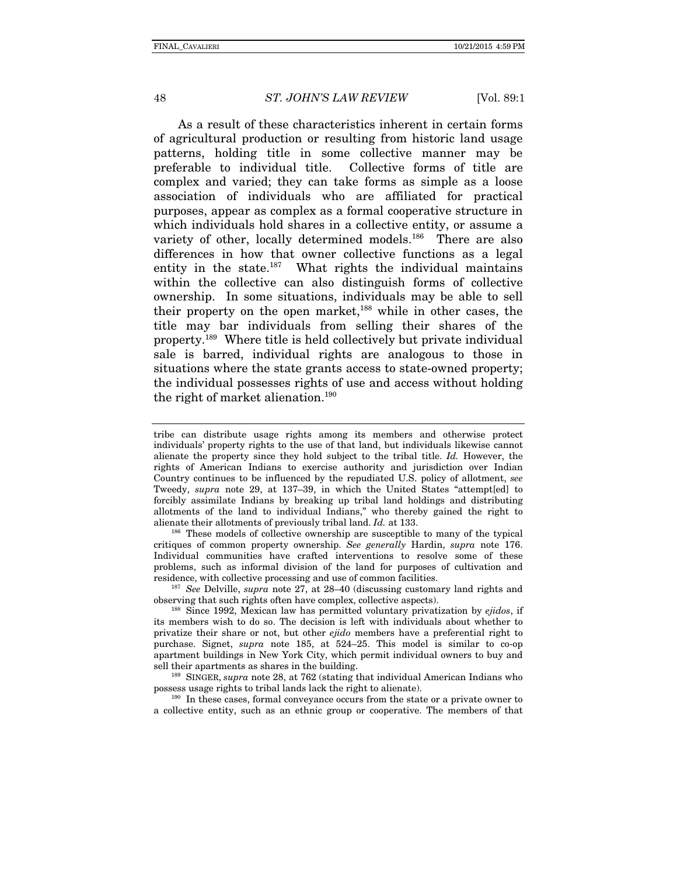As a result of these characteristics inherent in certain forms of agricultural production or resulting from historic land usage patterns, holding title in some collective manner may be preferable to individual title. Collective forms of title are complex and varied; they can take forms as simple as a loose association of individuals who are affiliated for practical purposes, appear as complex as a formal cooperative structure in which individuals hold shares in a collective entity, or assume a variety of other, locally determined models.<sup>186</sup> There are also differences in how that owner collective functions as a legal entity in the state.<sup>187</sup> What rights the individual maintains within the collective can also distinguish forms of collective ownership. In some situations, individuals may be able to sell their property on the open market,<sup>188</sup> while in other cases, the title may bar individuals from selling their shares of the property.189 Where title is held collectively but private individual sale is barred, individual rights are analogous to those in situations where the state grants access to state-owned property; the individual possesses rights of use and access without holding the right of market alienation.<sup>190</sup>

tribe can distribute usage rights among its members and otherwise protect individuals' property rights to the use of that land, but individuals likewise cannot alienate the property since they hold subject to the tribal title. *Id.* However, the rights of American Indians to exercise authority and jurisdiction over Indian Country continues to be influenced by the repudiated U.S. policy of allotment, *see*  Tweedy, *supra* note 29, at 137–39, in which the United States "attempt[ed] to forcibly assimilate Indians by breaking up tribal land holdings and distributing allotments of the land to individual Indians," who thereby gained the right to alienate their allotments of previously tribal land.  $Id$  at 133.

<sup>186</sup> These models of collective ownership are susceptible to many of the typical critiques of common property ownership. *See generally* Hardin, *supra* note 176. Individual communities have crafted interventions to resolve some of these problems, such as informal division of the land for purposes of cultivation and residence, with collective processing and use of common facilities. 187 *See* Delville, *supra* note 27, at 28–40 (discussing customary land rights and

observing that such rights often have complex, collective aspects). 188 Since 1992, Mexican law has permitted voluntary privatization by *ejidos*, if

its members wish to do so. The decision is left with individuals about whether to privatize their share or not, but other *ejido* members have a preferential right to purchase. Signet, *supra* note 185, at 524–25. This model is similar to co-op apartment buildings in New York City, which permit individual owners to buy and sell their apartments as shares in the building.<br><sup>189</sup> SINGER, *supra* note 28, at 762 (stating that individual American Indians who

possess usage rights to tribal lands lack the right to alienate). 190 In these cases, formal conveyance occurs from the state or a private owner to

a collective entity, such as an ethnic group or cooperative. The members of that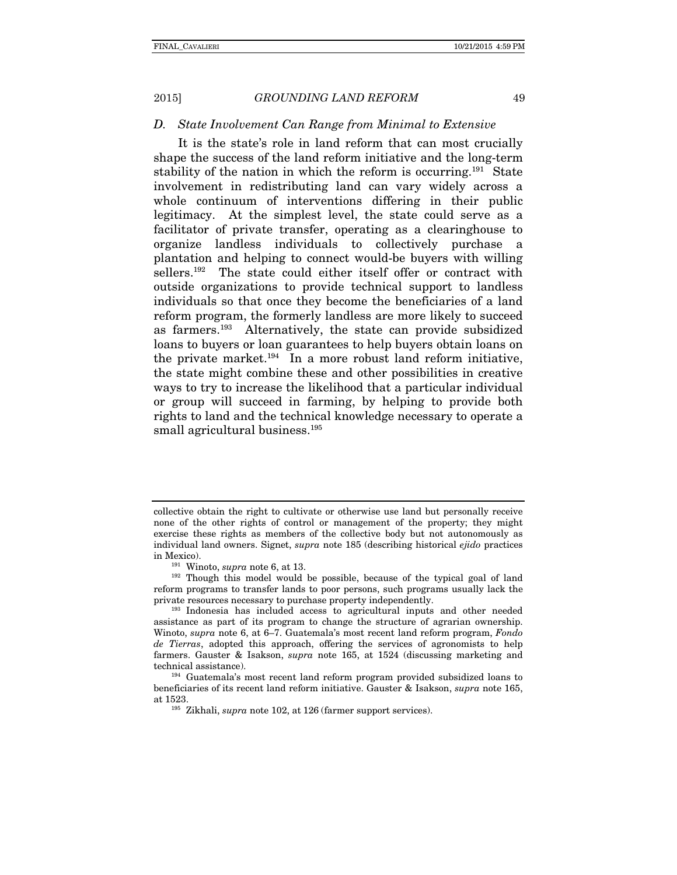#### *D. State Involvement Can Range from Minimal to Extensive*

It is the state's role in land reform that can most crucially shape the success of the land reform initiative and the long-term stability of the nation in which the reform is occurring.<sup>191</sup> State involvement in redistributing land can vary widely across a whole continuum of interventions differing in their public legitimacy. At the simplest level, the state could serve as a facilitator of private transfer, operating as a clearinghouse to organize landless individuals to collectively purchase a plantation and helping to connect would-be buyers with willing sellers.<sup>192</sup> The state could either itself offer or contract with outside organizations to provide technical support to landless individuals so that once they become the beneficiaries of a land reform program, the formerly landless are more likely to succeed as farmers.193 Alternatively, the state can provide subsidized loans to buyers or loan guarantees to help buyers obtain loans on the private market. $194$  In a more robust land reform initiative, the state might combine these and other possibilities in creative ways to try to increase the likelihood that a particular individual or group will succeed in farming, by helping to provide both rights to land and the technical knowledge necessary to operate a small agricultural business.<sup>195</sup>

collective obtain the right to cultivate or otherwise use land but personally receive none of the other rights of control or management of the property; they might exercise these rights as members of the collective body but not autonomously as individual land owners. Signet, *supra* note 185 (describing historical *ejido* practices in Mexico).<br><sup>191</sup> Winoto, *supra* note 6, at 13.<br><sup>192</sup> Though this model would be possible, because of the typical goal of land

reform programs to transfer lands to poor persons, such programs usually lack the private resources necessary to purchase property independently.

<sup>193</sup> Indonesia has included access to agricultural inputs and other needed assistance as part of its program to change the structure of agrarian ownership. Winoto, *supra* note 6, at 6–7. Guatemala's most recent land reform program, *Fondo de Tierras*, adopted this approach, offering the services of agronomists to help farmers. Gauster & Isakson, *supra* note 165, at 1524 (discussing marketing and technical assistance). 194 Guatemala's most recent land reform program provided subsidized loans to

beneficiaries of its recent land reform initiative. Gauster & Isakson, *supra* note 165, at 1523. 195 Zikhali, *supra* note 102, at <sup>126</sup> (farmer support services).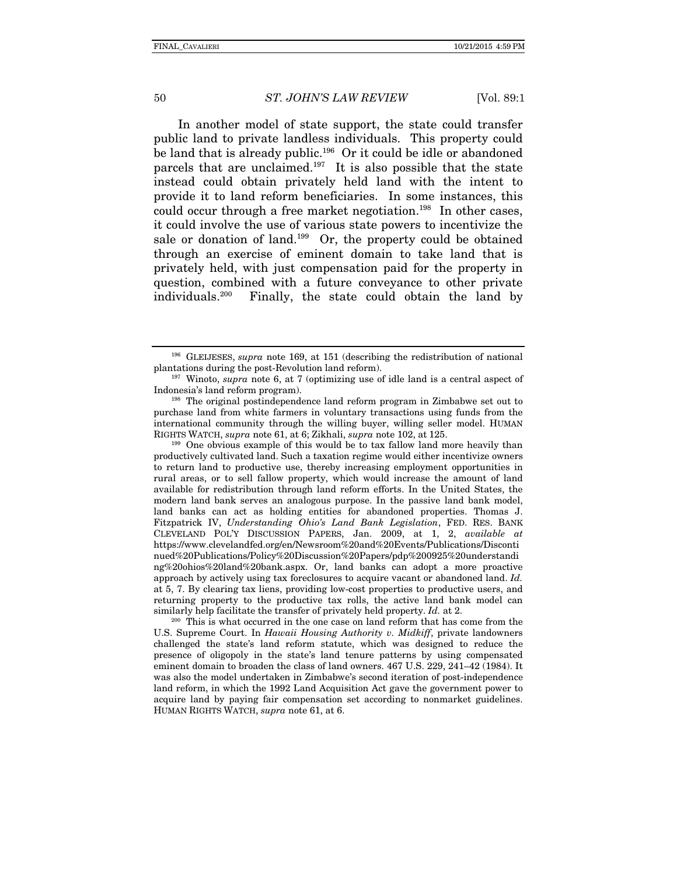In another model of state support, the state could transfer public land to private landless individuals. This property could be land that is already public.<sup>196</sup> Or it could be idle or abandoned parcels that are unclaimed.<sup>197</sup> It is also possible that the state instead could obtain privately held land with the intent to provide it to land reform beneficiaries. In some instances, this could occur through a free market negotiation.<sup>198</sup> In other cases, it could involve the use of various state powers to incentivize the sale or donation of land.<sup>199</sup> Or, the property could be obtained through an exercise of eminent domain to take land that is privately held, with just compensation paid for the property in question, combined with a future conveyance to other private individuals.200 Finally, the state could obtain the land by

productively cultivated land. Such a taxation regime would either incentivize owners to return land to productive use, thereby increasing employment opportunities in rural areas, or to sell fallow property, which would increase the amount of land available for redistribution through land reform efforts. In the United States, the modern land bank serves an analogous purpose. In the passive land bank model, land banks can act as holding entities for abandoned properties. Thomas J. Fitzpatrick IV, *Understanding Ohio's Land Bank Legislation*, FED. RES. BANK CLEVELAND POL'Y DISCUSSION PAPERS, Jan. 2009, at 1, 2, *available at*  https://www.clevelandfed.org/en/Newsroom%20and%20Events/Publications/Disconti nued%20Publications/Policy%20Discussion%20Papers/pdp%200925%20understandi ng%20ohios%20land%20bank.aspx. Or, land banks can adopt a more proactive approach by actively using tax foreclosures to acquire vacant or abandoned land. *Id.*  at 5, 7. By clearing tax liens, providing low-cost properties to productive users, and returning property to the productive tax rolls, the active land bank model can

similarly help facilitate the transfer of privately held property. *Id.* at 2. <sup>200</sup> This is what occurred in the one case on land reform that has come from the U.S. Supreme Court. In *Hawaii Housing Authority v. Midkiff*, private landowners challenged the state's land reform statute, which was designed to reduce the presence of oligopoly in the state's land tenure patterns by using compensated eminent domain to broaden the class of land owners. 467 U.S. 229, 241–42 (1984). It was also the model undertaken in Zimbabwe's second iteration of post-independence land reform, in which the 1992 Land Acquisition Act gave the government power to acquire land by paying fair compensation set according to nonmarket guidelines. HUMAN RIGHTS WATCH, *supra* note 61, at 6.

<sup>&</sup>lt;sup>196</sup> GLEIJESES, *supra* note 169, at 151 (describing the redistribution of national plantations during the post-Revolution land reform).

<sup>&</sup>lt;sup>197</sup> Winoto, *supra* note 6, at 7 (optimizing use of idle land is a central aspect of Indonesia's land reform program).

<sup>&</sup>lt;sup>198</sup> The original postindependence land reform program in Zimbabwe set out to purchase land from white farmers in voluntary transactions using funds from the international community through the willing buyer, willing seller model. HUMAN RIGHTS WATCH, *supra* note 61, at 6; Zikhali, *supra* note 102, at 125.<br><sup>199</sup> One obvious example of this would be to tax fallow land more heavily than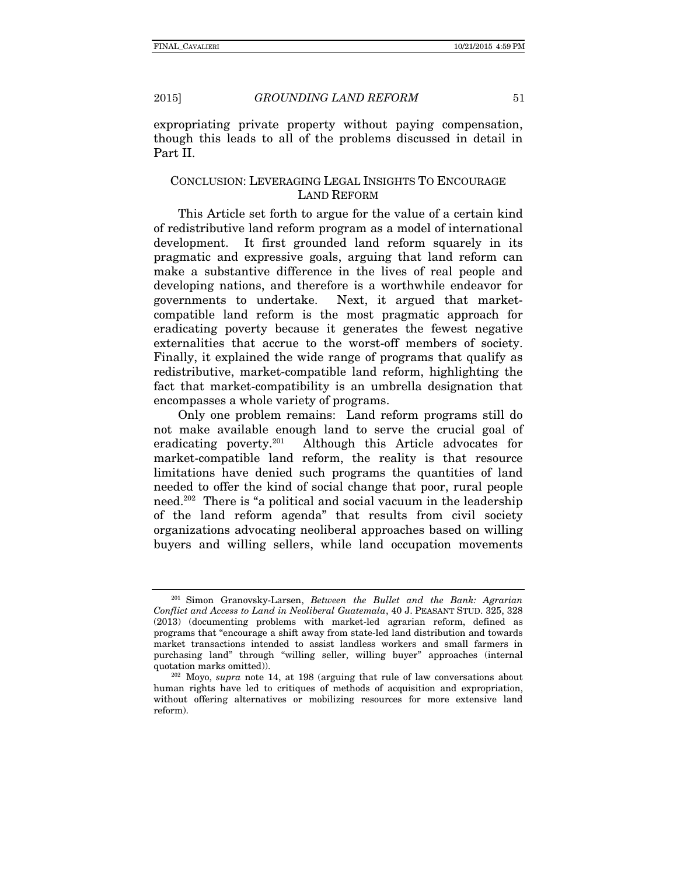expropriating private property without paying compensation, though this leads to all of the problems discussed in detail in Part II.

#### CONCLUSION: LEVERAGING LEGAL INSIGHTS TO ENCOURAGE LAND REFORM

This Article set forth to argue for the value of a certain kind of redistributive land reform program as a model of international development. It first grounded land reform squarely in its pragmatic and expressive goals, arguing that land reform can make a substantive difference in the lives of real people and developing nations, and therefore is a worthwhile endeavor for governments to undertake. Next, it argued that marketcompatible land reform is the most pragmatic approach for eradicating poverty because it generates the fewest negative externalities that accrue to the worst-off members of society. Finally, it explained the wide range of programs that qualify as redistributive, market-compatible land reform, highlighting the fact that market-compatibility is an umbrella designation that encompasses a whole variety of programs.

Only one problem remains: Land reform programs still do not make available enough land to serve the crucial goal of eradicating poverty.201 Although this Article advocates for market-compatible land reform, the reality is that resource limitations have denied such programs the quantities of land needed to offer the kind of social change that poor, rural people need.202 There is "a political and social vacuum in the leadership of the land reform agenda" that results from civil society organizations advocating neoliberal approaches based on willing buyers and willing sellers, while land occupation movements

<sup>201</sup> Simon Granovsky-Larsen, *Between the Bullet and the Bank: Agrarian Conflict and Access to Land in Neoliberal Guatemala*, 40 J. PEASANT STUD. 325, 328 (2013) (documenting problems with market-led agrarian reform, defined as programs that "encourage a shift away from state-led land distribution and towards market transactions intended to assist landless workers and small farmers in purchasing land" through "willing seller, willing buyer" approaches (internal

<sup>&</sup>lt;sup>202</sup> Moyo, *supra* note 14, at 198 (arguing that rule of law conversations about human rights have led to critiques of methods of acquisition and expropriation, without offering alternatives or mobilizing resources for more extensive land reform).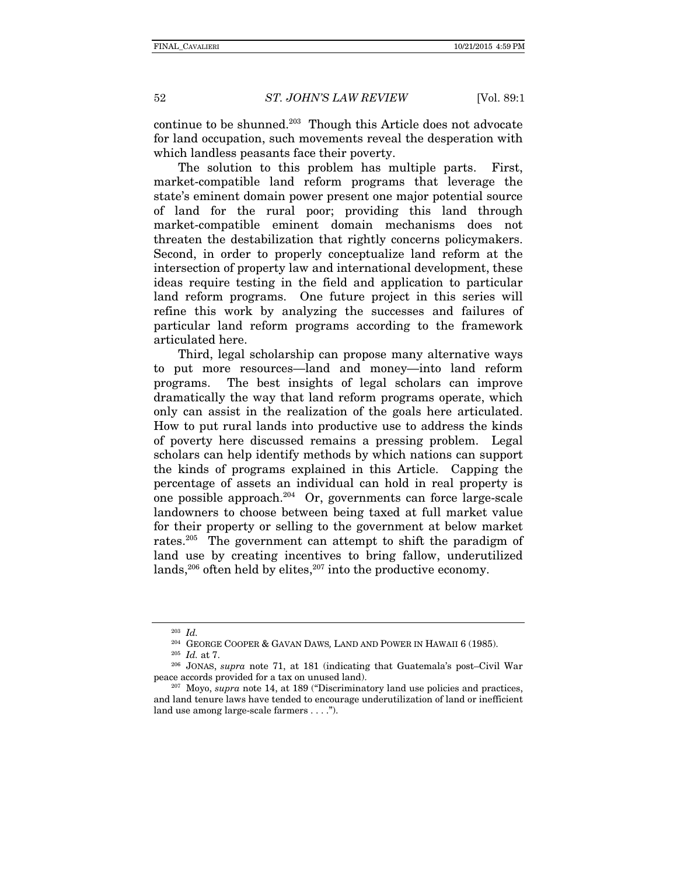continue to be shunned.203 Though this Article does not advocate for land occupation, such movements reveal the desperation with which landless peasants face their poverty.

The solution to this problem has multiple parts. First, market-compatible land reform programs that leverage the state's eminent domain power present one major potential source of land for the rural poor; providing this land through market-compatible eminent domain mechanisms does not threaten the destabilization that rightly concerns policymakers. Second, in order to properly conceptualize land reform at the intersection of property law and international development, these ideas require testing in the field and application to particular land reform programs. One future project in this series will refine this work by analyzing the successes and failures of particular land reform programs according to the framework articulated here.

Third, legal scholarship can propose many alternative ways to put more resources—land and money—into land reform programs. The best insights of legal scholars can improve dramatically the way that land reform programs operate, which only can assist in the realization of the goals here articulated. How to put rural lands into productive use to address the kinds of poverty here discussed remains a pressing problem. Legal scholars can help identify methods by which nations can support the kinds of programs explained in this Article. Capping the percentage of assets an individual can hold in real property is one possible approach. $204$  Or, governments can force large-scale landowners to choose between being taxed at full market value for their property or selling to the government at below market rates.<sup>205</sup> The government can attempt to shift the paradigm of land use by creating incentives to bring fallow, underutilized lands,<sup>206</sup> often held by elites,<sup>207</sup> into the productive economy.

<sup>&</sup>lt;sup>203</sup> *Id.*<br><sup>204</sup> GEORGE COOPER & GAVAN DAWS, LAND AND POWER IN HAWAII 6 (1985).

<sup>&</sup>lt;sup>205</sup> Id. at 7.<br><sup>206</sup> JONAS, *supra* note 71, at 181 (indicating that Guatemala's post–Civil War peace accords provided for a tax on unused land). 207 Moyo, *supra* note 14, at 189 ("Discriminatory land use policies and practices,

and land tenure laws have tended to encourage underutilization of land or inefficient land use among large-scale farmers . . . .").